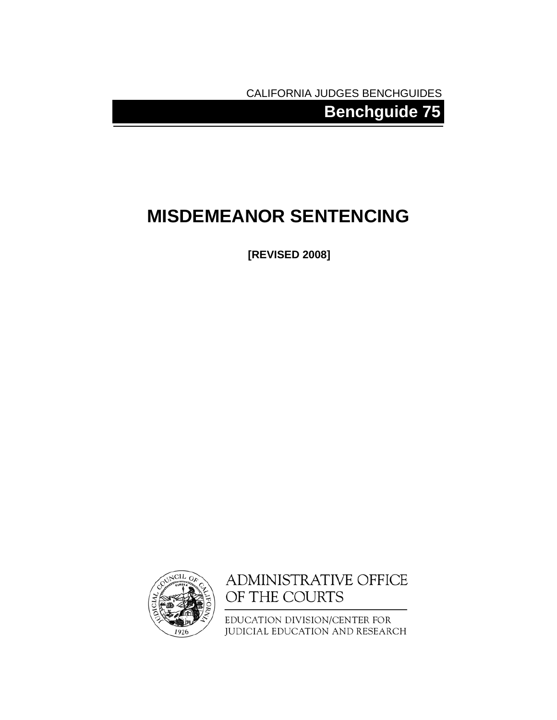CALIFORNIA JUDGES BENCHGUIDES

**Benchguide 75** 

# **MISDEMEANOR SENTENCING**

**[REVISED 2008]** 



ADMINISTRATIVE OFFICE OF THE COURTS

EDUCATION DIVISION/CENTER FOR JUDICIAL EDUCATION AND RESEARCH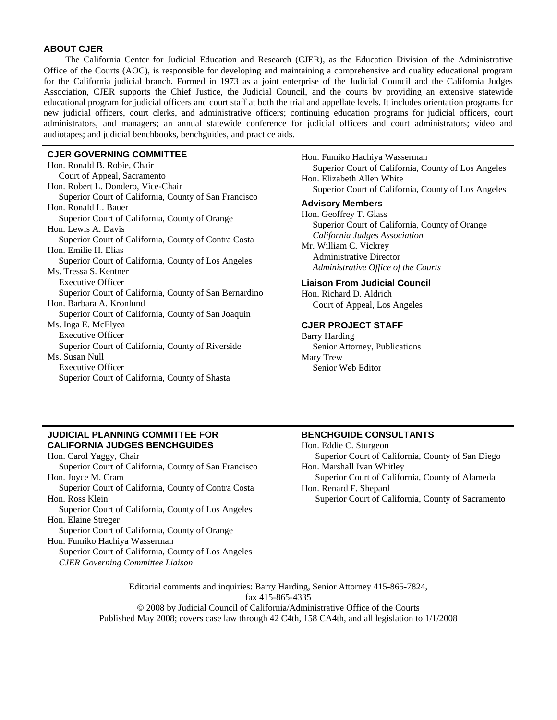#### **ABOUT CJER**

The California Center for Judicial Education and Research (CJER), as the Education Division of the Administrative Office of the Courts (AOC), is responsible for developing and maintaining a comprehensive and quality educational program for the California judicial branch. Formed in 1973 as a joint enterprise of the Judicial Council and the California Judges Association, CJER supports the Chief Justice, the Judicial Council, and the courts by providing an extensive statewide educational program for judicial officers and court staff at both the trial and appellate levels. It includes orientation programs for new judicial officers, court clerks, and administrative officers; continuing education programs for judicial officers, court administrators, and managers; an annual statewide conference for judicial officers and court administrators; video and audiotapes; and judicial benchbooks, benchguides, and practice aids.

#### **CJER GOVERNING COMMITTEE**

Hon. Ronald B. Robie, Chair Court of Appeal, Sacramento Hon. Robert L. Dondero, Vice-Chair Superior Court of California, County of San Francisco Hon. Ronald L. Bauer Superior Court of California, County of Orange Hon. Lewis A. Davis Superior Court of California, County of Contra Costa Hon. Emilie H. Elias Superior Court of California, County of Los Angeles Ms. Tressa S. Kentner Executive Officer Superior Court of California, County of San Bernardino Hon. Barbara A. Kronlund Superior Court of California, County of San Joaquin Ms. Inga E. McElyea Executive Officer Superior Court of California, County of Riverside Ms. Susan Null Executive Officer Superior Court of California, County of Shasta

Hon. Fumiko Hachiya Wasserman Superior Court of California, County of Los Angeles Hon. Elizabeth Allen White Superior Court of California, County of Los Angeles **Advisory Members** Hon. Geoffrey T. Glass Superior Court of California, County of Orange *California Judges Association*  Mr. William C. Vickrey Administrative Director *Administrative Office of the Courts* **Liaison From Judicial Council** 

Hon. Richard D. Aldrich Court of Appeal, Los Angeles

#### **CJER PROJECT STAFF**

Barry Harding Senior Attorney, Publications Mary Trew Senior Web Editor

**BENCHGUIDE CONSULTANTS** 

## **JUDICIAL PLANNING COMMITTEE FOR CALIFORNIA JUDGES BENCHGUIDES**

*CJER Governing Committee Liaison* 

Hon. Carol Yaggy, Chair Superior Court of California, County of San Francisco Hon. Joyce M. Cram Superior Court of California, County of Contra Costa Hon. Ross Klein Superior Court of California, County of Los Angeles Hon. Elaine Streger Superior Court of California, County of Orange Hon. Fumiko Hachiya Wasserman Superior Court of California, County of Los Angeles

Hon. Eddie C. Sturgeon Superior Court of California, County of San Diego Hon. Marshall Ivan Whitley Superior Court of California, County of Alameda Hon. Renard F. Shepard

Superior Court of California, County of Sacramento

Editorial comments and inquiries: Barry Harding, Senior Attorney 415-865-7824, fax 415-865-4335

© 2008 by Judicial Council of California/Administrative Office of the Courts Published May 2008; covers case law through 42 C4th, 158 CA4th, and all legislation to 1/1/2008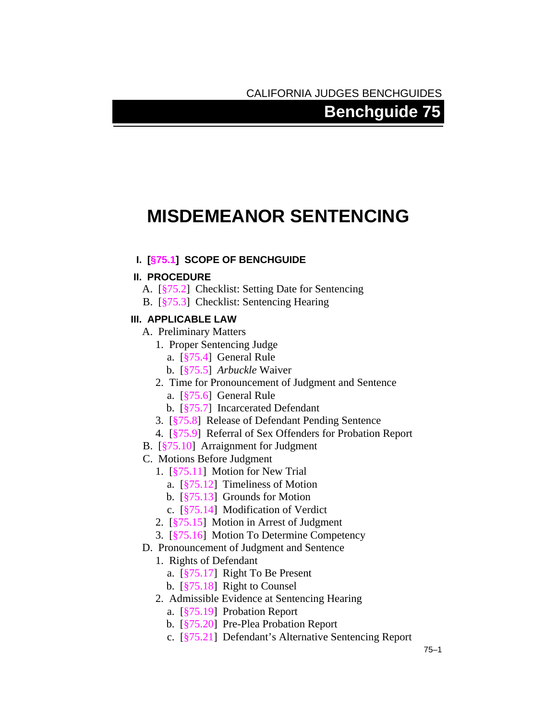# CALIFORNIA JUDGES BENCHGUIDES

# **Benchguide 75**

# **MISDEMEANOR SENTENCING**

## **I. [§[75.1](#page-4-0)] SCOPE OF BENCHGUIDE**

## **II. PROCEDURE**

- A. [§[75.2\]](#page-4-1) Checklist: Setting Date for Sentencing
- B. [§[75.3\]](#page-5-0) Checklist: Sentencing Hearing

## **III. APPLICABLE LAW**

- A. Preliminary Matters
	- 1. Proper Sentencing Judge
		- a. [§[75.4\]](#page-7-0) General Rule
		- b. [§[75.5\]](#page-7-1) *Arbuckle* Waiver
	- 2. Time for Pronouncement of Judgment and Sentence
		- a. [§[75.6\]](#page-8-0) General Rule
		- b. [§[75.7\]](#page-9-0) Incarcerated Defendant
	- 3. [§[75.8\]](#page-9-1) Release of Defendant Pending Sentence
	- 4. [§[75.9\]](#page-9-2) Referral of Sex Offenders for Probation Report
- B. [§[75.10\]](#page-10-0) Arraignment for Judgment
- C. Motions Before Judgment
	- 1. [§[75.11\]](#page-10-1) Motion for New Trial
		- a. [§[75.12\]](#page-10-2) Timeliness of Motion
		- b. [§[75.13\]](#page-11-0) Grounds for Motion
		- c. [§[75.14\]](#page-12-0) Modification of Verdict
	- 2. [§[75.15\]](#page-12-1) Motion in Arrest of Judgment
	- 3. [§[75.16\]](#page-12-2) Motion To Determine Competency
- D. Pronouncement of Judgment and Sentence
	- 1. Rights of Defendant
		- a. [§[75.17\]](#page-14-0) Right To Be Present
		- b. [§[75.18\]](#page-14-1) Right to Counsel
	- 2. Admissible Evidence at Sentencing Hearing
		- a. [§[75.19\]](#page-15-0) Probation Report
		- b. [§[75.20\]](#page-17-0) Pre-Plea Probation Report
		- c. [§[75.21\]](#page-17-1) Defendant's Alternative Sentencing Report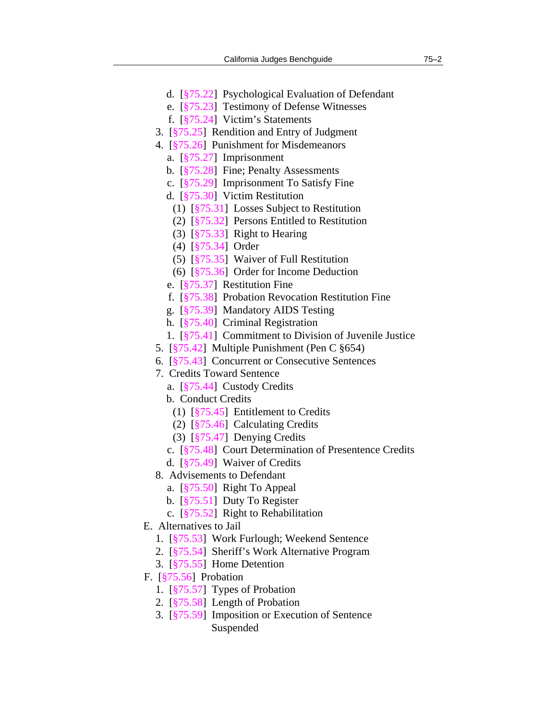- d. [§[75.22\]](#page-17-2) Psychological Evaluation of Defendant
- e. [§[75.23\]](#page-18-0) Testimony of Defense Witnesses
- f. [§[75.24\]](#page-18-1) Victim's Statements
- 3. [§[75.25\]](#page-18-2) Rendition and Entry of Judgment
- 4. [§[75.26\]](#page-19-0) Punishment for Misdemeanors
	- a. [§[75.27\]](#page-19-1) Imprisonment
	- b. [§[75.28\]](#page-19-2) Fine; Penalty Assessments
	- c. [§[75.29\]](#page-20-0) Imprisonment To Satisfy Fine
	- d. [§[75.30\]](#page-22-0) Victim Restitution
		- (1) [§[75.31\]](#page-22-1) Losses Subject to Restitution
		- (2) [§[75.32\]](#page-23-0) Persons Entitled to Restitution
		- (3) [§[75.33\]](#page-23-1) Right to Hearing
		- (4) [§[75.34\]](#page-24-0) Order
		- (5) [§[75.35\]](#page-24-1) Waiver of Full Restitution
		- (6) [§[75.36\]](#page-24-2) Order for Income Deduction
	- e. [§[75.37\]](#page-25-0) Restitution Fine
	- f. [§[75.38\]](#page-26-0) Probation Revocation Restitution Fine
	- g. [§[75.39\]](#page-26-1) Mandatory AIDS Testing
	- h. [§[75.40\]](#page-26-2) Criminal Registration
	- 1. [§[75.41\]](#page-27-0) Commitment to Division of Juvenile Justice
- 5. [§[75.42\]](#page-27-1) Multiple Punishment (Pen C §654)
- 6. [§[75.43\]](#page-28-0) Concurrent or Consecutive Sentences
- 7. Credits Toward Sentence
	- a. [§[75.44\]](#page-29-0) Custody Credits
	- b. Conduct Credits
		- (1) [§[75.45\]](#page-30-0) Entitlement to Credits
		- (2) [§[75.46\]](#page-31-0) Calculating Credits
		- (3) [§[75.47\]](#page-31-1) Denying Credits
	- c. [§[75.48\]](#page-32-0) Court Determination of Presentence Credits
	- d. [§[75.49\]](#page-32-1) Waiver of Credits
- 8. Advisements to Defendant
	- a. [§[75.50\]](#page-33-0) Right To Appeal
	- b. [§[75.51\]](#page-33-1) Duty To Register
	- c. [§[75.52\]](#page-34-0) Right to Rehabilitation
- E. Alternatives to Jail
	- 1. [§[75.53\]](#page-34-1) Work Furlough; Weekend Sentence
	- 2. [§[75.54\]](#page-35-0) Sheriff's Work Alternative Program
	- 3. [§[75.55\]](#page-35-1) Home Detention
- F. [§[75.56\]](#page-36-0) Probation
	- 1. [§[75.57\]](#page-37-0) Types of Probation
	- 2. [§[75.58\]](#page-37-1) Length of Probation
	- 3. [§[75.59\]](#page-38-0) Imposition or Execution of Sentence Suspended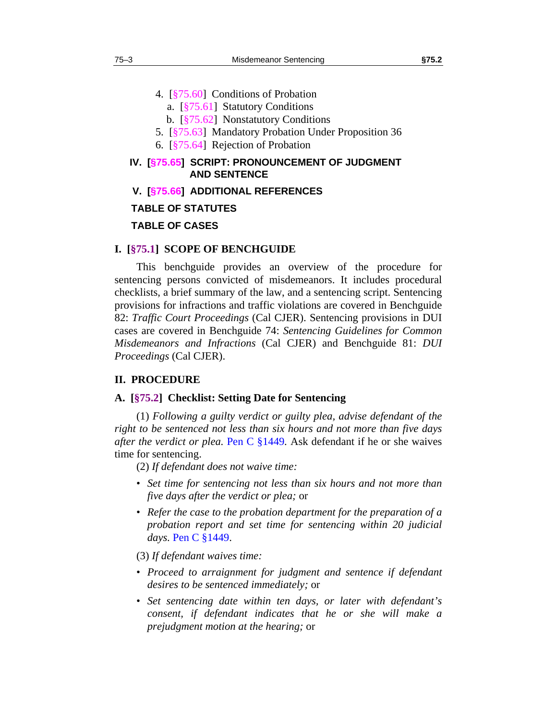- 4. [§[75.60\]](#page-39-0) Conditions of Probation
	- a. [§[75.61\]](#page-39-1) Statutory Conditions
	- b. [§[75.62\]](#page-42-0) Nonstatutory Conditions
- 5. [§[75.63\]](#page-44-0) Mandatory Probation Under Proposition 36
- 6. [§[75.64\]](#page-44-1) Rejection of Probation

## **IV. [§[75.65](#page-44-2)] SCRIPT: PRONOUNCEMENT OF JUDGMENT AND SENTENCE**

 **V. [§[75.66](#page-52-0)] ADDITIONAL REFERENCES** 

#### **TABLE OF STATUTES**

## **TABLE OF CASES**

#### <span id="page-4-0"></span>**I. [§75.1] SCOPE OF BENCHGUIDE**

This benchguide provides an overview of the procedure for sentencing persons convicted of misdemeanors. It includes procedural checklists, a brief summary of the law, and a sentencing script. Sentencing provisions for infractions and traffic violations are covered in Benchguide 82: *Traffic Court Proceedings* (Cal CJER). Sentencing provisions in DUI cases are covered in Benchguide 74: *Sentencing Guidelines for Common Misdemeanors and Infractions* (Cal CJER) and Benchguide 81: *DUI Proceedings* (Cal CJER).

## **II. PROCEDURE**

## <span id="page-4-1"></span>**A. [§75.2] Checklist: Setting Date for Sentencing**

(1) *Following a guilty verdict or guilty plea, advise defendant of the right to be sentenced not less than six hours and not more than five days after the verdict or plea.* Pen C §1449*.* Ask defendant if he or she waives time for sentencing.

(2) *If defendant does not waive time:*

- *Set time for sentencing not less than six hours and not more than five days after the verdict or plea;* or
- *Refer the case to the probation department for the preparation of a probation report and set time for sentencing within 20 judicial days.* Pen C §1449.

(3) *If defendant waives time:*

- *Proceed to arraignment for judgment and sentence if defendant desires to be sentenced immediately;* or
- *Set sentencing date within ten days, or later with defendant's consent, if defendant indicates that he or she will make a prejudgment motion at the hearing;* or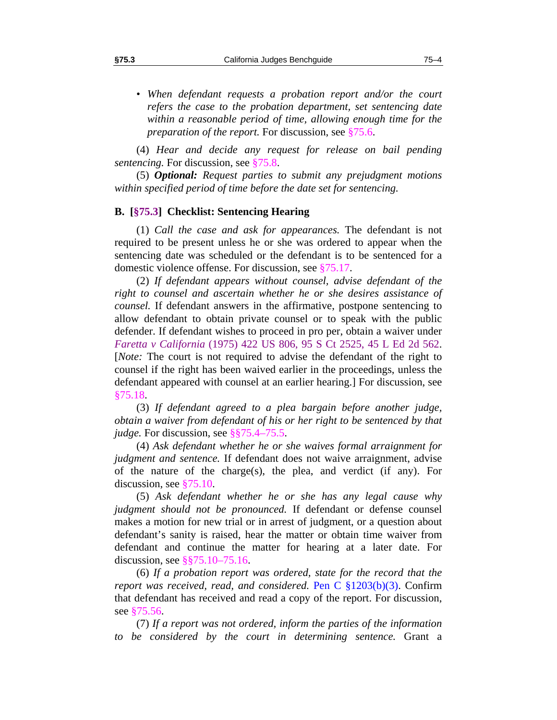• *When defendant requests a probation report and/or the court refers the case to the probation department, set sentencing date within a reasonable period of time, allowing enough time for the preparation of the report.* For discussion, see §[75.6.](#page-8-0)

(4) *Hear and decide any request for release on bail pending sentencing.* For discussion, see §[75.8.](#page-9-1)

(5) *Optional: Request parties to submit any prejudgment motions within specified period of time before the date set for sentencing.*

## <span id="page-5-0"></span>**B. [§75.3] Checklist: Sentencing Hearing**

(1) *Call the case and ask for appearances.* The defendant is not required to be present unless he or she was ordered to appear when the sentencing date was scheduled or the defendant is to be sentenced for a domestic violence offense. For discussion, see [§75.17](#page-14-0).

(2) *If defendant appears without counsel, advise defendant of the right to counsel and ascertain whether he or she desires assistance of counsel.* If defendant answers in the affirmative, postpone sentencing to allow defendant to obtain private counsel or to speak with the public defender. If defendant wishes to proceed in pro per, obtain a waiver under *Faretta v California* (1975) 422 US 806, 95 S Ct 2525, 45 L Ed 2d 562. [*Note:* The court is not required to advise the defendant of the right to counsel if the right has been waived earlier in the proceedings, unless the defendant appeared with counsel at an earlier hearing.] For discussion, see §[75.18.](#page-14-1)

(3) *If defendant agreed to a plea bargain before another judge, obtain a waiver from defendant of his or her right to be sentenced by that judge.* For discussion, see §§[75.4–](#page-7-0)[75.5.](#page-7-1)

(4) *Ask defendant whether he or she waives formal arraignment for judgment and sentence.* If defendant does not waive arraignment, advise of the nature of the charge(s), the plea, and verdict (if any). For discussion, see [§75.10](#page-10-0).

(5) *Ask defendant whether he or she has any legal cause why judgment should not be pronounced.* If defendant or defense counsel makes a motion for new trial or in arrest of judgment, or a question about defendant's sanity is raised, hear the matter or obtain time waiver from defendant and continue the matter for hearing at a later date. For discussion, see §[§75.10](#page-10-0)[–75.16](#page-12-2).

(6) *If a probation report was ordered, state for the record that the report was received, read, and considered.* Pen C §1203(b)(3). Confirm that defendant has received and read a copy of the report. For discussion, see [§75.56](#page-36-0).

(7) *If a report was not ordered, inform the parties of the information to be considered by the court in determining sentence.* Grant a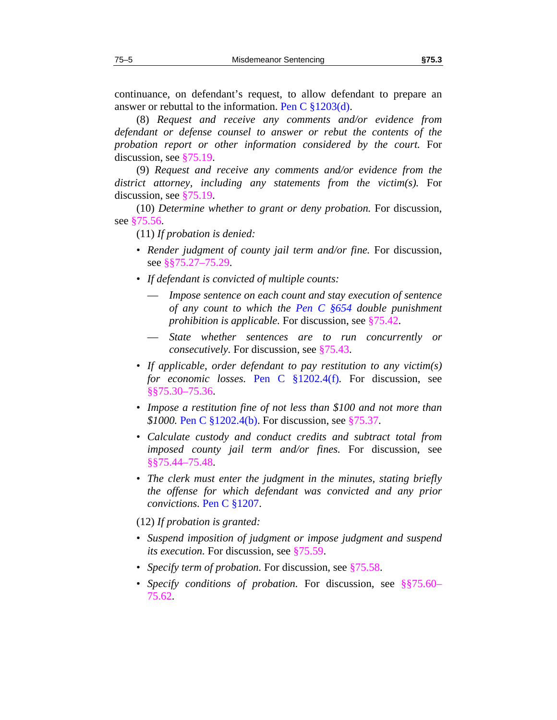continuance, on defendant's request, to allow defendant to prepare an answer or rebuttal to the information. Pen C §1203(d).

(8) *Request and receive any comments and/or evidence from defendant or defense counsel to answer or rebut the contents of the probation report or other information considered by the court.* For discussion, see [§75.19](#page-15-0).

(9) *Request and receive any comments and/or evidence from the district attorney, including any statements from the victim(s).* For discussion, see [§75.19](#page-15-0).

(10) *Determine whether to grant or deny probation.* For discussion, see [§75.56](#page-36-0).

(11) *If probation is denied:*

- *Render judgment of county jail term and/or fine.* For discussion, see §[§75.27](#page-19-1)[–75.29](#page-20-0).
- *If defendant is convicted of multiple counts:*
	- *Impose sentence on each count and stay execution of sentence of any count to which the Pen C §654 double punishment prohibition is applicable.* For discussion, see [§75.42](#page-27-1).
	- *State whether sentences are to run concurrently or consecutively.* For discussion, see §[75.43.](#page-28-0)
- *If applicable, order defendant to pay restitution to any victim(s) for economic losses.* Pen C §1202.4(f)*.* For discussion, see §[§75.30](#page-22-0)[–75.36](#page-24-2).
- *Impose a restitution fine of not less than \$100 and not more than \$1000.* Pen C §1202.4(b). For discussion, see [§75.37](#page-25-0).
- *Calculate custody and conduct credits and subtract total from imposed county jail term and/or fines.* For discussion, see §[§75.44](#page-29-0)[–75.48](#page-32-0).
- *The clerk must enter the judgment in the minutes, stating briefly the offense for which defendant was convicted and any prior convictions.* Pen C §1207.

(12) *If probation is granted:*

- *Suspend imposition of judgment or impose judgment and suspend its execution.* For discussion, see §[75.59.](#page-38-0)
- *Specify term of probation.* For discussion, see §[75.58.](#page-37-1)
- *Specify conditions of probation*. For discussion, see §[§75.60](#page-39-0) [75.62](#page-42-0).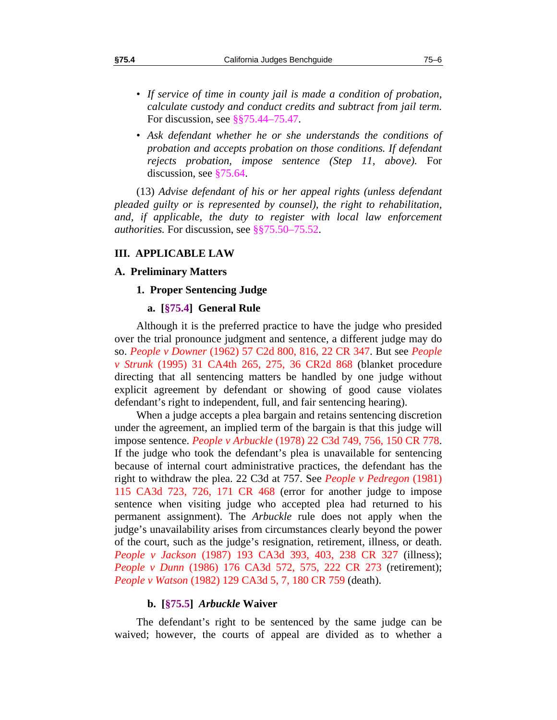- *If service of time in county jail is made a condition of probation, calculate custody and conduct credits and subtract from jail term.*  For discussion, see §[§75.44](#page-29-0)[–75.47](#page-31-1).
- *Ask defendant whether he or she understands the conditions of probation and accepts probation on those conditions. If defendant rejects probation, impose sentence (Step 11, above).* For discussion, see [§75.64](#page-44-1).

(13) *Advise defendant of his or her appeal rights (unless defendant pleaded guilty or is represented by counsel), the right to rehabilitation,*  and, if applicable, the duty to register with local law enforcement *authorities.* For discussion, see §[§75.50](#page-33-0)[–75.52](#page-34-0).

#### **III. APPLICABLE LAW**

## **A. Preliminary Matters**

#### **1. Proper Sentencing Judge**

#### **a. [§75.4] General Rule**

<span id="page-7-0"></span>Although it is the preferred practice to have the judge who presided over the trial pronounce judgment and sentence, a different judge may do so. *People v Downer* (1962) 57 C2d 800, 816, 22 CR 347. But see *People v Strunk* (1995) 31 CA4th 265, 275, 36 CR2d 868 (blanket procedure directing that all sentencing matters be handled by one judge without explicit agreement by defendant or showing of good cause violates defendant's right to independent, full, and fair sentencing hearing).

When a judge accepts a plea bargain and retains sentencing discretion under the agreement, an implied term of the bargain is that this judge will impose sentence. *People v Arbuckle* (1978) 22 C3d 749, 756, 150 CR 778. If the judge who took the defendant's plea is unavailable for sentencing because of internal court administrative practices, the defendant has the right to withdraw the plea. 22 C3d at 757. See *People v Pedregon* (1981) 115 CA3d 723, 726, 171 CR 468 (error for another judge to impose sentence when visiting judge who accepted plea had returned to his permanent assignment). The *Arbuckle* rule does not apply when the judge's unavailability arises from circumstances clearly beyond the power of the court, such as the judge's resignation, retirement, illness, or death. *People v Jackson* (1987) 193 CA3d 393, 403, 238 CR 327 (illness); *People v Dunn* (1986) 176 CA3d 572, 575, 222 CR 273 (retirement); *People v Watson* (1982) 129 CA3d 5, 7, 180 CR 759 (death).

#### **b. [§75.5]** *Arbuckle* **Waiver**

<span id="page-7-1"></span>The defendant's right to be sentenced by the same judge can be waived; however, the courts of appeal are divided as to whether a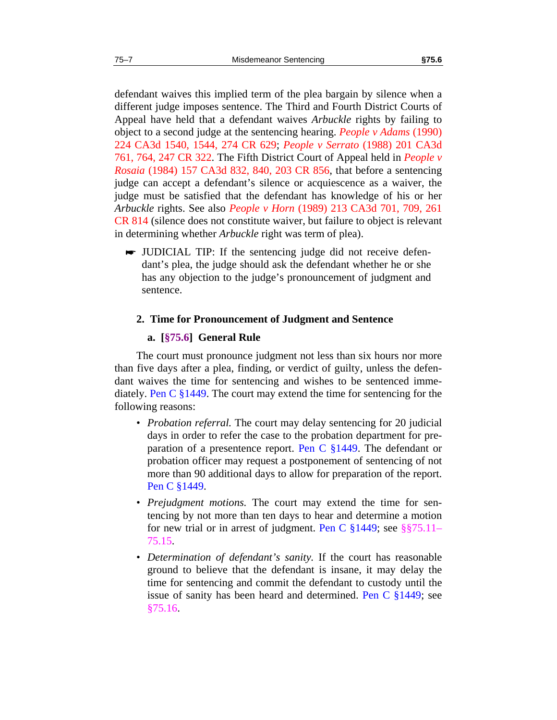defendant waives this implied term of the plea bargain by silence when a different judge imposes sentence. The Third and Fourth District Courts of Appeal have held that a defendant waives *Arbuckle* rights by failing to object to a second judge at the sentencing hearing. *People v Adams* (1990) 224 CA3d 1540, 1544, 274 CR 629; *People v Serrato* (1988) 201 CA3d 761, 764, 247 CR 322. The Fifth District Court of Appeal held in *People v Rosaia* (1984) 157 CA3d 832, 840, 203 CR 856, that before a sentencing judge can accept a defendant's silence or acquiescence as a waiver, the judge must be satisfied that the defendant has knowledge of his or her *Arbuckle* rights. See also *People v Horn* (1989) 213 CA3d 701, 709, 261 CR 814 (silence does not constitute waiver, but failure to object is relevant in determining whether *Arbuckle* right was term of plea).

 JUDICIAL TIP: If the sentencing judge did not receive defendant's plea, the judge should ask the defendant whether he or she has any objection to the judge's pronouncement of judgment and sentence.

#### **2. Time for Pronouncement of Judgment and Sentence**

## **a. [§75.6] General Rule**

<span id="page-8-0"></span>The court must pronounce judgment not less than six hours nor more than five days after a plea, finding, or verdict of guilty, unless the defendant waives the time for sentencing and wishes to be sentenced immediately. Pen C §1449. The court may extend the time for sentencing for the following reasons:

- *Probation referral*. The court may delay sentencing for 20 judicial days in order to refer the case to the probation department for preparation of a presentence report. Pen C §1449. The defendant or probation officer may request a postponement of sentencing of not more than 90 additional days to allow for preparation of the report. Pen C §1449.
- *Prejudgment motions.* The court may extend the time for sentencing by not more than ten days to hear and determine a motion for new trial or in arrest of judgment. Pen C §1449; see §[§75.11](#page-10-1)– [75.15](#page-12-1).
- *Determination of defendant's sanity.* If the court has reasonable ground to believe that the defendant is insane, it may delay the time for sentencing and commit the defendant to custody until the issue of sanity has been heard and determined. Pen C §1449; see [§75.16](#page-12-2).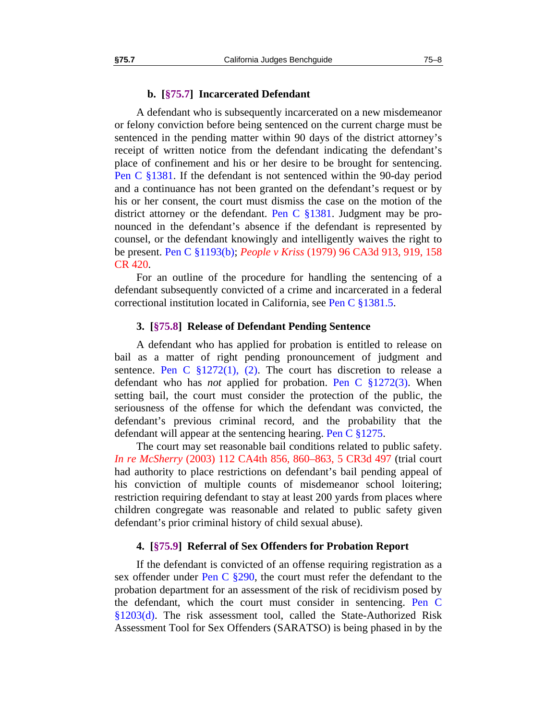#### **b. [§75.7] Incarcerated Defendant**

<span id="page-9-0"></span>A defendant who is subsequently incarcerated on a new misdemeanor or felony conviction before being sentenced on the current charge must be sentenced in the pending matter within 90 days of the district attorney's receipt of written notice from the defendant indicating the defendant's place of confinement and his or her desire to be brought for sentencing. Pen C §1381. If the defendant is not sentenced within the 90-day period and a continuance has not been granted on the defendant's request or by his or her consent, the court must dismiss the case on the motion of the district attorney or the defendant. Pen C §1381. Judgment may be pronounced in the defendant's absence if the defendant is represented by counsel, or the defendant knowingly and intelligently waives the right to be present. Pen C §1193(b); *People v Kriss* (1979) 96 CA3d 913, 919, 158 CR 420.

For an outline of the procedure for handling the sentencing of a defendant subsequently convicted of a crime and incarcerated in a federal correctional institution located in California, see Pen C §1381.5.

#### **3. [§75.8] Release of Defendant Pending Sentence**

<span id="page-9-1"></span>A defendant who has applied for probation is entitled to release on bail as a matter of right pending pronouncement of judgment and sentence. Pen C  $\S 1272(1)$ , (2). The court has discretion to release a defendant who has *not* applied for probation. Pen C §1272(3). When setting bail, the court must consider the protection of the public, the seriousness of the offense for which the defendant was convicted, the defendant's previous criminal record, and the probability that the defendant will appear at the sentencing hearing. Pen C §1275.

The court may set reasonable bail conditions related to public safety. *In re McSherry* (2003) 112 CA4th 856, 860–863, 5 CR3d 497 (trial court had authority to place restrictions on defendant's bail pending appeal of his conviction of multiple counts of misdemeanor school loitering; restriction requiring defendant to stay at least 200 yards from places where children congregate was reasonable and related to public safety given defendant's prior criminal history of child sexual abuse).

#### **4. [§75.9] Referral of Sex Offenders for Probation Report**

<span id="page-9-2"></span>If the defendant is convicted of an offense requiring registration as a sex offender under Pen C §290, the court must refer the defendant to the probation department for an assessment of the risk of recidivism posed by the defendant, which the court must consider in sentencing. Pen C §1203(d). The risk assessment tool, called the State-Authorized Risk Assessment Tool for Sex Offenders (SARATSO) is being phased in by the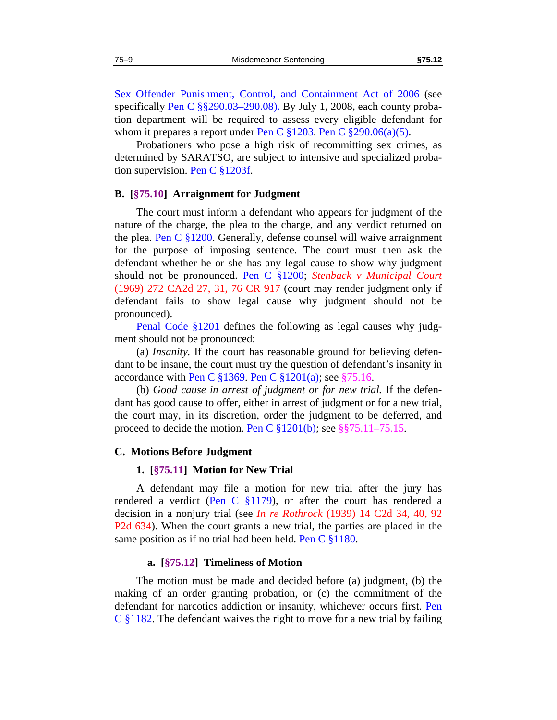Sex Offender Punishment, Control, and Containment Act of 2006 (see specifically Pen C §§290.03–290.08). By July 1, 2008, each county probation department will be required to assess every eligible defendant for whom it prepares a report under Pen C  $\S 1203$ . Pen C  $\S 290.06(a)(5)$ .

Probationers who pose a high risk of recommitting sex crimes, as determined by SARATSO, are subject to intensive and specialized probation supervision. Pen C §1203f.

#### <span id="page-10-0"></span>**B. [§75.10] Arraignment for Judgment**

The court must inform a defendant who appears for judgment of the nature of the charge, the plea to the charge, and any verdict returned on the plea. Pen C §1200. Generally, defense counsel will waive arraignment for the purpose of imposing sentence. The court must then ask the defendant whether he or she has any legal cause to show why judgment should not be pronounced. Pen C §1200; *Stenback v Municipal Court* (1969) 272 CA2d 27, 31, 76 CR 917 (court may render judgment only if defendant fails to show legal cause why judgment should not be pronounced).

Penal Code §1201 defines the following as legal causes why judgment should not be pronounced:

(a) *Insanity.* If the court has reasonable ground for believing defendant to be insane, the court must try the question of defendant's insanity in accordance with Pen C  $\S 1369$ . Pen C  $\S 1201(a)$ ; see  $\S 75.16$ .

(b) *Good cause in arrest of judgment or for new trial.* If the defendant has good cause to offer, either in arrest of judgment or for a new trial, the court may, in its discretion, order the judgment to be deferred, and proceed to decide the motion. Pen C  $\S 1201(b)$ ; see  $\S \ \ 75.11-75.15$ .

#### <span id="page-10-1"></span>**C. Motions Before Judgment**

#### **1. [§75.11] Motion for New Trial**

A defendant may file a motion for new trial after the jury has rendered a verdict (Pen C  $\S1179$ ), or after the court has rendered a decision in a nonjury trial (see *In re Rothrock* (1939) 14 C2d 34, 40, 92 P2d 634). When the court grants a new trial, the parties are placed in the same position as if no trial had been held. Pen C §1180.

#### **a. [§75.12] Timeliness of Motion**

<span id="page-10-2"></span>The motion must be made and decided before (a) judgment, (b) the making of an order granting probation, or (c) the commitment of the defendant for narcotics addiction or insanity, whichever occurs first. Pen C §1182. The defendant waives the right to move for a new trial by failing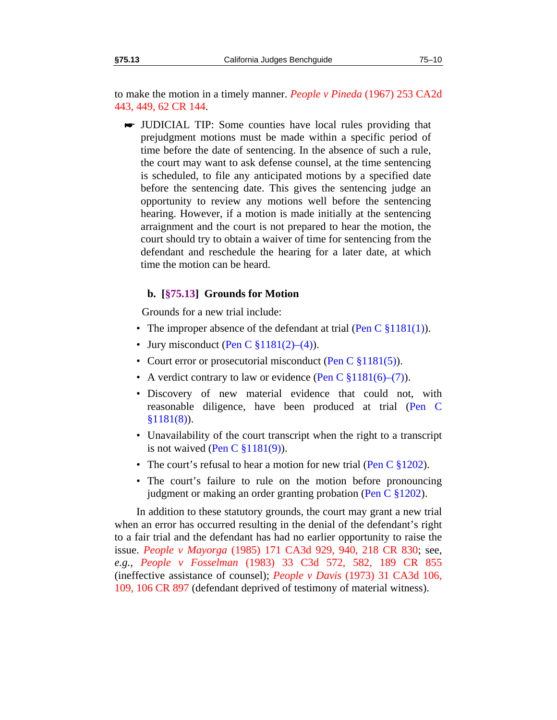to make the motion in a timely manner. *People v Pineda* (1967) 253 CA2d 443, 449, 62 CR 144.

 JUDICIAL TIP: Some counties have local rules providing that prejudgment motions must be made within a specific period of time before the date of sentencing. In the absence of such a rule, the court may want to ask defense counsel, at the time sentencing is scheduled, to file any anticipated motions by a specified date before the sentencing date. This gives the sentencing judge an opportunity to review any motions well before the sentencing hearing. However, if a motion is made initially at the sentencing arraignment and the court is not prepared to hear the motion, the court should try to obtain a waiver of time for sentencing from the defendant and reschedule the hearing for a later date, at which time the motion can be heard.

## **b. [§75.13] Grounds for Motion**

Grounds for a new trial include:

- <span id="page-11-0"></span>• The improper absence of the defendant at trial (Pen C  $\S 1181(1)$ ).
- Jury misconduct (Pen C  $\S 1181(2)–(4)$ ).
- Court error or prosecutorial misconduct (Pen C §1181(5)).
- A verdict contrary to law or evidence (Pen C  $\S 1181(6)$ –(7)).
- Discovery of new material evidence that could not, with reasonable diligence, have been produced at trial (Pen C §1181(8)).
- Unavailability of the court transcript when the right to a transcript is not waived (Pen C  $\S 1181(9)$ ).
- The court's refusal to hear a motion for new trial (Pen C  $\S 1202$ ).
- The court's failure to rule on the motion before pronouncing judgment or making an order granting probation (Pen C §1202).

In addition to these statutory grounds, the court may grant a new trial when an error has occurred resulting in the denial of the defendant's right to a fair trial and the defendant has had no earlier opportunity to raise the issue. *People v Mayorga* (1985) 171 CA3d 929, 940, 218 CR 830; see, *e.g., People v Fosselman* (1983) 33 C3d 572, 582, 189 CR 855 (ineffective assistance of counsel); *People v Davis* (1973) 31 CA3d 106, 109, 106 CR 897 (defendant deprived of testimony of material witness).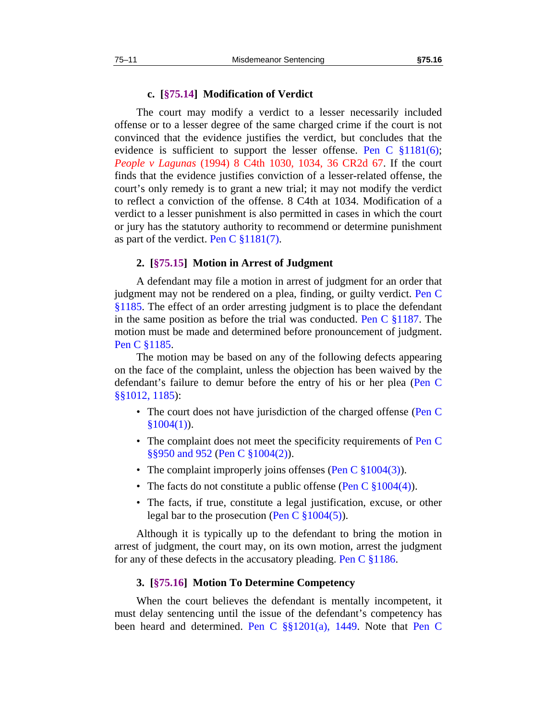#### **c. [§75.14] Modification of Verdict**

<span id="page-12-0"></span>The court may modify a verdict to a lesser necessarily included offense or to a lesser degree of the same charged crime if the court is not convinced that the evidence justifies the verdict, but concludes that the evidence is sufficient to support the lesser offense. Pen C §1181(6); *People v Lagunas* (1994) 8 C4th 1030, 1034, 36 CR2d 67. If the court finds that the evidence justifies conviction of a lesser-related offense, the court's only remedy is to grant a new trial; it may not modify the verdict to reflect a conviction of the offense. 8 C4th at 1034. Modification of a verdict to a lesser punishment is also permitted in cases in which the court or jury has the statutory authority to recommend or determine punishment as part of the verdict. Pen C  $\S 1181(7)$ .

#### **2. [§75.15] Motion in Arrest of Judgment**

<span id="page-12-1"></span>A defendant may file a motion in arrest of judgment for an order that judgment may not be rendered on a plea, finding, or guilty verdict. Pen C §1185. The effect of an order arresting judgment is to place the defendant in the same position as before the trial was conducted. Pen C §1187. The motion must be made and determined before pronouncement of judgment. Pen C §1185.

The motion may be based on any of the following defects appearing on the face of the complaint, unless the objection has been waived by the defendant's failure to demur before the entry of his or her plea (Pen C §§1012, 1185):

- The court does not have jurisdiction of the charged offense (Pen C)  $$1004(1)$ .
- The complaint does not meet the specificity requirements of Pen C §§950 and 952 (Pen C §1004(2)).
- The complaint improperly joins offenses (Pen C  $\S 1004(3)$ ).
- The facts do not constitute a public offense (Pen C  $\S 1004(4)$ ).
- The facts, if true, constitute a legal justification, excuse, or other legal bar to the prosecution (Pen C  $\S 1004(5)$ ).

Although it is typically up to the defendant to bring the motion in arrest of judgment, the court may, on its own motion, arrest the judgment for any of these defects in the accusatory pleading. Pen C §1186.

#### **3. [§75.16] Motion To Determine Competency**

<span id="page-12-2"></span>When the court believes the defendant is mentally incompetent, it must delay sentencing until the issue of the defendant's competency has been heard and determined. Pen C §§1201(a), 1449. Note that Pen C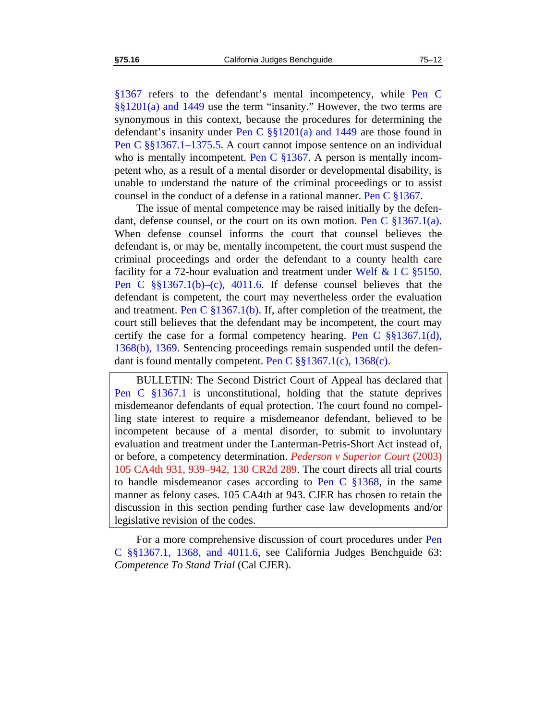§1367 refers to the defendant's mental incompetency, while Pen C §§1201(a) and 1449 use the term "insanity." However, the two terms are synonymous in this context, because the procedures for determining the defendant's insanity under Pen C  $\S$ [3]  $201(a)$  and 1449 are those found in Pen C §§1367.1–1375.5. A court cannot impose sentence on an individual who is mentally incompetent. Pen C  $\S 1367$ . A person is mentally incompetent who, as a result of a mental disorder or developmental disability, is unable to understand the nature of the criminal proceedings or to assist counsel in the conduct of a defense in a rational manner. Pen C §1367.

The issue of mental competence may be raised initially by the defendant, defense counsel, or the court on its own motion. Pen C §1367.1(a). When defense counsel informs the court that counsel believes the defendant is, or may be, mentally incompetent, the court must suspend the criminal proceedings and order the defendant to a county health care facility for a 72-hour evaluation and treatment under Welf & I C §5150. Pen C §§1367.1(b)–(c), 4011.6. If defense counsel believes that the defendant is competent, the court may nevertheless order the evaluation and treatment. Pen C §1367.1(b). If, after completion of the treatment, the court still believes that the defendant may be incompetent, the court may certify the case for a formal competency hearing. Pen C  $\S$ §1367.1(d), 1368(b), 1369. Sentencing proceedings remain suspended until the defendant is found mentally competent. Pen C  $\S$ §1367.1(c), 1368(c).

BULLETIN: The Second District Court of Appeal has declared that Pen C §1367.1 is unconstitutional, holding that the statute deprives misdemeanor defendants of equal protection. The court found no compelling state interest to require a misdemeanor defendant, believed to be incompetent because of a mental disorder, to submit to involuntary evaluation and treatment under the Lanterman-Petris-Short Act instead of, or before, a competency determination. *Pederson v Superior Court* (2003) 105 CA4th 931, 939–942, 130 CR2d 289. The court directs all trial courts to handle misdemeanor cases according to Pen C  $\S 1368$ , in the same manner as felony cases. 105 CA4th at 943. CJER has chosen to retain the discussion in this section pending further case law developments and/or legislative revision of the codes.

For a more comprehensive discussion of court procedures under Pen C §§1367.1, 1368, and 4011.6, see California Judges Benchguide 63: *Competence To Stand Trial* (Cal CJER).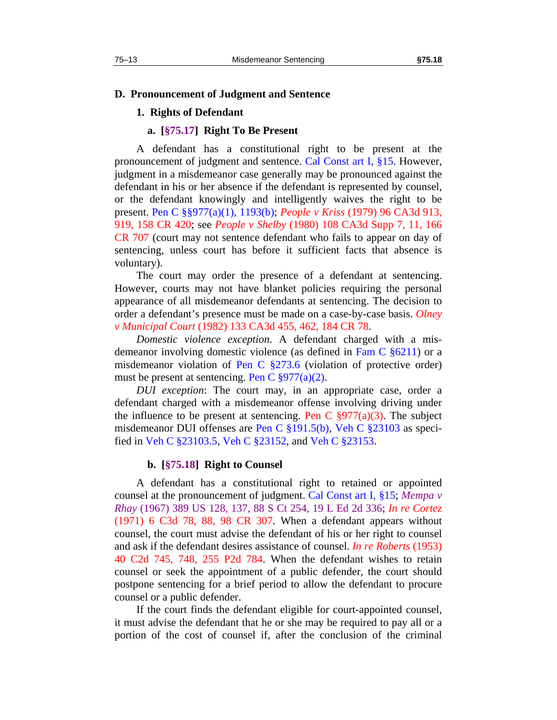#### **D. Pronouncement of Judgment and Sentence**

#### **1. Rights of Defendant**

#### **a. [§75.17] Right To Be Present**

<span id="page-14-0"></span>A defendant has a constitutional right to be present at the pronouncement of judgment and sentence. Cal Const art I, §15. However, judgment in a misdemeanor case generally may be pronounced against the defendant in his or her absence if the defendant is represented by counsel, or the defendant knowingly and intelligently waives the right to be present. Pen C §§977(a)(1), 1193(b); *People v Kriss* (1979) 96 CA3d 913, 919, 158 CR 420; see *People v Shelby* (1980) 108 CA3d Supp 7, 11, 166 CR 707 (court may not sentence defendant who fails to appear on day of sentencing, unless court has before it sufficient facts that absence is voluntary).

The court may order the presence of a defendant at sentencing. However, courts may not have blanket policies requiring the personal appearance of all misdemeanor defendants at sentencing. The decision to order a defendant's presence must be made on a case-by-case basis. *Olney v Municipal Court* (1982) 133 CA3d 455, 462, 184 CR 78.

*Domestic violence exception*. A defendant charged with a misdemeanor involving domestic violence (as defined in Fam C §6211) or a misdemeanor violation of Pen C §273.6 (violation of protective order) must be present at sentencing. Pen C  $\S 977(a)(2)$ .

*DUI exception*: The court may, in an appropriate case, order a defendant charged with a misdemeanor offense involving driving under the influence to be present at sentencing. Pen C  $\S 977(a)(3)$ . The subject misdemeanor DUI offenses are Pen C §191.5(b), Veh C §23103 as specified in Veh C §23103.5, Veh C §23152, and Veh C §23153.

#### **b. [§75.18] Right to Counsel**

<span id="page-14-1"></span>A defendant has a constitutional right to retained or appointed counsel at the pronouncement of judgment. Cal Const art I, §15; *Mempa v Rhay* (1967) 389 US 128, 137, 88 S Ct 254, 19 L Ed 2d 336; *In re Cortez* (1971) 6 C3d 78, 88, 98 CR 307. When a defendant appears without counsel, the court must advise the defendant of his or her right to counsel and ask if the defendant desires assistance of counsel. *In re Roberts* (1953) 40 C2d 745, 748, 255 P2d 784. When the defendant wishes to retain counsel or seek the appointment of a public defender, the court should postpone sentencing for a brief period to allow the defendant to procure counsel or a public defender.

If the court finds the defendant eligible for court-appointed counsel, it must advise the defendant that he or she may be required to pay all or a portion of the cost of counsel if, after the conclusion of the criminal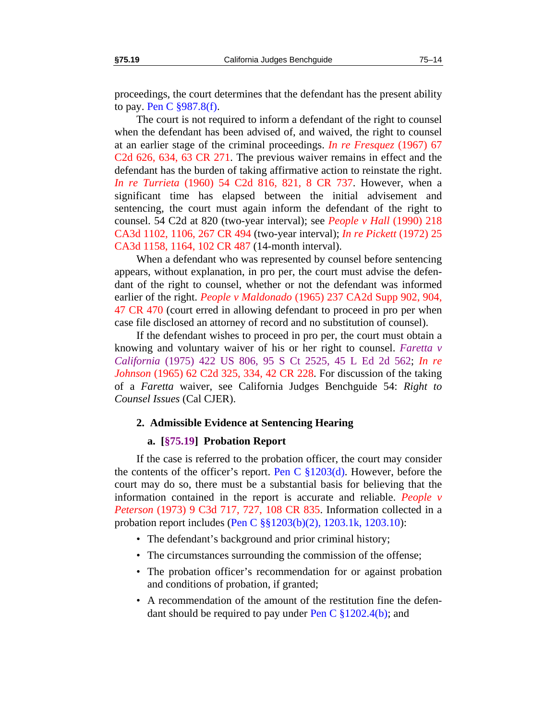proceedings, the court determines that the defendant has the present ability to pay. Pen C  $\S 987.8(f)$ .

The court is not required to inform a defendant of the right to counsel when the defendant has been advised of, and waived, the right to counsel at an earlier stage of the criminal proceedings. *In re Fresquez* (1967) 67 C2d 626, 634, 63 CR 271. The previous waiver remains in effect and the defendant has the burden of taking affirmative action to reinstate the right. *In re Turrieta* (1960) 54 C2d 816, 821, 8 CR 737. However, when a significant time has elapsed between the initial advisement and sentencing, the court must again inform the defendant of the right to counsel. 54 C2d at 820 (two-year interval); see *People v Hall* (1990) 218 CA3d 1102, 1106, 267 CR 494 (two-year interval); *In re Pickett* (1972) 25 CA3d 1158, 1164, 102 CR 487 (14-month interval).

When a defendant who was represented by counsel before sentencing appears, without explanation, in pro per, the court must advise the defendant of the right to counsel, whether or not the defendant was informed earlier of the right. *People v Maldonado* (1965) 237 CA2d Supp 902, 904, 47 CR 470 (court erred in allowing defendant to proceed in pro per when case file disclosed an attorney of record and no substitution of counsel).

If the defendant wishes to proceed in pro per, the court must obtain a knowing and voluntary waiver of his or her right to counsel. *Faretta v California* (1975) 422 US 806, 95 S Ct 2525, 45 L Ed 2d 562; *In re Johnson* (1965) 62 C2d 325, 334, 42 CR 228. For discussion of the taking of a *Faretta* waiver, see California Judges Benchguide 54: *Right to Counsel Issues* (Cal CJER).

#### **2. Admissible Evidence at Sentencing Hearing**

#### **a. [§75.19] Probation Report**

<span id="page-15-0"></span>If the case is referred to the probation officer, the court may consider the contents of the officer's report. Pen C  $\S 1203(d)$ . However, before the court may do so, there must be a substantial basis for believing that the information contained in the report is accurate and reliable. *People v Peterson* (1973) 9 C3d 717, 727, 108 CR 835. Information collected in a probation report includes (Pen C §§1203(b)(2), 1203.1k, 1203.10):

- The defendant's background and prior criminal history;
- The circumstances surrounding the commission of the offense;
- The probation officer's recommendation for or against probation and conditions of probation, if granted;
- A recommendation of the amount of the restitution fine the defendant should be required to pay under Pen C §1202.4(b); and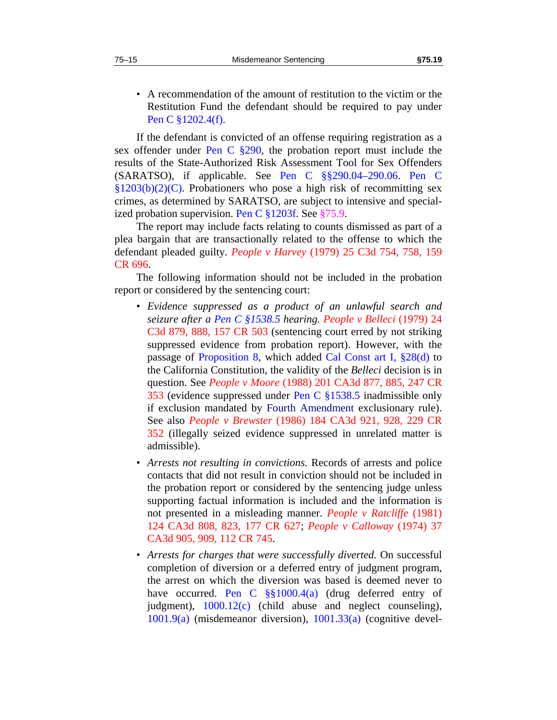- 
- A recommendation of the amount of restitution to the victim or the Restitution Fund the defendant should be required to pay under Pen C §1202.4(f).

If the defendant is convicted of an offense requiring registration as a sex offender under Pen C §290, the probation report must include the results of the State-Authorized Risk Assessment Tool for Sex Offenders (SARATSO), if applicable. See Pen C §§290.04–290.06. Pen C  $$1203(b)(2)(C)$ . Probationers who pose a high risk of recommitting sex crimes, as determined by SARATSO, are subject to intensive and specialized probation supervision. Pen C §1203f. See §[75.9.](#page-9-2)

The report may include facts relating to counts dismissed as part of a plea bargain that are transactionally related to the offense to which the defendant pleaded guilty. *People v Harvey* (1979) 25 C3d 754, 758, 159 CR 696.

The following information should not be included in the probation report or considered by the sentencing court:

- *Evidence suppressed as a product of an unlawful search and seizure after a Pen C §1538.5 hearing. People v Belleci* (1979) 24 C3d 879, 888, 157 CR 503 (sentencing court erred by not striking suppressed evidence from probation report). However, with the passage of Proposition 8, which added Cal Const art I, §28(d) to the California Constitution, the validity of the *Belleci* decision is in question. See *People v Moore* (1988) 201 CA3d 877, 885, 247 CR 353 (evidence suppressed under Pen C §1538.5 inadmissible only if exclusion mandated by Fourth Amendment exclusionary rule). See also *People v Brewster* (1986) 184 CA3d 921, 928, 229 CR 352 (illegally seized evidence suppressed in unrelated matter is admissible).
- *Arrests not resulting in convictions.* Records of arrests and police contacts that did not result in conviction should not be included in the probation report or considered by the sentencing judge unless supporting factual information is included and the information is not presented in a misleading manner. *People v Ratcliffe* (1981) 124 CA3d 808, 823, 177 CR 627; *People v Calloway* (1974) 37 CA3d 905, 909, 112 CR 745.
- *Arrests for charges that were successfully diverted.* On successful completion of diversion or a deferred entry of judgment program, the arrest on which the diversion was based is deemed never to have occurred. Pen C  $\S$ §1000.4(a) (drug deferred entry of judgment), 1000.12(c) (child abuse and neglect counseling), 1001.9(a) (misdemeanor diversion), 1001.33(a) (cognitive devel-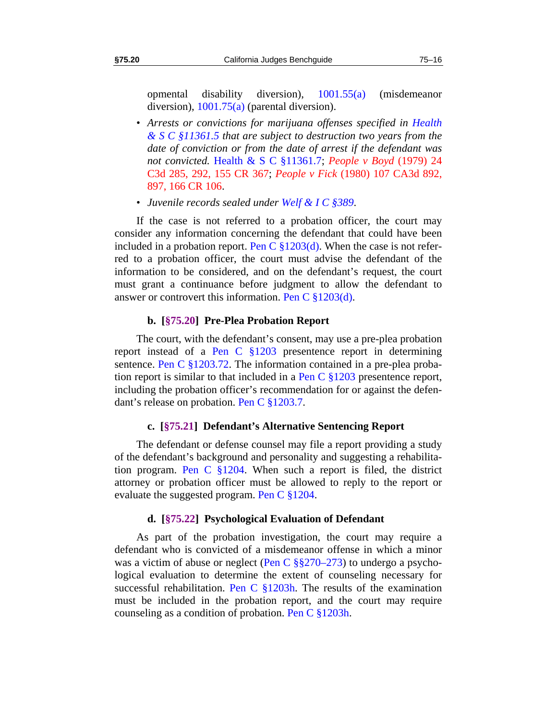opmental disability diversion), 1001.55(a) (misdemeanor diversion),  $1001.75(a)$  (parental diversion).

- *Arrests or convictions for marijuana offenses specified in Health & S C §11361.5 that are subject to destruction two years from the date of conviction or from the date of arrest if the defendant was not convicted.* Health & S C §11361.7; *People v Boyd* (1979) 24 C3d 285, 292, 155 CR 367; *People v Fick* (1980) 107 CA3d 892, 897, 166 CR 106.
- *Juvenile records sealed under Welf & I C §389*.

If the case is not referred to a probation officer, the court may consider any information concerning the defendant that could have been included in a probation report. Pen C  $\S 1203(d)$ . When the case is not referred to a probation officer, the court must advise the defendant of the information to be considered, and on the defendant's request, the court must grant a continuance before judgment to allow the defendant to answer or controvert this information. Pen C §1203(d).

#### **b. [§75.20] Pre-Plea Probation Report**

<span id="page-17-0"></span>The court, with the defendant's consent, may use a pre-plea probation report instead of a Pen C §1203 presentence report in determining sentence. Pen C §1203.72. The information contained in a pre-plea probation report is similar to that included in a Pen C §1203 presentence report, including the probation officer's recommendation for or against the defendant's release on probation. Pen C §1203.7.

## **c. [§75.21] Defendant's Alternative Sentencing Report**

<span id="page-17-1"></span>The defendant or defense counsel may file a report providing a study of the defendant's background and personality and suggesting a rehabilitation program. Pen C §1204. When such a report is filed, the district attorney or probation officer must be allowed to reply to the report or evaluate the suggested program. Pen C §1204.

#### **d. [§75.22] Psychological Evaluation of Defendant**

<span id="page-17-2"></span>As part of the probation investigation, the court may require a defendant who is convicted of a misdemeanor offense in which a minor was a victim of abuse or neglect (Pen C  $\S$  $\S$ 270–273) to undergo a psychological evaluation to determine the extent of counseling necessary for successful rehabilitation. Pen C  $\S 1203h$ . The results of the examination must be included in the probation report, and the court may require counseling as a condition of probation. Pen C  $\S 1203h$ .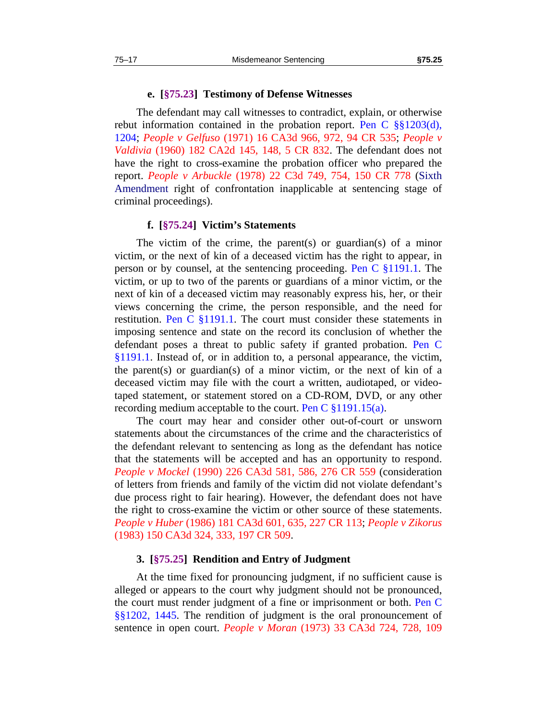#### **e. [§75.23] Testimony of Defense Witnesses**

<span id="page-18-0"></span>The defendant may call witnesses to contradict, explain, or otherwise rebut information contained in the probation report. Pen C  $\S$ §1203(d), 1204; *People v Gelfuso* (1971) 16 CA3d 966, 972, 94 CR 535; *People v Valdivia* (1960) 182 CA2d 145, 148, 5 CR 832. The defendant does not have the right to cross-examine the probation officer who prepared the report. *People v Arbuckle* (1978) 22 C3d 749, 754, 150 CR 778 (Sixth Amendment right of confrontation inapplicable at sentencing stage of criminal proceedings).

#### **f. [§75.24] Victim's Statements**

<span id="page-18-1"></span>The victim of the crime, the parent(s) or guardian(s) of a minor victim, or the next of kin of a deceased victim has the right to appear, in person or by counsel, at the sentencing proceeding. Pen C §1191.1. The victim, or up to two of the parents or guardians of a minor victim, or the next of kin of a deceased victim may reasonably express his, her, or their views concerning the crime, the person responsible, and the need for restitution. Pen C  $\S1191.1$ . The court must consider these statements in imposing sentence and state on the record its conclusion of whether the defendant poses a threat to public safety if granted probation. Pen C §1191.1. Instead of, or in addition to, a personal appearance, the victim, the parent(s) or guardian(s) of a minor victim, or the next of kin of a deceased victim may file with the court a written, audiotaped, or videotaped statement, or statement stored on a CD-ROM, DVD, or any other recording medium acceptable to the court. Pen C  $\S 1191.15(a)$ .

The court may hear and consider other out-of-court or unsworn statements about the circumstances of the crime and the characteristics of the defendant relevant to sentencing as long as the defendant has notice that the statements will be accepted and has an opportunity to respond. *People v Mockel* (1990) 226 CA3d 581, 586, 276 CR 559 (consideration of letters from friends and family of the victim did not violate defendant's due process right to fair hearing). However, the defendant does not have the right to cross-examine the victim or other source of these statements. *People v Huber* (1986) 181 CA3d 601, 635, 227 CR 113; *People v Zikorus* (1983) 150 CA3d 324, 333, 197 CR 509.

#### **3. [§75.25] Rendition and Entry of Judgment**

<span id="page-18-2"></span>At the time fixed for pronouncing judgment, if no sufficient cause is alleged or appears to the court why judgment should not be pronounced, the court must render judgment of a fine or imprisonment or both. Pen C §§1202, 1445. The rendition of judgment is the oral pronouncement of sentence in open court. *People v Moran* (1973) 33 CA3d 724, 728, 109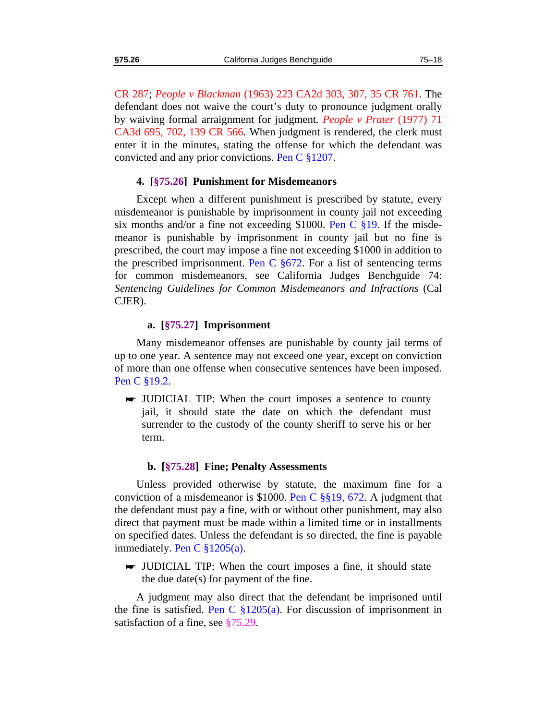CR 287; *People v Blackman* (1963) 223 CA2d 303, 307, 35 CR 761. The defendant does not waive the court's duty to pronounce judgment orally by waiving formal arraignment for judgment. *People v Prater* (1977) 71 CA3d 695, 702, 139 CR 566. When judgment is rendered, the clerk must enter it in the minutes, stating the offense for which the defendant was convicted and any prior convictions. Pen C §1207.

#### **4. [§75.26] Punishment for Misdemeanors**

<span id="page-19-0"></span>Except when a different punishment is prescribed by statute, every misdemeanor is punishable by imprisonment in county jail not exceeding six months and/or a fine not exceeding \$1000. Pen C §19. If the misdemeanor is punishable by imprisonment in county jail but no fine is prescribed, the court may impose a fine not exceeding \$1000 in addition to the prescribed imprisonment. Pen C  $\S672$ . For a list of sentencing terms for common misdemeanors, see California Judges Benchguide 74: *Sentencing Guidelines for Common Misdemeanors and Infractions* (Cal CJER).

#### **a. [§75.27] Imprisonment**

<span id="page-19-1"></span>Many misdemeanor offenses are punishable by county jail terms of up to one year. A sentence may not exceed one year, except on conviction of more than one offense when consecutive sentences have been imposed. Pen C §19.2.

 JUDICIAL TIP: When the court imposes a sentence to county jail, it should state the date on which the defendant must surrender to the custody of the county sheriff to serve his or her term.

#### **b. [§75.28] Fine; Penalty Assessments**

<span id="page-19-2"></span>Unless provided otherwise by statute, the maximum fine for a conviction of a misdemeanor is \$1000. Pen C §§19, 672. A judgment that the defendant must pay a fine, with or without other punishment, may also direct that payment must be made within a limited time or in installments on specified dates. Unless the defendant is so directed, the fine is payable immediately. Pen C  $\S 1205(a)$ .

 JUDICIAL TIP: When the court imposes a fine, it should state the due date(s) for payment of the fine.

A judgment may also direct that the defendant be imprisoned until the fine is satisfied. Pen C  $\S 1205(a)$ . For discussion of imprisonment in satisfaction of a fine, see [§75.29](#page-20-0).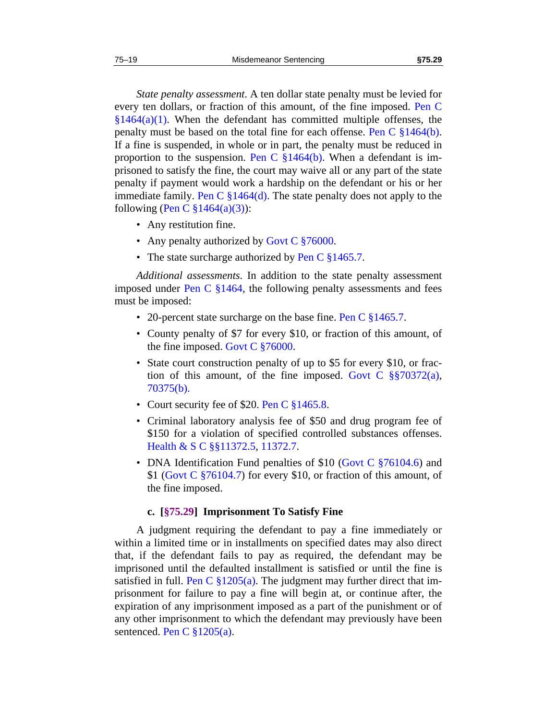*State penalty assessment*. A ten dollar state penalty must be levied for every ten dollars, or fraction of this amount, of the fine imposed. Pen C  $§1464(a)(1)$ . When the defendant has committed multiple offenses, the penalty must be based on the total fine for each offense. Pen C §1464(b). If a fine is suspended, in whole or in part, the penalty must be reduced in proportion to the suspension. Pen C  $\S 1464(b)$ . When a defendant is imprisoned to satisfy the fine, the court may waive all or any part of the state penalty if payment would work a hardship on the defendant or his or her immediate family. Pen C  $\S1464(d)$ . The state penalty does not apply to the following (Pen C  $\S 1464(a)(3)$ ):

- Any restitution fine.
- Any penalty authorized by Govt C §76000.
- The state surcharge authorized by Pen C §1465.7.

*Additional assessments*. In addition to the state penalty assessment imposed under Pen C  $\S1464$ , the following penalty assessments and fees must be imposed:

- 20-percent state surcharge on the base fine. Pen C  $\S 1465.7$ .
- County penalty of \$7 for every \$10, or fraction of this amount, of the fine imposed. Govt C §76000.
- State court construction penalty of up to \$5 for every \$10, or fraction of this amount, of the fine imposed. Govt C  $\S$ §70372(a), 70375(b).
- Court security fee of \$20. Pen C §1465.8.
- Criminal laboratory analysis fee of \$50 and drug program fee of \$150 for a violation of specified controlled substances offenses. Health & S C §§11372.5, 11372.7.
- DNA Identification Fund penalties of \$10 (Govt C  $$76104.6$ ) and \$1 (Govt C §76104.7) for every \$10, or fraction of this amount, of the fine imposed.

## **c. [§75.29] Imprisonment To Satisfy Fine**

<span id="page-20-0"></span>A judgment requiring the defendant to pay a fine immediately or within a limited time or in installments on specified dates may also direct that, if the defendant fails to pay as required, the defendant may be imprisoned until the defaulted installment is satisfied or until the fine is satisfied in full. Pen C  $\S 1205(a)$ . The judgment may further direct that imprisonment for failure to pay a fine will begin at, or continue after, the expiration of any imprisonment imposed as a part of the punishment or of any other imprisonment to which the defendant may previously have been sentenced. Pen C §1205(a).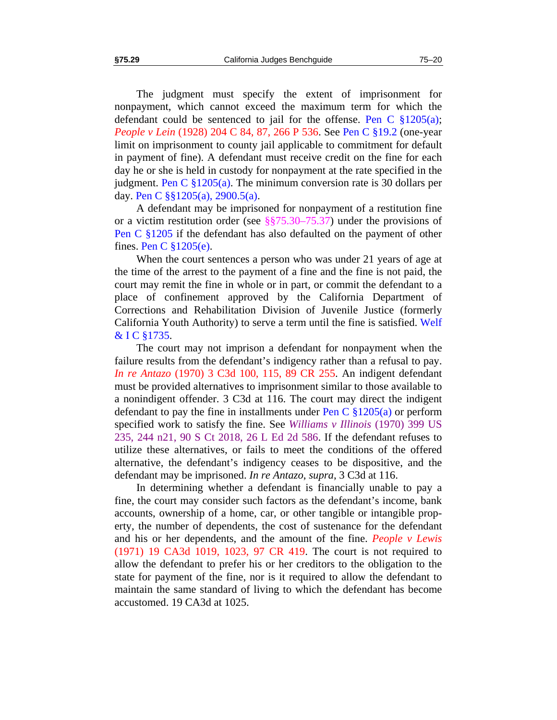The judgment must specify the extent of imprisonment for nonpayment, which cannot exceed the maximum term for which the defendant could be sentenced to jail for the offense. Pen C  $\S 1205(a)$ ; *People v Lein* (1928) 204 C 84, 87, 266 P 536. See Pen C §19.2 (one-year

limit on imprisonment to county jail applicable to commitment for default in payment of fine). A defendant must receive credit on the fine for each day he or she is held in custody for nonpayment at the rate specified in the judgment. Pen C  $\S 1205(a)$ . The minimum conversion rate is 30 dollars per day. Pen C §§1205(a), 2900.5(a).

A defendant may be imprisoned for nonpayment of a restitution fine or a victim restitution order (see §[§75.30](#page-22-0)[–75.37](#page-25-0)) under the provisions of Pen C §1205 if the defendant has also defaulted on the payment of other fines. Pen C §1205(e).

When the court sentences a person who was under 21 years of age at the time of the arrest to the payment of a fine and the fine is not paid, the court may remit the fine in whole or in part, or commit the defendant to a place of confinement approved by the California Department of Corrections and Rehabilitation Division of Juvenile Justice (formerly California Youth Authority) to serve a term until the fine is satisfied. Welf & I C §1735.

The court may not imprison a defendant for nonpayment when the failure results from the defendant's indigency rather than a refusal to pay. *In re Antazo* (1970) 3 C3d 100, 115, 89 CR 255. An indigent defendant must be provided alternatives to imprisonment similar to those available to a nonindigent offender. 3 C3d at 116. The court may direct the indigent defendant to pay the fine in installments under Pen C  $\S 1205(a)$  or perform specified work to satisfy the fine. See *Williams v Illinois* (1970) 399 US 235, 244 n21, 90 S Ct 2018, 26 L Ed 2d 586. If the defendant refuses to utilize these alternatives, or fails to meet the conditions of the offered alternative, the defendant's indigency ceases to be dispositive, and the defendant may be imprisoned. *In re Antazo*, *supra*, 3 C3d at 116.

In determining whether a defendant is financially unable to pay a fine, the court may consider such factors as the defendant's income, bank accounts, ownership of a home, car, or other tangible or intangible property, the number of dependents, the cost of sustenance for the defendant and his or her dependents, and the amount of the fine. *People v Lewis* (1971) 19 CA3d 1019, 1023, 97 CR 419. The court is not required to allow the defendant to prefer his or her creditors to the obligation to the state for payment of the fine, nor is it required to allow the defendant to maintain the same standard of living to which the defendant has become accustomed. 19 CA3d at 1025.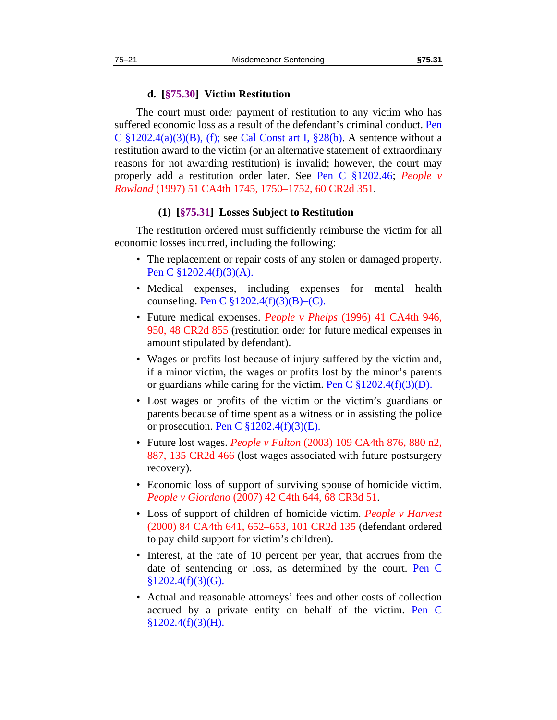#### **d. [§75.30] Victim Restitution**

<span id="page-22-0"></span>The court must order payment of restitution to any victim who has suffered economic loss as a result of the defendant's criminal conduct. Pen C  $\S 1202.4(a)(3)(B)$ , (f); see Cal Const art I,  $\S 28(b)$ . A sentence without a restitution award to the victim (or an alternative statement of extraordinary reasons for not awarding restitution) is invalid; however, the court may properly add a restitution order later. See Pen C §1202.46; *People v Rowland* (1997) 51 CA4th 1745, 1750–1752, 60 CR2d 351.

#### **(1) [§75.31] Losses Subject to Restitution**

<span id="page-22-1"></span>The restitution ordered must sufficiently reimburse the victim for all economic losses incurred, including the following:

- The replacement or repair costs of any stolen or damaged property. Pen C §1202.4(f)(3)(A).
- Medical expenses, including expenses for mental health counseling. Pen C §1202.4(f)(3)(B)–(C).
- Future medical expenses. *People v Phelps* (1996) 41 CA4th 946, 950, 48 CR2d 855 (restitution order for future medical expenses in amount stipulated by defendant).
- Wages or profits lost because of injury suffered by the victim and, if a minor victim, the wages or profits lost by the minor's parents or guardians while caring for the victim. Pen C  $\S 1202.4(f)(3)(D)$ .
- Lost wages or profits of the victim or the victim's guardians or parents because of time spent as a witness or in assisting the police or prosecution. Pen C  $\frac{\$1202.4(f)(3)(E)}{2}$ .
- Future lost wages. *People v Fulton* (2003) 109 CA4th 876, 880 n2, 887, 135 CR2d 466 (lost wages associated with future postsurgery recovery).
- Economic loss of support of surviving spouse of homicide victim. *People v Giordano* (2007) 42 C4th 644, 68 CR3d 51.
- Loss of support of children of homicide victim. *People v Harvest* (2000) 84 CA4th 641, 652–653, 101 CR2d 135 (defendant ordered to pay child support for victim's children).
- Interest, at the rate of 10 percent per year, that accrues from the date of sentencing or loss, as determined by the court. Pen C §1202.4(f)(3)(G).
- Actual and reasonable attorneys' fees and other costs of collection accrued by a private entity on behalf of the victim. Pen C  $§1202.4(f)(3)(H).$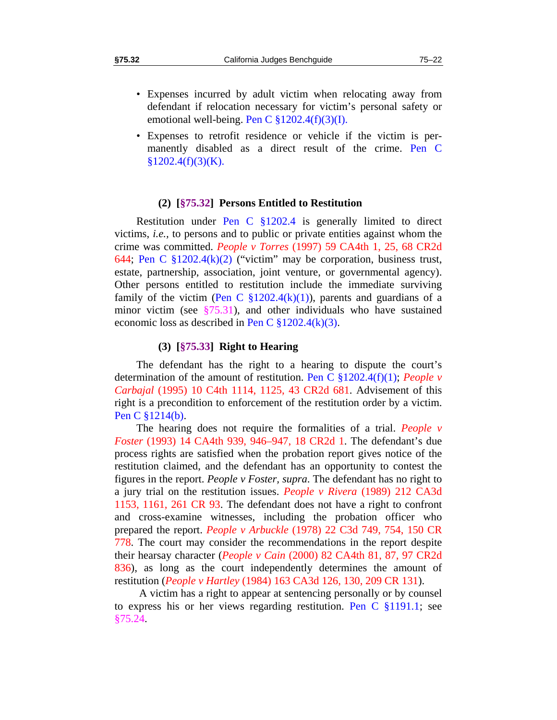- 
- Expenses incurred by adult victim when relocating away from defendant if relocation necessary for victim's personal safety or emotional well-being. Pen C  $\S 1202.4(f)(3)(I)$ .
- Expenses to retrofit residence or vehicle if the victim is permanently disabled as a direct result of the crime. Pen C  $§1202.4(f)(3)(K).$

#### **(2) [§75.32] Persons Entitled to Restitution**

<span id="page-23-0"></span>Restitution under Pen C §1202.4 is generally limited to direct victims, *i.e.,* to persons and to public or private entities against whom the crime was committed. *People v Torres* (1997) 59 CA4th 1, 25, 68 CR2d 644; Pen C  $$1202.4(k)(2)$  ("victim" may be corporation, business trust, estate, partnership, association, joint venture, or governmental agency). Other persons entitled to restitution include the immediate surviving family of the victim (Pen C  $$1202.4(k)(1)$ ), parents and guardians of a minor victim (see  $\S$ [75.31\)](#page-22-1), and other individuals who have sustained economic loss as described in Pen C  $$1202.4(k)(3)$ .

#### **(3) [§75.33] Right to Hearing**

<span id="page-23-1"></span>The defendant has the right to a hearing to dispute the court's determination of the amount of restitution. Pen C §1202.4(f)(1); *People v Carbajal* (1995) 10 C4th 1114, 1125, 43 CR2d 681. Advisement of this right is a precondition to enforcement of the restitution order by a victim. Pen C §1214(b).

The hearing does not require the formalities of a trial. *People v Foster* (1993) 14 CA4th 939, 946–947, 18 CR2d 1. The defendant's due process rights are satisfied when the probation report gives notice of the restitution claimed, and the defendant has an opportunity to contest the figures in the report. *People v Foster, supra*. The defendant has no right to a jury trial on the restitution issues. *People v Rivera* (1989) 212 CA3d 1153, 1161, 261 CR 93. The defendant does not have a right to confront and cross-examine witnesses, including the probation officer who prepared the report. *People v Arbuckle* (1978) 22 C3d 749, 754, 150 CR 778. The court may consider the recommendations in the report despite their hearsay character (*People v Cain* (2000) 82 CA4th 81, 87, 97 CR2d 836), as long as the court independently determines the amount of restitution (*People v Hartley* (1984) 163 CA3d 126, 130, 209 CR 131).

 A victim has a right to appear at sentencing personally or by counsel to express his or her views regarding restitution. Pen C §1191.1; see [§75.24](#page-18-1).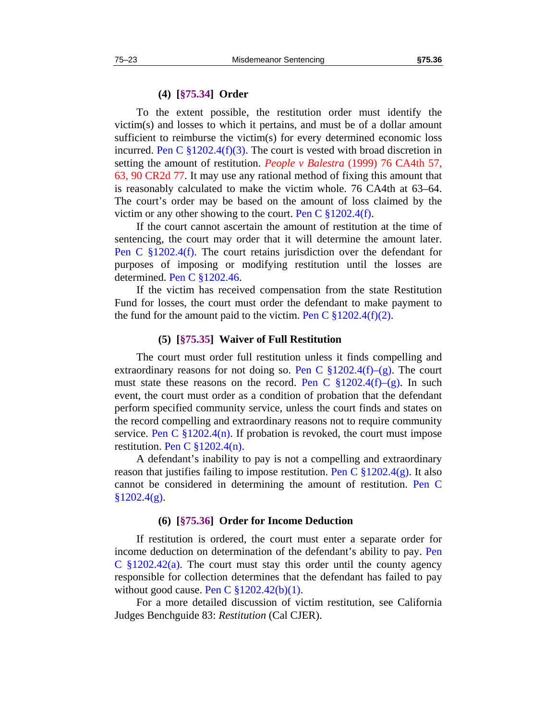<span id="page-24-0"></span>To the extent possible, the restitution order must identify the victim(s) and losses to which it pertains, and must be of a dollar amount sufficient to reimburse the victim(s) for every determined economic loss incurred. Pen C  $\S 1202.4(f)(3)$ . The court is vested with broad discretion in setting the amount of restitution. *People v Balestra* (1999) 76 CA4th 57, 63, 90 CR2d 77. It may use any rational method of fixing this amount that is reasonably calculated to make the victim whole. 76 CA4th at 63–64. The court's order may be based on the amount of loss claimed by the victim or any other showing to the court. Pen C  $\S 1202.4(f)$ .

If the court cannot ascertain the amount of restitution at the time of sentencing, the court may order that it will determine the amount later. Pen C §1202.4(f). The court retains jurisdiction over the defendant for purposes of imposing or modifying restitution until the losses are determined. Pen C §1202.46.

If the victim has received compensation from the state Restitution Fund for losses, the court must order the defendant to make payment to the fund for the amount paid to the victim. Pen C  $\S 1202.4(f)(2)$ .

#### **(5) [§75.35] Waiver of Full Restitution**

<span id="page-24-1"></span>The court must order full restitution unless it finds compelling and extraordinary reasons for not doing so. Pen C  $\S 1202.4(f)$ –(g). The court must state these reasons on the record. Pen C  $\S 1202.4(f)$ –(g). In such event, the court must order as a condition of probation that the defendant perform specified community service, unless the court finds and states on the record compelling and extraordinary reasons not to require community service. Pen C  $\S 1202.4(n)$ . If probation is revoked, the court must impose restitution. Pen C §1202.4(n).

A defendant's inability to pay is not a compelling and extraordinary reason that justifies failing to impose restitution. Pen C  $\S 1202.4(g)$ . It also cannot be considered in determining the amount of restitution. Pen C  $§1202.4(g).$ 

#### **(6) [§75.36] Order for Income Deduction**

<span id="page-24-2"></span>If restitution is ordered, the court must enter a separate order for income deduction on determination of the defendant's ability to pay. Pen C  $\S 1202.42(a)$ . The court must stay this order until the county agency responsible for collection determines that the defendant has failed to pay without good cause. Pen C  $$1202.42(b)(1)$ .

For a more detailed discussion of victim restitution, see California Judges Benchguide 83: *Restitution* (Cal CJER).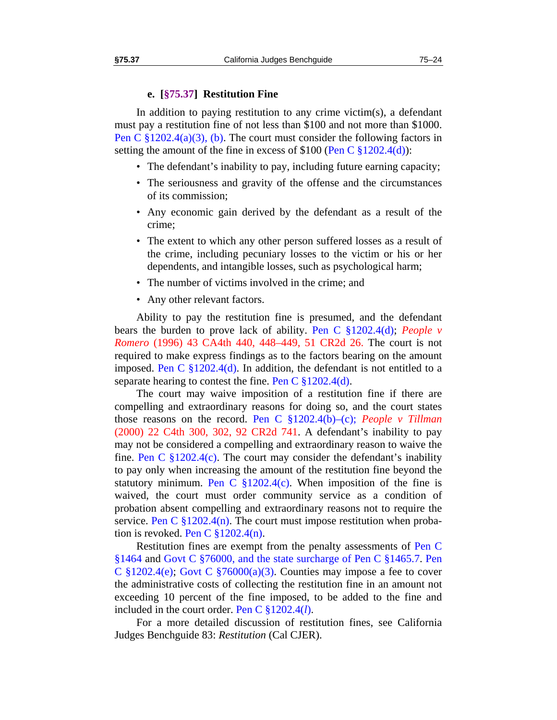<span id="page-25-0"></span>In addition to paying restitution to any crime victim(s), a defendant must pay a restitution fine of not less than \$100 and not more than \$1000. Pen C  $\S 1202.4(a)(3)$ , (b). The court must consider the following factors in setting the amount of the fine in excess of  $$100$  (Pen C  $$1202.4(d)$ ):

- The defendant's inability to pay, including future earning capacity;
- The seriousness and gravity of the offense and the circumstances of its commission;
- Any economic gain derived by the defendant as a result of the crime;
- The extent to which any other person suffered losses as a result of the crime, including pecuniary losses to the victim or his or her dependents, and intangible losses, such as psychological harm;
- The number of victims involved in the crime; and
- Any other relevant factors.

Ability to pay the restitution fine is presumed, and the defendant bears the burden to prove lack of ability. Pen C §1202.4(d); *People v Romero* (1996) 43 CA4th 440, 448–449, 51 CR2d 26. The court is not required to make express findings as to the factors bearing on the amount imposed. Pen C  $$1202.4(d)$ . In addition, the defendant is not entitled to a separate hearing to contest the fine. Pen C  $\S 1202.4(d)$ .

The court may waive imposition of a restitution fine if there are compelling and extraordinary reasons for doing so, and the court states those reasons on the record. Pen C §1202.4(b)–(c); *People v Tillman* (2000) 22 C4th 300, 302, 92 CR2d 741. A defendant's inability to pay may not be considered a compelling and extraordinary reason to waive the fine. Pen C  $\S 1202.4(c)$ . The court may consider the defendant's inability to pay only when increasing the amount of the restitution fine beyond the statutory minimum. Pen C  $\S1202.4(c)$ . When imposition of the fine is waived, the court must order community service as a condition of probation absent compelling and extraordinary reasons not to require the service. Pen C  $\S 1202.4(n)$ . The court must impose restitution when probation is revoked. Pen C  $\S 1202.4(n)$ .

Restitution fines are exempt from the penalty assessments of Pen C §1464 and Govt C §76000, and the state surcharge of Pen C §1465.7. Pen C  $\S 1202.4(e)$ ; Govt C  $\S 76000(a)(3)$ . Counties may impose a fee to cover the administrative costs of collecting the restitution fine in an amount not exceeding 10 percent of the fine imposed, to be added to the fine and included in the court order. Pen C §1202.4(*l*).

For a more detailed discussion of restitution fines, see California Judges Benchguide 83: *Restitution* (Cal CJER).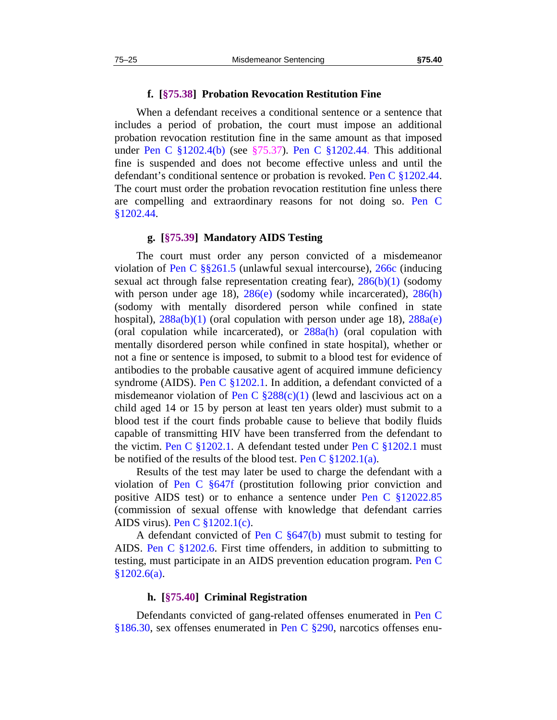## **f. [§75.38] Probation Revocation Restitution Fine**

<span id="page-26-0"></span>When a defendant receives a conditional sentence or a sentence that includes a period of probation, the court must impose an additional probation revocation restitution fine in the same amount as that imposed under Pen C §1202.4(b) (see [§75.37](#page-25-0)). Pen C §1202.44. This additional fine is suspended and does not become effective unless and until the defendant's conditional sentence or probation is revoked. Pen C §1202.44. The court must order the probation revocation restitution fine unless there are compelling and extraordinary reasons for not doing so. Pen C §1202.44.

#### **g. [§75.39] Mandatory AIDS Testing**

<span id="page-26-1"></span>The court must order any person convicted of a misdemeanor violation of Pen C §§261.5 (unlawful sexual intercourse), 266c (inducing sexual act through false representation creating fear),  $286(b)(1)$  (sodomy with person under age 18),  $286(e)$  (sodomy while incarcerated),  $286(h)$ (sodomy with mentally disordered person while confined in state hospital),  $288a(b)(1)$  (oral copulation with person under age 18),  $288a(e)$ (oral copulation while incarcerated), or  $288a(h)$  (oral copulation with mentally disordered person while confined in state hospital), whether or not a fine or sentence is imposed, to submit to a blood test for evidence of antibodies to the probable causative agent of acquired immune deficiency syndrome (AIDS). Pen C §1202.1. In addition, a defendant convicted of a misdemeanor violation of Pen C  $\S 288(c)(1)$  (lewd and lascivious act on a child aged 14 or 15 by person at least ten years older) must submit to a blood test if the court finds probable cause to believe that bodily fluids capable of transmitting HIV have been transferred from the defendant to the victim. Pen C §1202.1. A defendant tested under Pen C §1202.1 must be notified of the results of the blood test. Pen C  $\S 1202.1(a)$ .

Results of the test may later be used to charge the defendant with a violation of Pen C §647f (prostitution following prior conviction and positive AIDS test) or to enhance a sentence under Pen C §12022.85 (commission of sexual offense with knowledge that defendant carries AIDS virus). Pen C §1202.1(c).

A defendant convicted of Pen C  $\S 647(b)$  must submit to testing for AIDS. Pen C §1202.6. First time offenders, in addition to submitting to testing, must participate in an AIDS prevention education program. Pen C  $§1202.6(a).$ 

#### **h. [§75.40] Criminal Registration**

<span id="page-26-2"></span>Defendants convicted of gang-related offenses enumerated in Pen C §186.30, sex offenses enumerated in Pen C §290, narcotics offenses enu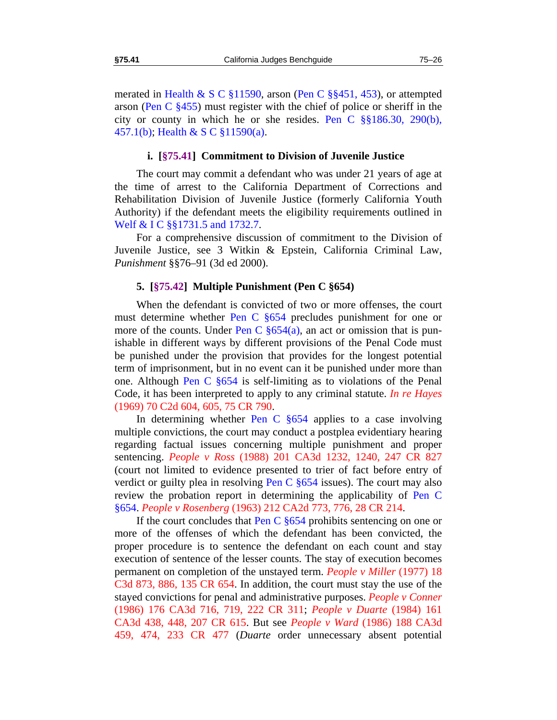merated in Health & S C §11590, arson (Pen C §§451, 453), or attempted arson (Pen C  $\S$ 455) must register with the chief of police or sheriff in the city or county in which he or she resides. Pen C §§186.30, 290(b), 457.1(b); Health & S C §11590(a).

#### **i. [§75.41] Commitment to Division of Juvenile Justice**

<span id="page-27-0"></span>The court may commit a defendant who was under 21 years of age at the time of arrest to the California Department of Corrections and Rehabilitation Division of Juvenile Justice (formerly California Youth Authority) if the defendant meets the eligibility requirements outlined in Welf & I C §§1731.5 and 1732.7.

For a comprehensive discussion of commitment to the Division of Juvenile Justice, see 3 Witkin & Epstein, California Criminal Law, *Punishment* §§76–91 (3d ed 2000).

## **5. [§75.42] Multiple Punishment (Pen C §654)**

<span id="page-27-1"></span>When the defendant is convicted of two or more offenses, the court must determine whether Pen C §654 precludes punishment for one or more of the counts. Under Pen C  $\S 654(a)$ , an act or omission that is punishable in different ways by different provisions of the Penal Code must be punished under the provision that provides for the longest potential term of imprisonment, but in no event can it be punished under more than one. Although Pen C §654 is self-limiting as to violations of the Penal Code, it has been interpreted to apply to any criminal statute. *In re Hayes* (1969) 70 C2d 604, 605, 75 CR 790.

In determining whether Pen C §654 applies to a case involving multiple convictions, the court may conduct a postplea evidentiary hearing regarding factual issues concerning multiple punishment and proper sentencing. *People v Ross* (1988) 201 CA3d 1232, 1240, 247 CR 827 (court not limited to evidence presented to trier of fact before entry of verdict or guilty plea in resolving Pen C §654 issues). The court may also review the probation report in determining the applicability of Pen C §654. *People v Rosenberg* (1963) 212 CA2d 773, 776, 28 CR 214.

If the court concludes that Pen C  $\S 654$  prohibits sentencing on one or more of the offenses of which the defendant has been convicted, the proper procedure is to sentence the defendant on each count and stay execution of sentence of the lesser counts. The stay of execution becomes permanent on completion of the unstayed term. *People v Miller* (1977) 18 C3d 873, 886, 135 CR 654. In addition, the court must stay the use of the stayed convictions for penal and administrative purposes. *People v Conner* (1986) 176 CA3d 716, 719, 222 CR 311; *People v Duarte* (1984) 161 CA3d 438, 448, 207 CR 615. But see *People v Ward* (1986) 188 CA3d 459, 474, 233 CR 477 (*Duarte* order unnecessary absent potential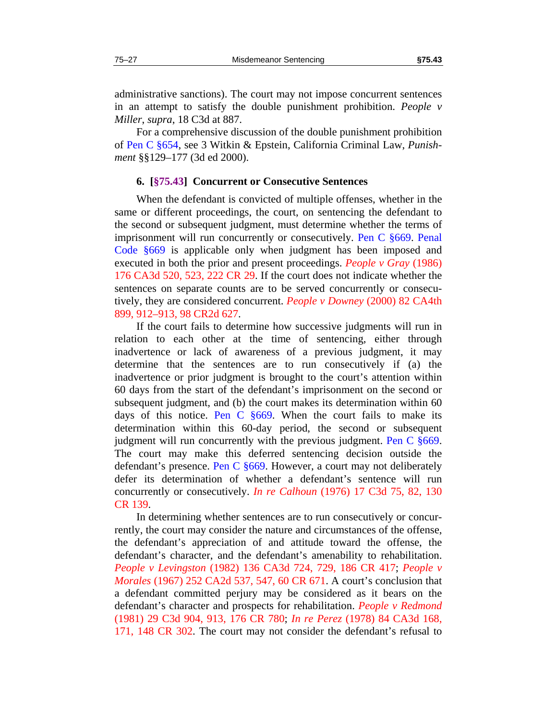administrative sanctions). The court may not impose concurrent sentences in an attempt to satisfy the double punishment prohibition. *People v Miller*, *supra*, 18 C3d at 887.

For a comprehensive discussion of the double punishment prohibition of Pen C §654, see 3 Witkin & Epstein, California Criminal Law, *Punishment* §§129–177 (3d ed 2000).

#### **6. [§75.43] Concurrent or Consecutive Sentences**

<span id="page-28-0"></span>When the defendant is convicted of multiple offenses, whether in the same or different proceedings, the court, on sentencing the defendant to the second or subsequent judgment, must determine whether the terms of imprisonment will run concurrently or consecutively. Pen C §669. Penal Code §669 is applicable only when judgment has been imposed and executed in both the prior and present proceedings. *People v Gray* (1986) 176 CA3d 520, 523, 222 CR 29. If the court does not indicate whether the sentences on separate counts are to be served concurrently or consecutively, they are considered concurrent. *People v Downey* (2000) 82 CA4th 899, 912–913, 98 CR2d 627.

If the court fails to determine how successive judgments will run in relation to each other at the time of sentencing, either through inadvertence or lack of awareness of a previous judgment, it may determine that the sentences are to run consecutively if (a) the inadvertence or prior judgment is brought to the court's attention within 60 days from the start of the defendant's imprisonment on the second or subsequent judgment, and (b) the court makes its determination within 60 days of this notice. Pen C  $§669$ . When the court fails to make its determination within this 60-day period, the second or subsequent judgment will run concurrently with the previous judgment. Pen C §669. The court may make this deferred sentencing decision outside the defendant's presence. Pen C §669. However, a court may not deliberately defer its determination of whether a defendant's sentence will run concurrently or consecutively. *In re Calhoun* (1976) 17 C3d 75, 82, 130 CR 139.

In determining whether sentences are to run consecutively or concurrently, the court may consider the nature and circumstances of the offense, the defendant's appreciation of and attitude toward the offense, the defendant's character, and the defendant's amenability to rehabilitation. *People v Levingston* (1982) 136 CA3d 724, 729, 186 CR 417; *People v Morales* (1967) 252 CA2d 537, 547, 60 CR 671. A court's conclusion that a defendant committed perjury may be considered as it bears on the defendant's character and prospects for rehabilitation. *People v Redmond* (1981) 29 C3d 904, 913, 176 CR 780; *In re Perez* (1978) 84 CA3d 168, 171, 148 CR 302. The court may not consider the defendant's refusal to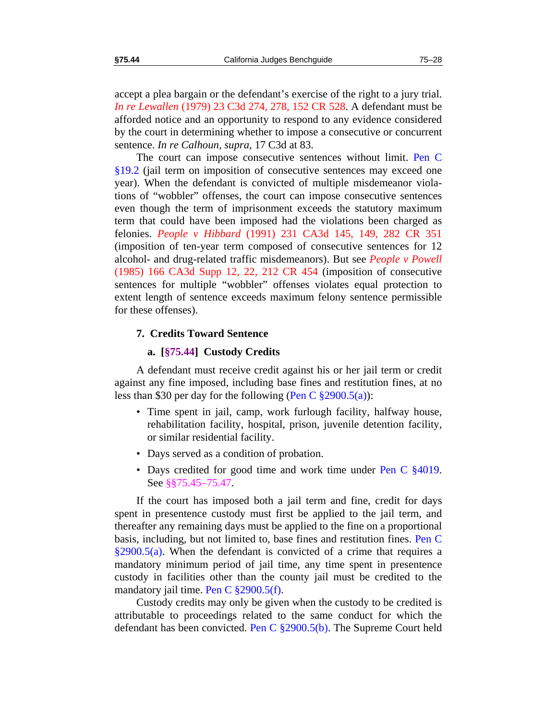accept a plea bargain or the defendant's exercise of the right to a jury trial. *In re Lewallen* (1979) 23 C3d 274, 278, 152 CR 528. A defendant must be afforded notice and an opportunity to respond to any evidence considered by the court in determining whether to impose a consecutive or concurrent sentence. *In re Calhoun, supra,* 17 C3d at 83.

The court can impose consecutive sentences without limit. Pen C §19.2 (jail term on imposition of consecutive sentences may exceed one year). When the defendant is convicted of multiple misdemeanor violations of "wobbler" offenses, the court can impose consecutive sentences even though the term of imprisonment exceeds the statutory maximum term that could have been imposed had the violations been charged as felonies. *People v Hibbard* (1991) 231 CA3d 145, 149, 282 CR 351 (imposition of ten-year term composed of consecutive sentences for 12 alcohol- and drug-related traffic misdemeanors). But see *People v Powell* (1985) 166 CA3d Supp 12, 22, 212 CR 454 (imposition of consecutive sentences for multiple "wobbler" offenses violates equal protection to extent length of sentence exceeds maximum felony sentence permissible for these offenses).

#### **7. Credits Toward Sentence**

#### **a. [§75.44] Custody Credits**

<span id="page-29-0"></span>A defendant must receive credit against his or her jail term or credit against any fine imposed, including base fines and restitution fines, at no less than \$30 per day for the following (Pen C  $\S 2900.5(a)$ ):

- Time spent in jail, camp, work furlough facility, halfway house, rehabilitation facility, hospital, prison, juvenile detention facility, or similar residential facility.
- Days served as a condition of probation.
- Days credited for good time and work time under Pen C  $\S 4019$ . See §[§75.45](#page-30-0)[–75.47](#page-31-1).

If the court has imposed both a jail term and fine, credit for days spent in presentence custody must first be applied to the jail term, and thereafter any remaining days must be applied to the fine on a proportional basis, including, but not limited to, base fines and restitution fines. Pen C  $\S2900.5(a)$ . When the defendant is convicted of a crime that requires a mandatory minimum period of jail time, any time spent in presentence custody in facilities other than the county jail must be credited to the mandatory jail time. Pen C §2900.5(f).

Custody credits may only be given when the custody to be credited is attributable to proceedings related to the same conduct for which the defendant has been convicted. Pen C §2900.5(b). The Supreme Court held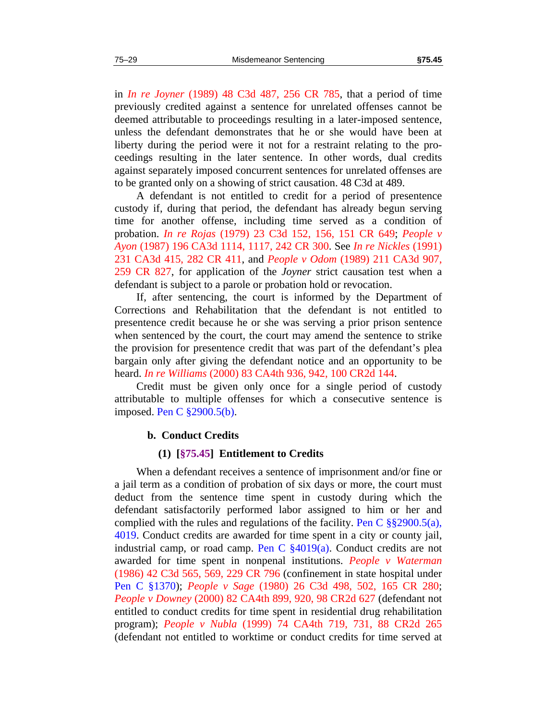in *In re Joyner* (1989) 48 C3d 487, 256 CR 785, that a period of time previously credited against a sentence for unrelated offenses cannot be deemed attributable to proceedings resulting in a later-imposed sentence, unless the defendant demonstrates that he or she would have been at liberty during the period were it not for a restraint relating to the proceedings resulting in the later sentence. In other words, dual credits against separately imposed concurrent sentences for unrelated offenses are to be granted only on a showing of strict causation. 48 C3d at 489.

A defendant is not entitled to credit for a period of presentence custody if, during that period, the defendant has already begun serving time for another offense, including time served as a condition of probation. *In re Rojas* (1979) 23 C3d 152, 156, 151 CR 649; *People v Ayon* (1987) 196 CA3d 1114, 1117, 242 CR 300. See *In re Nickles* (1991) 231 CA3d 415, 282 CR 411, and *People v Odom* (1989) 211 CA3d 907, 259 CR 827, for application of the *Joyner* strict causation test when a defendant is subject to a parole or probation hold or revocation.

If, after sentencing, the court is informed by the Department of Corrections and Rehabilitation that the defendant is not entitled to presentence credit because he or she was serving a prior prison sentence when sentenced by the court, the court may amend the sentence to strike the provision for presentence credit that was part of the defendant's plea bargain only after giving the defendant notice and an opportunity to be heard. *In re Williams* (2000) 83 CA4th 936, 942, 100 CR2d 144.

Credit must be given only once for a single period of custody attributable to multiple offenses for which a consecutive sentence is imposed. Pen C §2900.5(b).

#### **b. Conduct Credits**

#### **(1) [§75.45] Entitlement to Credits**

<span id="page-30-0"></span>When a defendant receives a sentence of imprisonment and/or fine or a jail term as a condition of probation of six days or more, the court must deduct from the sentence time spent in custody during which the defendant satisfactorily performed labor assigned to him or her and complied with the rules and regulations of the facility. Pen C  $\S$ §2900.5(a), 4019. Conduct credits are awarded for time spent in a city or county jail, industrial camp, or road camp. Pen C §4019(a). Conduct credits are not awarded for time spent in nonpenal institutions. *People v Waterman* (1986) 42 C3d 565, 569, 229 CR 796 (confinement in state hospital under Pen C §1370); *People v Sage* (1980) 26 C3d 498, 502, 165 CR 280; *People v Downey* (2000) 82 CA4th 899, 920, 98 CR2d 627 (defendant not entitled to conduct credits for time spent in residential drug rehabilitation program); *People v Nubla* (1999) 74 CA4th 719, 731, 88 CR2d 265 (defendant not entitled to worktime or conduct credits for time served at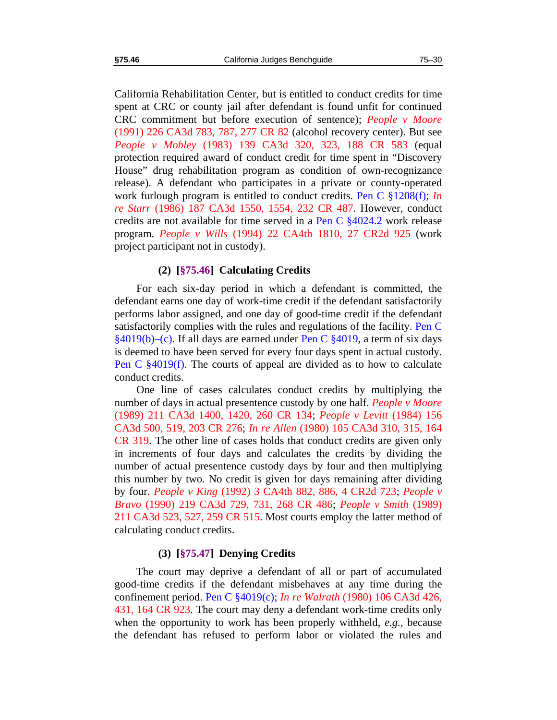California Rehabilitation Center, but is entitled to conduct credits for time spent at CRC or county jail after defendant is found unfit for continued CRC commitment but before execution of sentence); *People v Moore* (1991) 226 CA3d 783, 787, 277 CR 82 (alcohol recovery center). But see *People v Mobley* (1983) 139 CA3d 320, 323, 188 CR 583 (equal protection required award of conduct credit for time spent in "Discovery House" drug rehabilitation program as condition of own-recognizance release). A defendant who participates in a private or county-operated work furlough program is entitled to conduct credits. Pen C §1208(f); *In re Starr* (1986) 187 CA3d 1550, 1554, 232 CR 487. However, conduct credits are not available for time served in a Pen C §4024.2 work release program. *People v Wills* (1994) 22 CA4th 1810, 27 CR2d 925 (work project participant not in custody).

## **(2) [§75.46] Calculating Credits**

<span id="page-31-0"></span>For each six-day period in which a defendant is committed, the defendant earns one day of work-time credit if the defendant satisfactorily performs labor assigned, and one day of good-time credit if the defendant satisfactorily complies with the rules and regulations of the facility. Pen C  $§4019(b)$ –(c). If all days are earned under Pen C  $§4019$ , a term of six days is deemed to have been served for every four days spent in actual custody. Pen C §4019(f). The courts of appeal are divided as to how to calculate conduct credits.

One line of cases calculates conduct credits by multiplying the number of days in actual presentence custody by one half. *People v Moore* (1989) 211 CA3d 1400, 1420, 260 CR 134; *People v Levitt* (1984) 156 CA3d 500, 519, 203 CR 276; *In re Allen* (1980) 105 CA3d 310, 315, 164 CR 319. The other line of cases holds that conduct credits are given only in increments of four days and calculates the credits by dividing the number of actual presentence custody days by four and then multiplying this number by two. No credit is given for days remaining after dividing by four. *People v King* (1992) 3 CA4th 882, 886, 4 CR2d 723; *People v Bravo* (1990) 219 CA3d 729, 731, 268 CR 486; *People v Smith* (1989) 211 CA3d 523, 527, 259 CR 515. Most courts employ the latter method of calculating conduct credits.

## **(3) [§75.47] Denying Credits**

<span id="page-31-1"></span>The court may deprive a defendant of all or part of accumulated good-time credits if the defendant misbehaves at any time during the confinement period. Pen C §4019(c); *In re Walrath* (1980) 106 CA3d 426, 431, 164 CR 923. The court may deny a defendant work-time credits only when the opportunity to work has been properly withheld, *e.g.,* because the defendant has refused to perform labor or violated the rules and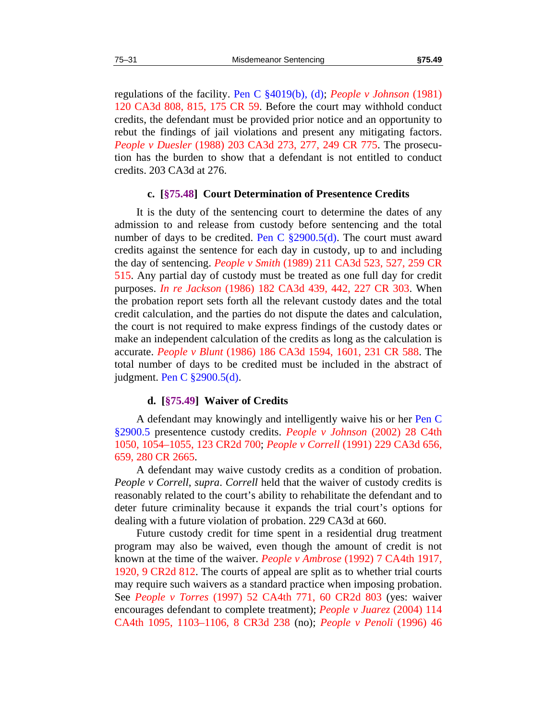regulations of the facility. Pen C §4019(b), (d); *People v Johnson* (1981) 120 CA3d 808, 815, 175 CR 59. Before the court may withhold conduct credits, the defendant must be provided prior notice and an opportunity to rebut the findings of jail violations and present any mitigating factors. *People v Duesler* (1988) 203 CA3d 273, 277, 249 CR 775. The prosecution has the burden to show that a defendant is not entitled to conduct credits. 203 CA3d at 276.

#### **c. [§75.48] Court Determination of Presentence Credits**

<span id="page-32-0"></span>It is the duty of the sentencing court to determine the dates of any admission to and release from custody before sentencing and the total number of days to be credited. Pen C  $\S2900.5(d)$ . The court must award credits against the sentence for each day in custody, up to and including the day of sentencing. *People v Smith* (1989) 211 CA3d 523, 527, 259 CR 515. Any partial day of custody must be treated as one full day for credit purposes. *In re Jackson* (1986) 182 CA3d 439, 442, 227 CR 303. When the probation report sets forth all the relevant custody dates and the total credit calculation, and the parties do not dispute the dates and calculation, the court is not required to make express findings of the custody dates or make an independent calculation of the credits as long as the calculation is accurate. *People v Blunt* (1986) 186 CA3d 1594, 1601, 231 CR 588. The total number of days to be credited must be included in the abstract of judgment. Pen C §2900.5(d).

#### **d. [§75.49] Waiver of Credits**

<span id="page-32-1"></span>A defendant may knowingly and intelligently waive his or her Pen C §2900.5 presentence custody credits. *People v Johnson* (2002) 28 C4th 1050, 1054–1055, 123 CR2d 700; *People v Correll* (1991) 229 CA3d 656, 659, 280 CR 2665.

A defendant may waive custody credits as a condition of probation. *People v Correll*, *supra*. *Correll* held that the waiver of custody credits is reasonably related to the court's ability to rehabilitate the defendant and to deter future criminality because it expands the trial court's options for dealing with a future violation of probation. 229 CA3d at 660.

Future custody credit for time spent in a residential drug treatment program may also be waived, even though the amount of credit is not known at the time of the waiver. *People v Ambrose* (1992) 7 CA4th 1917, 1920, 9 CR2d 812. The courts of appeal are split as to whether trial courts may require such waivers as a standard practice when imposing probation. See *People v Torres* (1997) 52 CA4th 771, 60 CR2d 803 (yes: waiver encourages defendant to complete treatment); *People v Juarez* (2004) 114 CA4th 1095, 1103–1106, 8 CR3d 238 (no); *People v Penoli* (1996) 46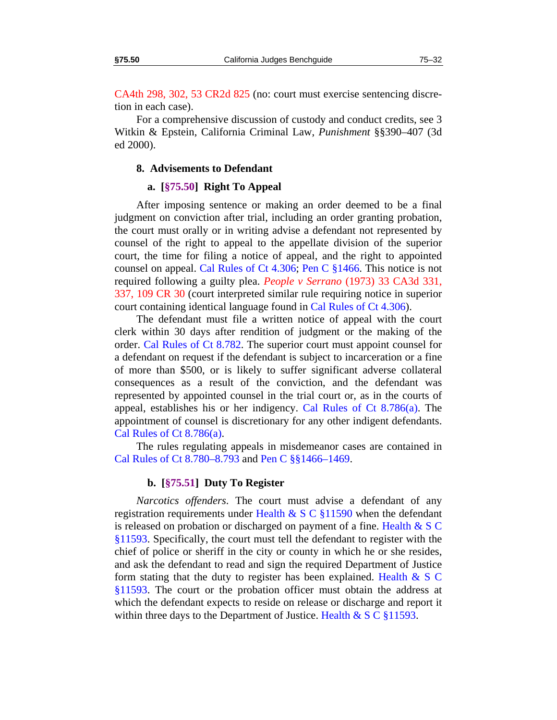CA4th 298, 302, 53 CR2d 825 (no: court must exercise sentencing discretion in each case).

For a comprehensive discussion of custody and conduct credits, see 3 Witkin & Epstein, California Criminal Law, *Punishment* §§390–407 (3d ed 2000).

#### **8. Advisements to Defendant**

## **a. [§75.50] Right To Appeal**

<span id="page-33-0"></span>After imposing sentence or making an order deemed to be a final judgment on conviction after trial, including an order granting probation, the court must orally or in writing advise a defendant not represented by counsel of the right to appeal to the appellate division of the superior court, the time for filing a notice of appeal, and the right to appointed counsel on appeal. Cal Rules of Ct 4.306; Pen C §1466. This notice is not required following a guilty plea. *People v Serrano* (1973) 33 CA3d 331, 337, 109 CR 30 (court interpreted similar rule requiring notice in superior court containing identical language found in Cal Rules of Ct 4.306).

The defendant must file a written notice of appeal with the court clerk within 30 days after rendition of judgment or the making of the order. Cal Rules of Ct 8.782. The superior court must appoint counsel for a defendant on request if the defendant is subject to incarceration or a fine of more than \$500, or is likely to suffer significant adverse collateral consequences as a result of the conviction, and the defendant was represented by appointed counsel in the trial court or, as in the courts of appeal, establishes his or her indigency. Cal Rules of Ct 8.786(a). The appointment of counsel is discretionary for any other indigent defendants. Cal Rules of Ct 8.786(a).

The rules regulating appeals in misdemeanor cases are contained in Cal Rules of Ct 8.780–8.793 and Pen C §§1466–1469.

#### **b. [§75.51] Duty To Register**

<span id="page-33-1"></span>*Narcotics offenders*. The court must advise a defendant of any registration requirements under Health & S C  $\S11590$  when the defendant is released on probation or discharged on payment of a fine. Health  $& S C$ §11593. Specifically, the court must tell the defendant to register with the chief of police or sheriff in the city or county in which he or she resides, and ask the defendant to read and sign the required Department of Justice form stating that the duty to register has been explained. Health  $\& S \, C$ §11593. The court or the probation officer must obtain the address at which the defendant expects to reside on release or discharge and report it within three days to the Department of Justice. Health  $\& S \, C \, \$11593$ .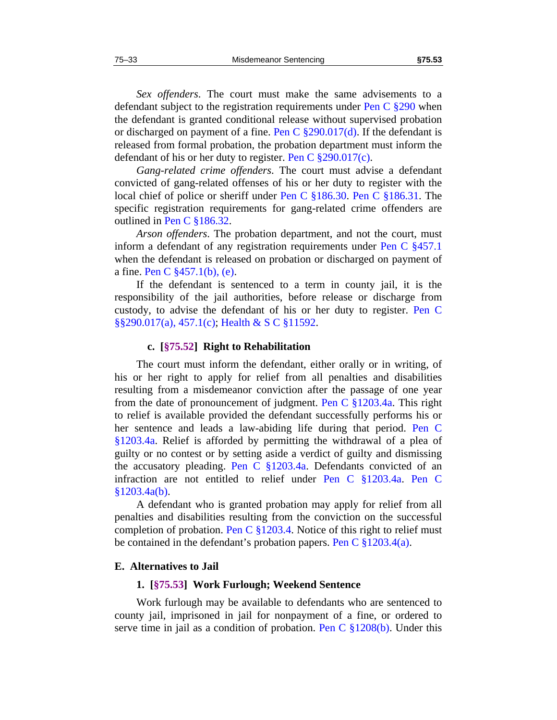*Sex offenders*. The court must make the same advisements to a defendant subject to the registration requirements under Pen C §290 when the defendant is granted conditional release without supervised probation or discharged on payment of a fine. Pen C  $\S290.017(d)$ . If the defendant is released from formal probation, the probation department must inform the defendant of his or her duty to register. Pen C  $\S 290.017(c)$ .

*Gang-related crime offenders*. The court must advise a defendant convicted of gang-related offenses of his or her duty to register with the local chief of police or sheriff under Pen C §186.30. Pen C §186.31. The specific registration requirements for gang-related crime offenders are outlined in Pen C §186.32.

*Arson offenders*. The probation department, and not the court, must inform a defendant of any registration requirements under Pen C §457.1 when the defendant is released on probation or discharged on payment of a fine. Pen C §457.1(b), (e).

If the defendant is sentenced to a term in county jail, it is the responsibility of the jail authorities, before release or discharge from custody, to advise the defendant of his or her duty to register. Pen C §§290.017(a), 457.1(c); Health & S C §11592.

#### **c. [§75.52] Right to Rehabilitation**

<span id="page-34-0"></span>The court must inform the defendant, either orally or in writing, of his or her right to apply for relief from all penalties and disabilities resulting from a misdemeanor conviction after the passage of one year from the date of pronouncement of judgment. Pen C §1203.4a. This right to relief is available provided the defendant successfully performs his or her sentence and leads a law-abiding life during that period. Pen C §1203.4a. Relief is afforded by permitting the withdrawal of a plea of guilty or no contest or by setting aside a verdict of guilty and dismissing the accusatory pleading. Pen C  $\S 1203.4a$ . Defendants convicted of an infraction are not entitled to relief under Pen C §1203.4a. Pen C  $§1203.4a(b).$ 

A defendant who is granted probation may apply for relief from all penalties and disabilities resulting from the conviction on the successful completion of probation. Pen C  $\S 1203.4$ . Notice of this right to relief must be contained in the defendant's probation papers. Pen C  $\S 1203.4(a)$ .

#### <span id="page-34-1"></span>**E. Alternatives to Jail**

#### **1. [§75.53] Work Furlough; Weekend Sentence**

Work furlough may be available to defendants who are sentenced to county jail, imprisoned in jail for nonpayment of a fine, or ordered to serve time in jail as a condition of probation. Pen C §1208(b). Under this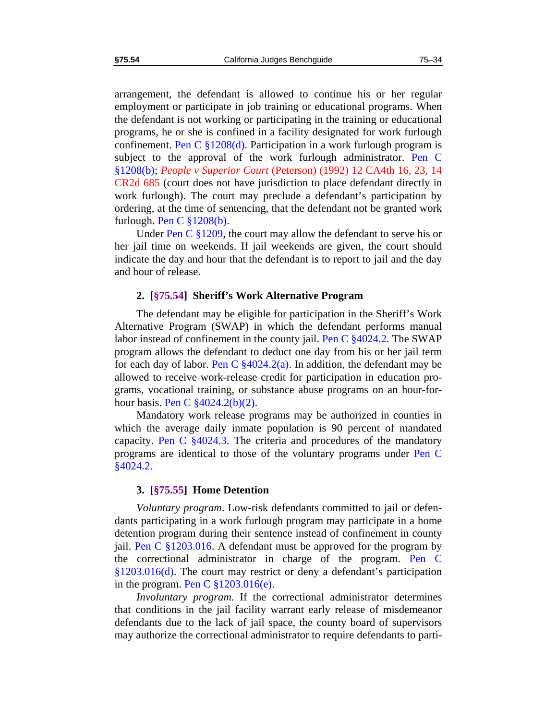arrangement, the defendant is allowed to continue his or her regular employment or participate in job training or educational programs. When the defendant is not working or participating in the training or educational programs, he or she is confined in a facility designated for work furlough confinement. Pen C  $\S1208(d)$ . Participation in a work furlough program is subject to the approval of the work furlough administrator. Pen C §1208(b); *People v Superior Court* (Peterson) (1992) 12 CA4th 16, 23, 14 CR2d 685 (court does not have jurisdiction to place defendant directly in work furlough). The court may preclude a defendant's participation by ordering, at the time of sentencing, that the defendant not be granted work furlough. Pen C §1208(b).

Under Pen C §1209, the court may allow the defendant to serve his or her jail time on weekends. If jail weekends are given, the court should indicate the day and hour that the defendant is to report to jail and the day and hour of release.

#### **2. [§75.54] Sheriff's Work Alternative Program**

<span id="page-35-0"></span>The defendant may be eligible for participation in the Sheriff's Work Alternative Program (SWAP) in which the defendant performs manual labor instead of confinement in the county jail. Pen C §4024.2. The SWAP program allows the defendant to deduct one day from his or her jail term for each day of labor. Pen C  $\frac{$4024.2(a)}{a}$ . In addition, the defendant may be allowed to receive work-release credit for participation in education programs, vocational training, or substance abuse programs on an hour-forhour basis. Pen C  $\frac{$4024.2(b)(2)}{2}$ .

Mandatory work release programs may be authorized in counties in which the average daily inmate population is 90 percent of mandated capacity. Pen C §4024.3. The criteria and procedures of the mandatory programs are identical to those of the voluntary programs under Pen C §4024.2.

#### **3. [§75.55] Home Detention**

<span id="page-35-1"></span>*Voluntary program*. Low-risk defendants committed to jail or defendants participating in a work furlough program may participate in a home detention program during their sentence instead of confinement in county jail. Pen C §1203.016. A defendant must be approved for the program by the correctional administrator in charge of the program. Pen C §1203.016(d). The court may restrict or deny a defendant's participation in the program. Pen C  $\S 1203.016(e)$ .

*Involuntary program*. If the correctional administrator determines that conditions in the jail facility warrant early release of misdemeanor defendants due to the lack of jail space, the county board of supervisors may authorize the correctional administrator to require defendants to parti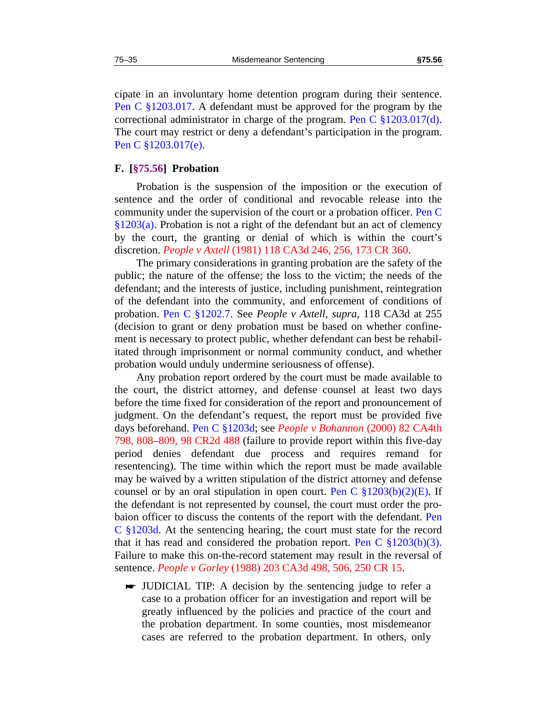cipate in an involuntary home detention program during their sentence. Pen C §1203.017. A defendant must be approved for the program by the correctional administrator in charge of the program. Pen C  $\S 1203.017(d)$ . The court may restrict or deny a defendant's participation in the program. Pen C §1203.017(e).

## <span id="page-36-0"></span>**F. [§75.56] Probation**

Probation is the suspension of the imposition or the execution of sentence and the order of conditional and revocable release into the community under the supervision of the court or a probation officer. Pen C §1203(a). Probation is not a right of the defendant but an act of clemency by the court, the granting or denial of which is within the court's discretion. *People v Axtell* (1981) 118 CA3d 246, 256, 173 CR 360.

The primary considerations in granting probation are the safety of the public; the nature of the offense; the loss to the victim; the needs of the defendant; and the interests of justice, including punishment, reintegration of the defendant into the community, and enforcement of conditions of probation. Pen C §1202.7. See *People v Axtell, supra,* 118 CA3d at 255 (decision to grant or deny probation must be based on whether confinement is necessary to protect public, whether defendant can best be rehabilitated through imprisonment or normal community conduct, and whether probation would unduly undermine seriousness of offense).

Any probation report ordered by the court must be made available to the court, the district attorney, and defense counsel at least two days before the time fixed for consideration of the report and pronouncement of judgment. On the defendant's request, the report must be provided five days beforehand. Pen C §1203d; see *People v Bohannon* (2000) 82 CA4th 798, 808–809, 98 CR2d 488 (failure to provide report within this five-day period denies defendant due process and requires remand for resentencing). The time within which the report must be made available may be waived by a written stipulation of the district attorney and defense counsel or by an oral stipulation in open court. Pen C  $\S 1203(b)(2)(E)$ . If the defendant is not represented by counsel, the court must order the probaion officer to discuss the contents of the report with the defendant. Pen C §1203d. At the sentencing hearing, the court must state for the record that it has read and considered the probation report. Pen C  $\S 1203(b)(3)$ . Failure to make this on-the-record statement may result in the reversal of sentence. *People v Gorley* (1988) 203 CA3d 498, 506, 250 CR 15.

 JUDICIAL TIP: A decision by the sentencing judge to refer a case to a probation officer for an investigation and report will be greatly influenced by the policies and practice of the court and the probation department. In some counties, most misdemeanor cases are referred to the probation department. In others, only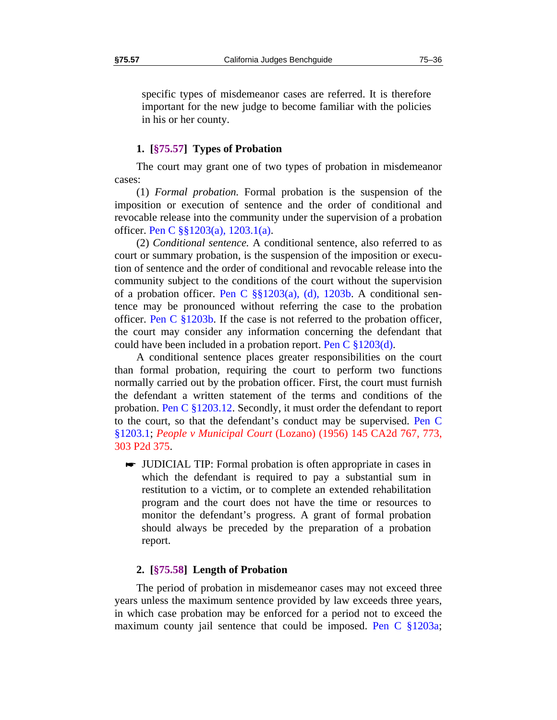specific types of misdemeanor cases are referred. It is therefore important for the new judge to become familiar with the policies in his or her county.

## **1. [§75.57] Types of Probation**

<span id="page-37-0"></span>The court may grant one of two types of probation in misdemeanor cases:

(1) *Formal probation.* Formal probation is the suspension of the imposition or execution of sentence and the order of conditional and revocable release into the community under the supervision of a probation officer. Pen C §§1203(a), 1203.1(a).

(2) *Conditional sentence.* A conditional sentence, also referred to as court or summary probation, is the suspension of the imposition or execution of sentence and the order of conditional and revocable release into the community subject to the conditions of the court without the supervision of a probation officer. Pen C  $\S$  $1203(a)$ , (d), 1203b. A conditional sentence may be pronounced without referring the case to the probation officer. Pen C §1203b. If the case is not referred to the probation officer, the court may consider any information concerning the defendant that could have been included in a probation report. Pen C  $\S 1203(d)$ .

A conditional sentence places greater responsibilities on the court than formal probation, requiring the court to perform two functions normally carried out by the probation officer. First, the court must furnish the defendant a written statement of the terms and conditions of the probation. Pen C §1203.12. Secondly, it must order the defendant to report to the court, so that the defendant's conduct may be supervised. Pen C §1203.1; *People v Municipal Court* (Lozano) (1956) 145 CA2d 767, 773, 303 P2d 375.

 JUDICIAL TIP: Formal probation is often appropriate in cases in which the defendant is required to pay a substantial sum in restitution to a victim, or to complete an extended rehabilitation program and the court does not have the time or resources to monitor the defendant's progress. A grant of formal probation should always be preceded by the preparation of a probation report.

## **2. [§75.58] Length of Probation**

<span id="page-37-1"></span>The period of probation in misdemeanor cases may not exceed three years unless the maximum sentence provided by law exceeds three years, in which case probation may be enforced for a period not to exceed the maximum county jail sentence that could be imposed. Pen C §1203a;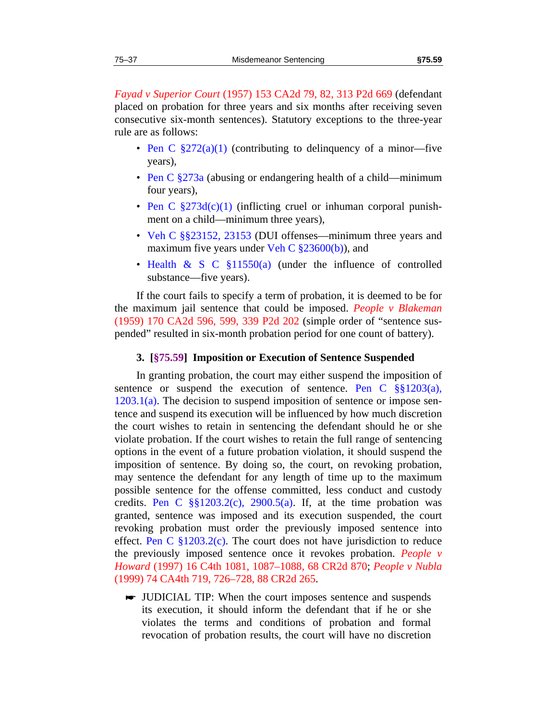*Fayad v Superior Court* (1957) 153 CA2d 79, 82, 313 P2d 669 (defendant placed on probation for three years and six months after receiving seven consecutive six-month sentences). Statutory exceptions to the three-year rule are as follows:

- Pen C  $\S272(a)(1)$  (contributing to delinquency of a minor-five years),
- Pen C  $\S 273a$  (abusing or endangering health of a child—minimum four years),
- Pen C  $\S273d(c)(1)$  (inflicting cruel or inhuman corporal punishment on a child—minimum three years),
- Veh C §§23152, 23153 (DUI offenses—minimum three years and maximum five years under Veh C  $\S 23600(b)$ , and
- Health & S C §11550(a) (under the influence of controlled substance—five years).

If the court fails to specify a term of probation, it is deemed to be for the maximum jail sentence that could be imposed. *People v Blakeman* (1959) 170 CA2d 596, 599, 339 P2d 202 (simple order of "sentence suspended" resulted in six-month probation period for one count of battery).

#### **3. [§75.59] Imposition or Execution of Sentence Suspended**

<span id="page-38-0"></span>In granting probation, the court may either suspend the imposition of sentence or suspend the execution of sentence. Pen C  $\S$ §1203(a),  $1203.1(a)$ . The decision to suspend imposition of sentence or impose sentence and suspend its execution will be influenced by how much discretion the court wishes to retain in sentencing the defendant should he or she violate probation. If the court wishes to retain the full range of sentencing options in the event of a future probation violation, it should suspend the imposition of sentence. By doing so, the court, on revoking probation, may sentence the defendant for any length of time up to the maximum possible sentence for the offense committed, less conduct and custody credits. Pen C  $\S$ [§1203.2(c), 2900.5(a). If, at the time probation was granted, sentence was imposed and its execution suspended, the court revoking probation must order the previously imposed sentence into effect. Pen C  $\S 1203.2(c)$ . The court does not have jurisdiction to reduce the previously imposed sentence once it revokes probation. *People v Howard* (1997) 16 C4th 1081, 1087–1088, 68 CR2d 870; *People v Nubla* (1999) 74 CA4th 719, 726–728, 88 CR2d 265.

 JUDICIAL TIP: When the court imposes sentence and suspends its execution, it should inform the defendant that if he or she violates the terms and conditions of probation and formal revocation of probation results, the court will have no discretion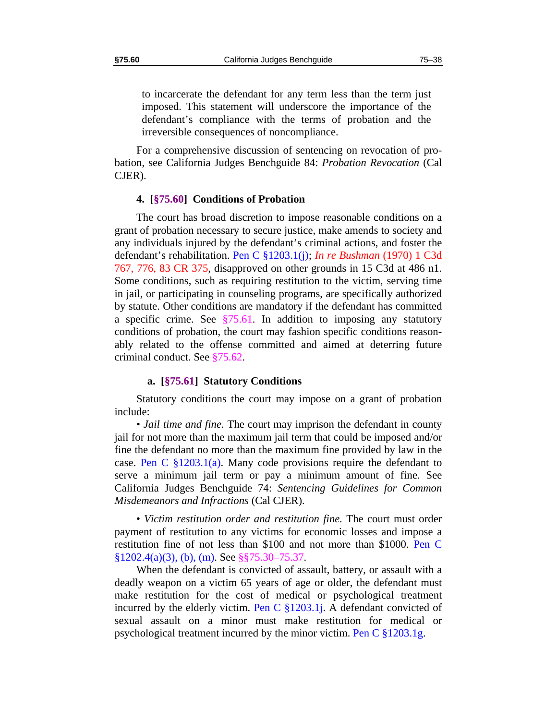to incarcerate the defendant for any term less than the term just imposed. This statement will underscore the importance of the defendant's compliance with the terms of probation and the irreversible consequences of noncompliance.

For a comprehensive discussion of sentencing on revocation of probation, see California Judges Benchguide 84: *Probation Revocation* (Cal CJER).

#### **4. [§75.60] Conditions of Probation**

<span id="page-39-0"></span>The court has broad discretion to impose reasonable conditions on a grant of probation necessary to secure justice, make amends to society and any individuals injured by the defendant's criminal actions, and foster the defendant's rehabilitation. Pen C §1203.1(j); *In re Bushman* (1970) 1 C3d 767, 776, 83 CR 375, disapproved on other grounds in 15 C3d at 486 n1. Some conditions, such as requiring restitution to the victim, serving time in jail, or participating in counseling programs, are specifically authorized by statute. Other conditions are mandatory if the defendant has committed a specific crime. See  $\frac{$75.61}{}$ . In addition to imposing any statutory conditions of probation, the court may fashion specific conditions reasonably related to the offense committed and aimed at deterring future criminal conduct. See [§75.62](#page-42-0).

## **a. [§75.61] Statutory Conditions**

<span id="page-39-1"></span>Statutory conditions the court may impose on a grant of probation include:

• *Jail time and fine.* The court may imprison the defendant in county jail for not more than the maximum jail term that could be imposed and/or fine the defendant no more than the maximum fine provided by law in the case. Pen C  $\S 1203.1(a)$ . Many code provisions require the defendant to serve a minimum jail term or pay a minimum amount of fine. See California Judges Benchguide 74: *Sentencing Guidelines for Common Misdemeanors and Infractions* (Cal CJER).

• *Victim restitution order and restitution fine.* The court must order payment of restitution to any victims for economic losses and impose a restitution fine of not less than \$100 and not more than \$1000. Pen C §1202.4(a)(3), (b), (m). See §[§75.30](#page-22-0)[–75.37](#page-25-0).

When the defendant is convicted of assault, battery, or assault with a deadly weapon on a victim 65 years of age or older, the defendant must make restitution for the cost of medical or psychological treatment incurred by the elderly victim. Pen C  $\S 1203.1$ j. A defendant convicted of sexual assault on a minor must make restitution for medical or psychological treatment incurred by the minor victim. Pen C  $\S 1203.1g$ .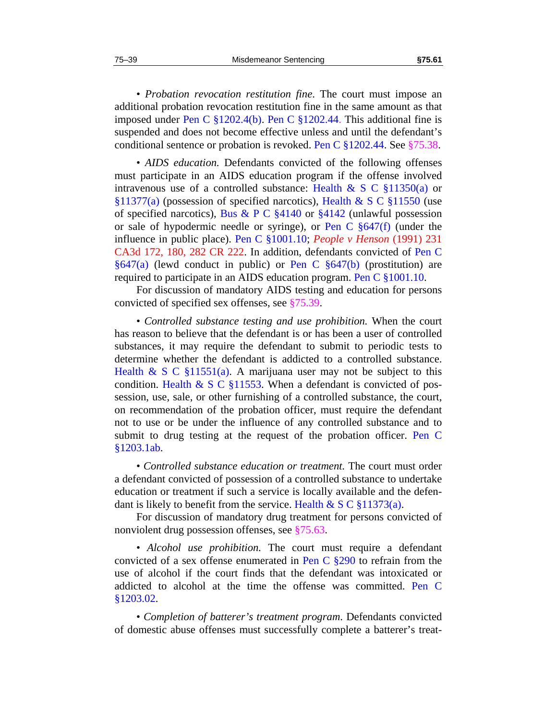• *Probation revocation restitution fine*. The court must impose an additional probation revocation restitution fine in the same amount as that imposed under Pen C §1202.4(b). Pen C §1202.44. This additional fine is suspended and does not become effective unless and until the defendant's conditional sentence or probation is revoked. Pen C §1202.44. See §[75.38.](#page-26-0)

• *AIDS education.* Defendants convicted of the following offenses must participate in an AIDS education program if the offense involved intravenous use of a controlled substance: Health & S C  $\S 11350(a)$  or §11377(a) (possession of specified narcotics), Health & S C §11550 (use of specified narcotics), Bus & P C  $\S 4140$  or  $\S 4142$  (unlawful possession or sale of hypodermic needle or syringe), or Pen C  $\S647(f)$  (under the influence in public place). Pen C §1001.10; *People v Henson* (1991) 231 CA3d 172, 180, 282 CR 222. In addition, defendants convicted of Pen C  $§647(a)$  (lewd conduct in public) or Pen C  $§647(b)$  (prostitution) are required to participate in an AIDS education program. Pen C §1001.10.

For discussion of mandatory AIDS testing and education for persons convicted of specified sex offenses, see [§75.39](#page-26-1).

• *Controlled substance testing and use prohibition.* When the court has reason to believe that the defendant is or has been a user of controlled substances, it may require the defendant to submit to periodic tests to determine whether the defendant is addicted to a controlled substance. Health & S C  $\S 11551(a)$ . A marijuana user may not be subject to this condition. Health  $\& S \text{ }C \& 11553$ . When a defendant is convicted of possession, use, sale, or other furnishing of a controlled substance, the court, on recommendation of the probation officer, must require the defendant not to use or be under the influence of any controlled substance and to submit to drug testing at the request of the probation officer. Pen C §1203.1ab.

• *Controlled substance education or treatment.* The court must order a defendant convicted of possession of a controlled substance to undertake education or treatment if such a service is locally available and the defendant is likely to benefit from the service. Health  $\& S \, C \, \$11373(a)$ .

For discussion of mandatory drug treatment for persons convicted of nonviolent drug possession offenses, see [§75.63](#page-44-0).

• *Alcohol use prohibition.* The court must require a defendant convicted of a sex offense enumerated in Pen C  $\S 290$  to refrain from the use of alcohol if the court finds that the defendant was intoxicated or addicted to alcohol at the time the offense was committed. Pen C §1203.02.

• *Completion of batterer's treatment program*. Defendants convicted of domestic abuse offenses must successfully complete a batterer's treat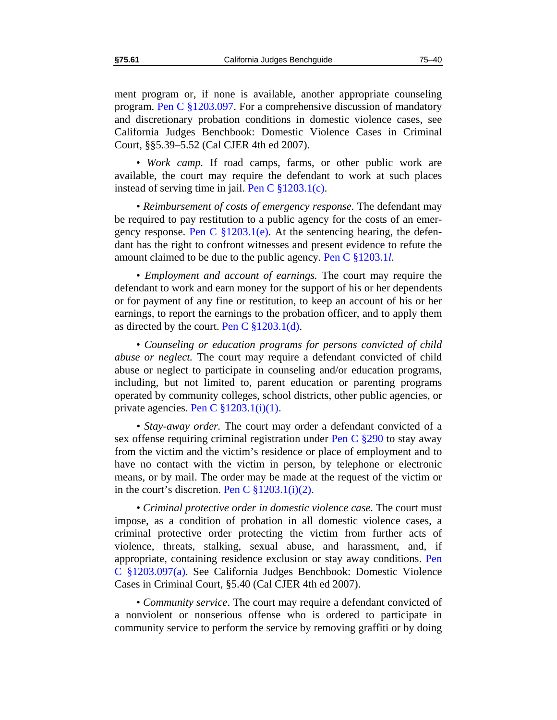ment program or, if none is available, another appropriate counseling program. Pen C §1203.097. For a comprehensive discussion of mandatory and discretionary probation conditions in domestic violence cases, see California Judges Benchbook: Domestic Violence Cases in Criminal Court, §§5.39–5.52 (Cal CJER 4th ed 2007).

• *Work camp*. If road camps, farms, or other public work are available, the court may require the defendant to work at such places instead of serving time in jail. Pen C  $\S 1203.1(c)$ .

• *Reimbursement of costs of emergency response.* The defendant may be required to pay restitution to a public agency for the costs of an emergency response. Pen C  $\S 1203.1(e)$ . At the sentencing hearing, the defendant has the right to confront witnesses and present evidence to refute the amount claimed to be due to the public agency. Pen C §1203.1*l*.

• *Employment and account of earnings.* The court may require the defendant to work and earn money for the support of his or her dependents or for payment of any fine or restitution, to keep an account of his or her earnings, to report the earnings to the probation officer, and to apply them as directed by the court. Pen C  $\S 1203.1(d)$ .

• *Counseling or education programs for persons convicted of child abuse or neglect.* The court may require a defendant convicted of child abuse or neglect to participate in counseling and/or education programs, including, but not limited to, parent education or parenting programs operated by community colleges, school districts, other public agencies, or private agencies. Pen C  $\S 1203.1(i)(1)$ .

*• Stay-away order.* The court may order a defendant convicted of a sex offense requiring criminal registration under Pen C §290 to stay away from the victim and the victim's residence or place of employment and to have no contact with the victim in person, by telephone or electronic means, or by mail. The order may be made at the request of the victim or in the court's discretion. Pen C  $\S 1203.1(i)(2)$ .

*• Criminal protective order in domestic violence case.* The court must impose, as a condition of probation in all domestic violence cases, a criminal protective order protecting the victim from further acts of violence, threats, stalking, sexual abuse, and harassment, and, if appropriate, containing residence exclusion or stay away conditions. Pen C §1203.097(a). See California Judges Benchbook: Domestic Violence Cases in Criminal Court, §5.40 (Cal CJER 4th ed 2007).

• *Community service*. The court may require a defendant convicted of a nonviolent or nonserious offense who is ordered to participate in community service to perform the service by removing graffiti or by doing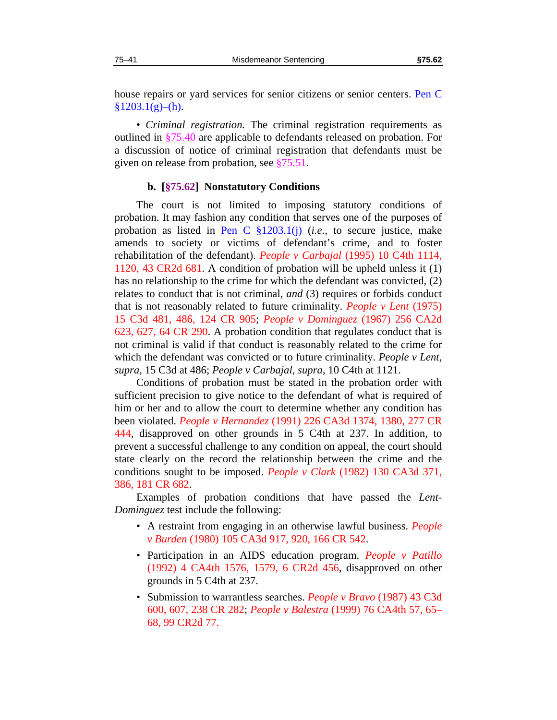house repairs or yard services for senior citizens or senior centers. Pen C  $§1203.1(g)–(h).$ 

• *Criminal registration.* The criminal registration requirements as outlined in §[75.40](#page-26-2) are applicable to defendants released on probation. For a discussion of notice of criminal registration that defendants must be given on release from probation, see §[75.51.](#page-33-1)

#### **b. [§75.62] Nonstatutory Conditions**

<span id="page-42-0"></span>The court is not limited to imposing statutory conditions of probation. It may fashion any condition that serves one of the purposes of probation as listed in Pen C §1203.1(j) (*i.e.,* to secure justice, make amends to society or victims of defendant's crime, and to foster rehabilitation of the defendant). *People v Carbajal* (1995) 10 C4th 1114, 1120, 43 CR2d 681. A condition of probation will be upheld unless it (1) has no relationship to the crime for which the defendant was convicted, (2) relates to conduct that is not criminal, *and* (3) requires or forbids conduct that is not reasonably related to future criminality. *People v Lent* (1975) 15 C3d 481, 486, 124 CR 905; *People v Dominguez* (1967) 256 CA2d 623, 627, 64 CR 290. A probation condition that regulates conduct that is not criminal is valid if that conduct is reasonably related to the crime for which the defendant was convicted or to future criminality. *People v Lent*, *supra*, 15 C3d at 486; *People v Carbajal, supra,* 10 C4th at 1121.

Conditions of probation must be stated in the probation order with sufficient precision to give notice to the defendant of what is required of him or her and to allow the court to determine whether any condition has been violated. *People v Hernandez* (1991) 226 CA3d 1374, 1380, 277 CR 444, disapproved on other grounds in 5 C4th at 237. In addition, to prevent a successful challenge to any condition on appeal, the court should state clearly on the record the relationship between the crime and the conditions sought to be imposed. *People v Clark* (1982) 130 CA3d 371, 386, 181 CR 682.

Examples of probation conditions that have passed the *Lent-Dominguez* test include the following:

- A restraint from engaging in an otherwise lawful business. *People v Burden* (1980) 105 CA3d 917, 920, 166 CR 542.
- Participation in an AIDS education program. *People v Patillo* (1992) 4 CA4th 1576, 1579, 6 CR2d 456, disapproved on other grounds in 5 C4th at 237.
- Submission to warrantless searches. *People v Bravo* (1987) 43 C3d 600, 607, 238 CR 282; *People v Balestra* (1999) 76 CA4th 57, 65– 68, 99 CR2d 77.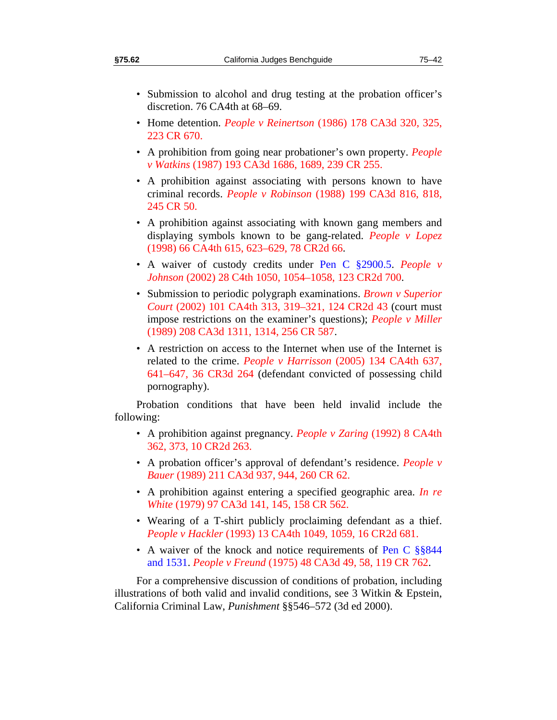- Submission to alcohol and drug testing at the probation officer's discretion. 76 CA4th at 68–69.
- Home detention. *People v Reinertson* (1986) 178 CA3d 320, 325, 223 CR 670.
- A prohibition from going near probationer's own property. *People v Watkins* (1987) 193 CA3d 1686, 1689, 239 CR 255.
- A prohibition against associating with persons known to have criminal records. *People v Robinson* (1988) 199 CA3d 816, 818, 245 CR 50.
- A prohibition against associating with known gang members and displaying symbols known to be gang-related. *People v Lopez* (1998) 66 CA4th 615, 623–629, 78 CR2d 66.
- A waiver of custody credits under Pen C §2900.5. *People v Johnson* (2002) 28 C4th 1050, 1054–1058, 123 CR2d 700.
- Submission to periodic polygraph examinations. *Brown v Superior Court* (2002) 101 CA4th 313, 319–321, 124 CR2d 43 (court must impose restrictions on the examiner's questions); *People v Miller* (1989) 208 CA3d 1311, 1314, 256 CR 587.
- A restriction on access to the Internet when use of the Internet is related to the crime. *People v Harrisson* (2005) 134 CA4th 637, 641–647, 36 CR3d 264 (defendant convicted of possessing child pornography).

Probation conditions that have been held invalid include the following:

- A prohibition against pregnancy. *People v Zaring* (1992) 8 CA4th 362, 373, 10 CR2d 263.
- A probation officer's approval of defendant's residence. *People v Bauer* (1989) 211 CA3d 937, 944, 260 CR 62.
- A prohibition against entering a specified geographic area. *In re White* (1979) 97 CA3d 141, 145, 158 CR 562.
- Wearing of a T-shirt publicly proclaiming defendant as a thief. *People v Hackler* (1993) 13 CA4th 1049, 1059, 16 CR2d 681.
- A waiver of the knock and notice requirements of Pen C §§844 and 1531. *People v Freund* (1975) 48 CA3d 49, 58, 119 CR 762.

For a comprehensive discussion of conditions of probation, including illustrations of both valid and invalid conditions, see 3 Witkin & Epstein, California Criminal Law, *Punishment* §§546–572 (3d ed 2000).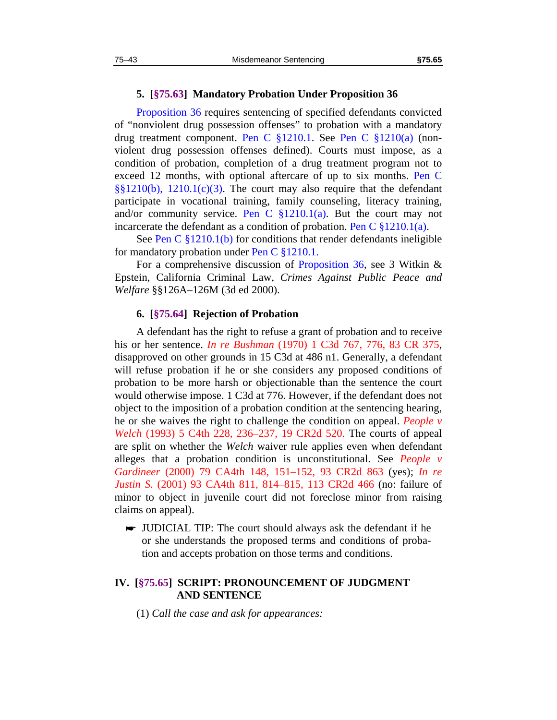#### **5. [§75.63] Mandatory Probation Under Proposition 36**

<span id="page-44-0"></span>Proposition 36 requires sentencing of specified defendants convicted of "nonviolent drug possession offenses" to probation with a mandatory drug treatment component. Pen C §1210.1. See Pen C §1210(a) (nonviolent drug possession offenses defined). Courts must impose, as a condition of probation, completion of a drug treatment program not to exceed 12 months, with optional aftercare of up to six months. Pen C §§1210(b), 1210.1(c)(3). The court may also require that the defendant participate in vocational training, family counseling, literacy training, and/or community service. Pen C  $\S 1210.1(a)$ . But the court may not incarcerate the defendant as a condition of probation. Pen C  $\S 1210.1(a)$ .

See Pen C §1210.1(b) for conditions that render defendants ineligible for mandatory probation under Pen C §1210.1.

For a comprehensive discussion of Proposition 36, see 3 Witkin & Epstein, California Criminal Law, *Crimes Against Public Peace and Welfare* §§126A–126M (3d ed 2000).

#### **6. [§75.64] Rejection of Probation**

<span id="page-44-1"></span>A defendant has the right to refuse a grant of probation and to receive his or her sentence. *In re Bushman* (1970) 1 C3d 767, 776, 83 CR 375, disapproved on other grounds in 15 C3d at 486 n1. Generally, a defendant will refuse probation if he or she considers any proposed conditions of probation to be more harsh or objectionable than the sentence the court would otherwise impose. 1 C3d at 776. However, if the defendant does not object to the imposition of a probation condition at the sentencing hearing, he or she waives the right to challenge the condition on appeal. *People v Welch* (1993) 5 C4th 228, 236–237, 19 CR2d 520. The courts of appeal are split on whether the *Welch* waiver rule applies even when defendant alleges that a probation condition is unconstitutional. See *People v Gardineer* (2000) 79 CA4th 148, 151–152, 93 CR2d 863 (yes); *In re Justin S.* (2001) 93 CA4th 811, 814–815, 113 CR2d 466 (no: failure of minor to object in juvenile court did not foreclose minor from raising claims on appeal).

 JUDICIAL TIP: The court should always ask the defendant if he or she understands the proposed terms and conditions of probation and accepts probation on those terms and conditions.

## <span id="page-44-2"></span>**IV. [§75.65] SCRIPT: PRONOUNCEMENT OF JUDGMENT AND SENTENCE**

(1) *Call the case and ask for appearances:*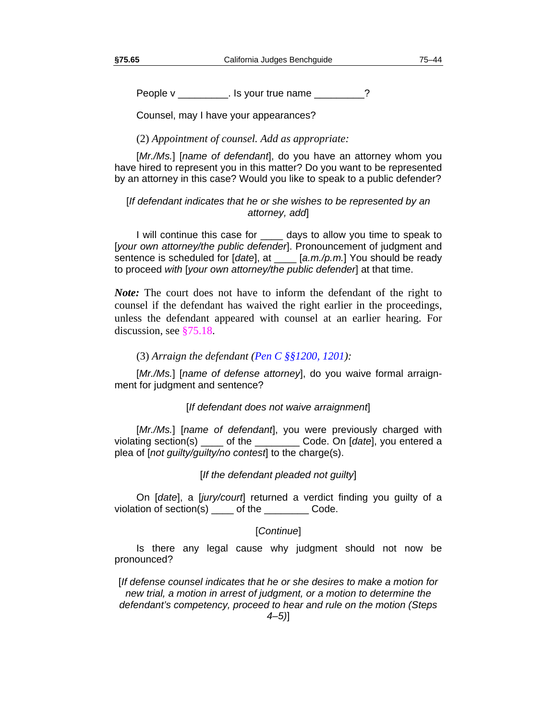People v \_\_\_\_\_\_\_\_\_\_. Is your true name \_\_\_\_\_\_\_\_?

Counsel, may I have your appearances?

(2) *Appointment of counsel. Add as appropriate:*

[*Mr./Ms.*] [*name of defendant*], do you have an attorney whom you have hired to represent you in this matter? Do you want to be represented by an attorney in this case? Would you like to speak to a public defender?

## [*If defendant indicates that he or she wishes to be represented by an attorney, add*]

I will continue this case for \_\_\_\_ days to allow you time to speak to [*your own attorney/the public defender*]. Pronouncement of judgment and sentence is scheduled for [*date*], at \_\_\_\_ [*a.m./p.m.*] You should be ready to proceed *with* [*your own attorney/the public defender*] at that time.

*Note:* The court does not have to inform the defendant of the right to counsel if the defendant has waived the right earlier in the proceedings, unless the defendant appeared with counsel at an earlier hearing. For discussion, see [§75.18](#page-14-1).

## (3) *Arraign the defendant (Pen C §§1200, 1201):*

[*Mr./Ms.*] [*name of defense attorney*], do you waive formal arraignment for judgment and sentence?

#### [*If defendant does not waive arraignment*]

[Mr./Ms.] [name of defendant], you were previously charged with violating section(s) \_\_\_\_ of the \_\_\_\_\_\_\_\_ Code. On [*date*], you entered a plea of [*not guilty/guilty/no contest*] to the charge(s).

#### [*If the defendant pleaded not guilty*]

On [*date*], a [*jury/court*] returned a verdict finding you guilty of a violation of section(s) \_\_\_\_ of the \_\_\_\_\_\_\_\_ Code.

## [*Continue*]

Is there any legal cause why judgment should not now be pronounced?

[*If defense counsel indicates that he or she desires to make a motion for new trial, a motion in arrest of judgment, or a motion to determine the defendant's competency, proceed to hear and rule on the motion (Steps*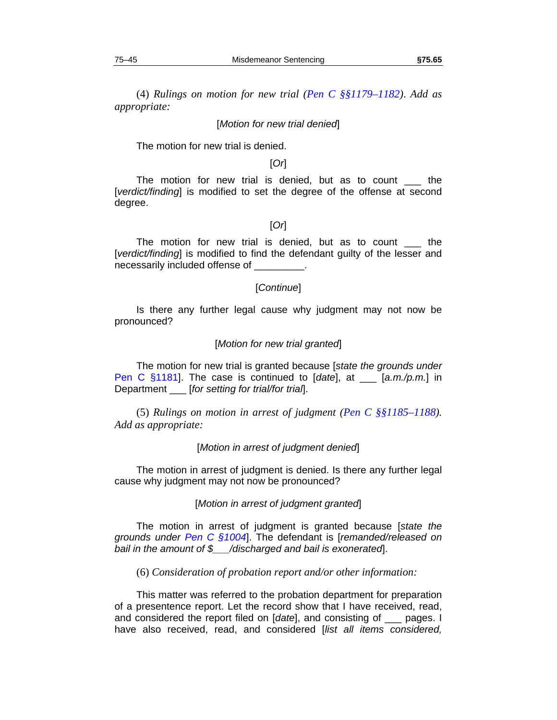(4) *Rulings on motion for new trial (Pen C §§1179–1182)*. *Add as appropriate:*

#### [*Motion for new trial denied*]

The motion for new trial is denied.

## [*Or*]

The motion for new trial is denied, but as to count \_\_\_ the [*verdict/finding*] is modified to set the degree of the offense at second degree.

## [*Or*]

The motion for new trial is denied, but as to count the [*verdict/finding*] is modified to find the defendant guilty of the lesser and necessarily included offense of \_\_\_\_\_\_\_\_\_.

#### [*Continue*]

Is there any further legal cause why judgment may not now be pronounced?

#### [*Motion for new trial granted*]

The motion for new trial is granted because [*state the grounds under*  Pen C §1181]. The case is continued to [*date*], at \_\_\_ [*a.m./p.m.*] in Department \_\_\_ [*for setting for trial/for trial*].

(5) *Rulings on motion in arrest of judgment (Pen C §§1185–1188). Add as appropriate:* 

#### [*Motion in arrest of judgment denied*]

The motion in arrest of judgment is denied. Is there any further legal cause why judgment may not now be pronounced?

#### [*Motion in arrest of judgment granted*]

The motion in arrest of judgment is granted because [*state the grounds under Pen C §1004*]. The defendant is [*remanded/released on bail in the amount of \$\_\_\_/discharged and bail is exonerated*].

## (6) *Consideration of probation report and/or other information:*

This matter was referred to the probation department for preparation of a presentence report. Let the record show that I have received, read, and considered the report filed on [*date*], and consisting of \_\_\_ pages. I have also received, read, and considered [*list all items considered,*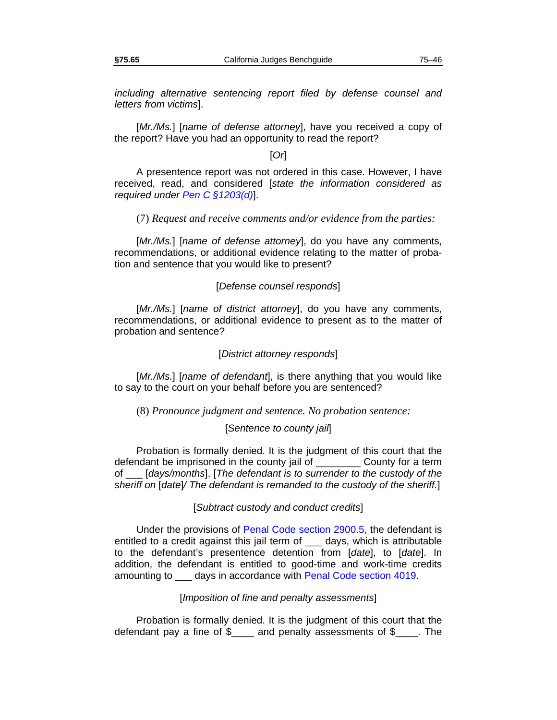*including alternative sentencing report filed by defense counsel and letters from victims*].

[*Mr./Ms.*] [*name of defense attorney*], have you received a copy of the report? Have you had an opportunity to read the report?

## [*Or*]

A presentence report was not ordered in this case. However, I have received, read, and considered [*state the information considered as required under Pen C §1203(d)*].

#### (7) *Request and receive comments and/or evidence from the parties:*

[*Mr./Ms.*] [*name of defense attorney*], do you have any comments, recommendations, or additional evidence relating to the matter of probation and sentence that you would like to present?

#### [*Defense counsel responds*]

[*Mr./Ms.*] [*name of district attorney*], do you have any comments, recommendations, or additional evidence to present as to the matter of probation and sentence?

#### [*District attorney responds*]

[*Mr./Ms.*] [*name of defendant*], is there anything that you would like to say to the court on your behalf before you are sentenced?

#### (8) *Pronounce judgment and sentence. No probation sentence:*

#### [*Sentence to county jail*]

Probation is formally denied. It is the judgment of this court that the defendant be imprisoned in the county jail of \_\_\_\_\_\_\_\_ County for a term of \_\_\_ [*days/months*]. [*The defendant is to surrender to the custody of the sheriff on* [*date*]*/ The defendant is remanded to the custody of the sheriff.*]

[*Subtract custody and conduct credits*]

Under the provisions of Penal Code section 2900.5, the defendant is entitled to a credit against this jail term of \_\_\_ days, which is attributable to the defendant's presentence detention from [*date*], to [*date*]. In addition, the defendant is entitled to good-time and work-time credits amounting to \_\_\_ days in accordance with Penal Code section 4019.

#### [*Imposition of fine and penalty assessments*]

Probation is formally denied. It is the judgment of this court that the defendant pay a fine of \$\_\_\_\_ and penalty assessments of \$\_\_\_\_. The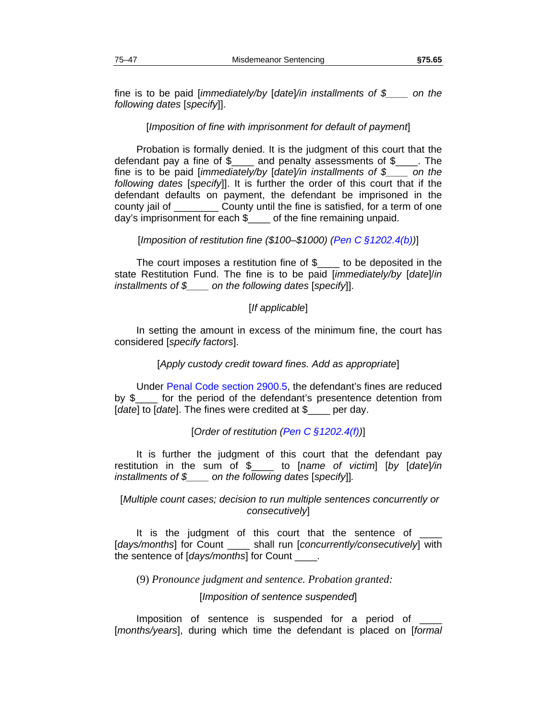fine is to be paid [*immediately/by* [*date*]*/in installments of \$\_\_\_\_ on the following dates* [*specify*]].

## [*Imposition of fine with imprisonment for default of payment*]

Probation is formally denied. It is the judgment of this court that the defendant pay a fine of \$ and penalty assessments of \$ The fine is to be paid [*immediately/by* [*date*]*/in installments of \$\_\_\_\_ on the following dates* [*specify*]]. It is further the order of this court that if the defendant defaults on payment, the defendant be imprisoned in the county jail of \_\_\_\_\_\_\_\_ County until the fine is satisfied, for a term of one day's imprisonment for each \$\_\_\_\_ of the fine remaining unpaid.

## [*Imposition of restitution fine (\$100–\$1000) (Pen C §1202.4(b))*]

The court imposes a restitution fine of \$ to be deposited in the state Restitution Fund. The fine is to be paid [*immediately/by* [*date*]/*in installments of \$\_\_\_\_ on the following dates* [*specify*]].

## [*If applicable*]

In setting the amount in excess of the minimum fine, the court has considered [*specify factors*].

## [*Apply custody credit toward fines. Add as appropriate*]

Under Penal Code section 2900.5, the defendant's fines are reduced by \$\_\_\_\_ for the period of the defendant's presentence detention from [*date*] to [*date*]. The fines were credited at \$\_\_\_\_ per day.

## [*Order of restitution (Pen C §1202.4(f))*]

It is further the judgment of this court that the defendant pay restitution in the sum of \$\_\_\_\_ to [*name of victim*] [*by* [*date*]*/in installments of \$\_\_\_\_ on the following dates* [*specify*]]*.*

## [*Multiple count cases; decision to run multiple sentences concurrently or consecutively*]

It is the judgment of this court that the sentence of [*days/months*] for Count \_\_\_\_ shall run [*concurrently/consecutively*] with the sentence of [*days/months*] for Count \_\_\_\_.

(9) *Pronounce judgment and sentence. Probation granted:*

[*Imposition of sentence suspended*]

Imposition of sentence is suspended for a period of [*months/years*], during which time the defendant is placed on [*formal*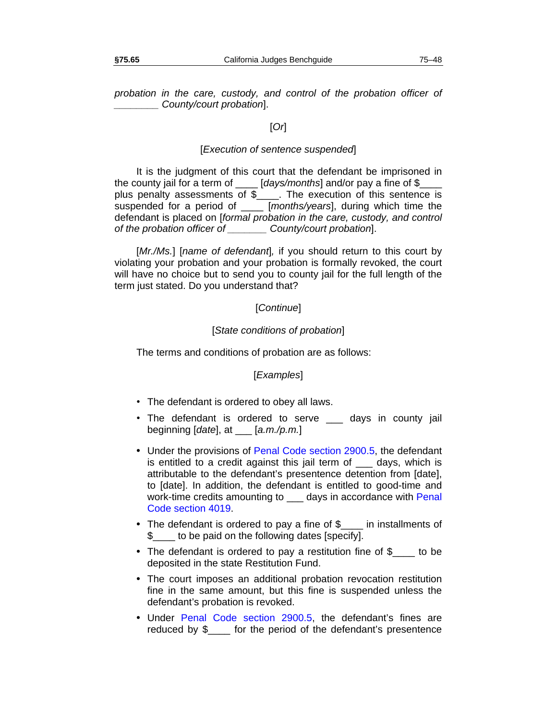*probation in the care, custody, and control of the probation officer of \_\_\_\_\_\_\_\_ County/court probation*].

## [*Or*]

#### [*Execution of sentence suspended*]

It is the judgment of this court that the defendant be imprisoned in the county jail for a term of \_\_\_\_ [*days/months*] and/or pay a fine of \$\_\_\_\_ plus penalty assessments of \$\_\_\_\_. The execution of this sentence is suspended for a period of \_\_\_\_ [*months/years*], during which time the defendant is placed on [*formal probation in the care, custody, and control of the probation officer of \_\_\_\_\_\_\_ County/court probation*].

[*Mr./Ms.*] [*name of defendant*]*,* if you should return to this court by violating your probation and your probation is formally revoked, the court will have no choice but to send you to county jail for the full length of the term just stated. Do you understand that?

#### [*Continue*]

#### [*State conditions of probation*]

The terms and conditions of probation are as follows:

#### [*Examples*]

- The defendant is ordered to obey all laws.
- The defendant is ordered to serve \_\_\_ days in county jail beginning [*date*], at \_\_\_ [*a.m./p.m.*]
- Under the provisions of Penal Code section 2900.5, the defendant is entitled to a credit against this jail term of days, which is attributable to the defendant's presentence detention from [date], to [date]. In addition, the defendant is entitled to good-time and work-time credits amounting to \_\_\_ days in accordance with Penal Code section 4019.
- The defendant is ordered to pay a fine of \$\_\_\_ in installments of \$\_\_\_\_ to be paid on the following dates [specify].
- The defendant is ordered to pay a restitution fine of \$ to be deposited in the state Restitution Fund.
- The court imposes an additional probation revocation restitution fine in the same amount, but this fine is suspended unless the defendant's probation is revoked.
- Under Penal Code section 2900.5, the defendant's fines are reduced by \$\_\_\_\_ for the period of the defendant's presentence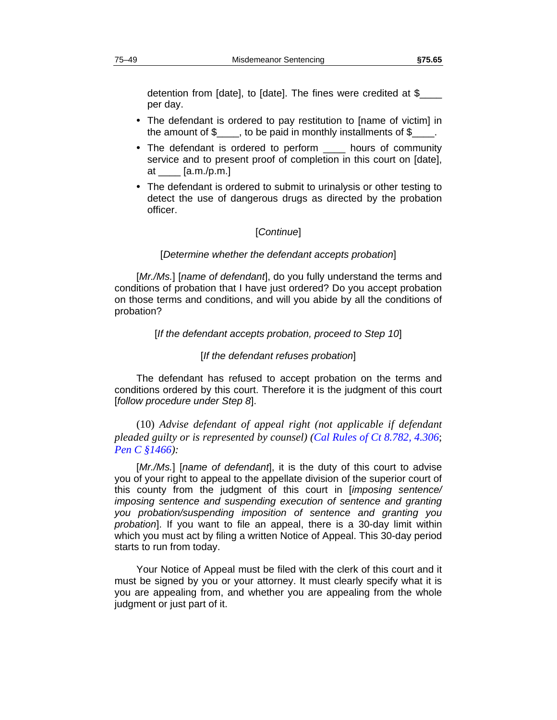detention from [date], to [date]. The fines were credited at \$\_\_\_\_ per day.

- The defendant is ordered to pay restitution to [name of victim] in the amount of  $\frac{2}{2}$ , to be paid in monthly installments of  $\frac{2}{2}$
- The defendant is ordered to perform hours of community service and to present proof of completion in this court on [date], at \_\_\_\_ [a.m./p.m.]
- The defendant is ordered to submit to urinalysis or other testing to detect the use of dangerous drugs as directed by the probation officer.

#### [*Continue*]

#### [*Determine whether the defendant accepts probation*]

[*Mr./Ms.*] [*name of defendant*], do you fully understand the terms and conditions of probation that I have just ordered? Do you accept probation on those terms and conditions, and will you abide by all the conditions of probation?

#### [*If the defendant accepts probation, proceed to Step 10*]

#### [*If the defendant refuses probation*]

The defendant has refused to accept probation on the terms and conditions ordered by this court. Therefore it is the judgment of this court [*follow procedure under Step 8*].

(10) *Advise defendant of appeal right (not applicable if defendant pleaded guilty or is represented by counsel) (Cal Rules of Ct 8.782, 4.306*; *Pen C §1466):* 

[*Mr./Ms.*] [*name of defendant*], it is the duty of this court to advise you of your right to appeal to the appellate division of the superior court of this county from the judgment of this court in [*imposing sentence/ imposing sentence and suspending execution of sentence and granting you probation/suspending imposition of sentence and granting you probation*]. If you want to file an appeal, there is a 30-day limit within which you must act by filing a written Notice of Appeal. This 30-day period starts to run from today.

Your Notice of Appeal must be filed with the clerk of this court and it must be signed by you or your attorney. It must clearly specify what it is you are appealing from, and whether you are appealing from the whole judgment or just part of it.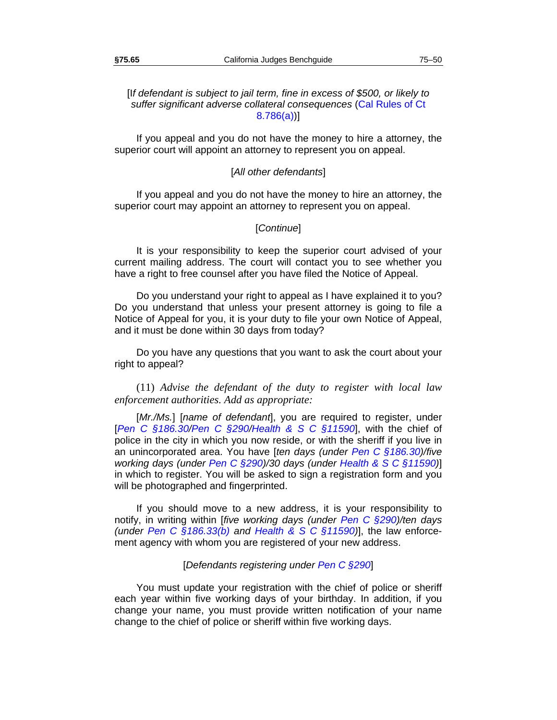## [I*f defendant is subject to jail term, fine in excess of \$500, or likely to suffer significant adverse collateral consequences* (Cal Rules of Ct 8.786(a))]

If you appeal and you do not have the money to hire a attorney, the superior court will appoint an attorney to represent you on appeal.

## [*All other defendants*]

If you appeal and you do not have the money to hire an attorney, the superior court may appoint an attorney to represent you on appeal.

## [*Continue*]

It is your responsibility to keep the superior court advised of your current mailing address. The court will contact you to see whether you have a right to free counsel after you have filed the Notice of Appeal.

Do you understand your right to appeal as I have explained it to you? Do you understand that unless your present attorney is going to file a Notice of Appeal for you, it is your duty to file your own Notice of Appeal, and it must be done within 30 days from today?

Do you have any questions that you want to ask the court about your right to appeal?

(11) *Advise the defendant of the duty to register with local law enforcement authorities. Add as appropriate:*

[*Mr./Ms.*] [*name of defendant*], you are required to register, under [*Pen C §186.30/Pen C §290/Health & S C §11590*], with the chief of police in the city in which you now reside, or with the sheriff if you live in an unincorporated area. You have [*ten days (under Pen C §186.30)/five working days (under Pen C §290)/30 days (under Health & S C §11590)*] in which to register. You will be asked to sign a registration form and you will be photographed and fingerprinted.

If you should move to a new address, it is your responsibility to notify, in writing within [*five working days (under Pen C §290)/ten days (under Pen C §186.33(b) and Health & S C §11590)*], the law enforcement agency with whom you are registered of your new address.

## [*Defendants registering under Pen C §290*]

You must update your registration with the chief of police or sheriff each year within five working days of your birthday. In addition, if you change your name, you must provide written notification of your name change to the chief of police or sheriff within five working days.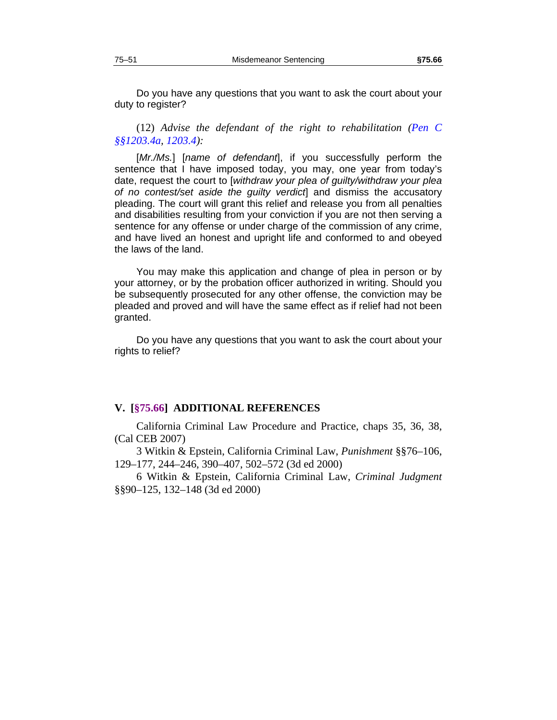Do you have any questions that you want to ask the court about your duty to register?

(12) *Advise the defendant of the right to rehabilitation (Pen C §§1203.4a, 1203.4):*

[*Mr./Ms.*] [*name of defendant*], if you successfully perform the sentence that I have imposed today, you may, one year from today's date, request the court to [*withdraw your plea of guilty/withdraw your plea of no contest/set aside the guilty verdict*] and dismiss the accusatory pleading. The court will grant this relief and release you from all penalties and disabilities resulting from your conviction if you are not then serving a sentence for any offense or under charge of the commission of any crime, and have lived an honest and upright life and conformed to and obeyed the laws of the land.

You may make this application and change of plea in person or by your attorney, or by the probation officer authorized in writing. Should you be subsequently prosecuted for any other offense, the conviction may be pleaded and proved and will have the same effect as if relief had not been granted.

Do you have any questions that you want to ask the court about your rights to relief?

#### <span id="page-52-0"></span>**V. [§75.66] ADDITIONAL REFERENCES**

California Criminal Law Procedure and Practice, chaps 35, 36, 38, (Cal CEB 2007)

3 Witkin & Epstein, California Criminal Law, *Punishment* §§76–106, 129–177, 244–246, 390–407, 502–572 (3d ed 2000)

6 Witkin & Epstein, California Criminal Law, *Criminal Judgment* §§90–125, 132–148 (3d ed 2000)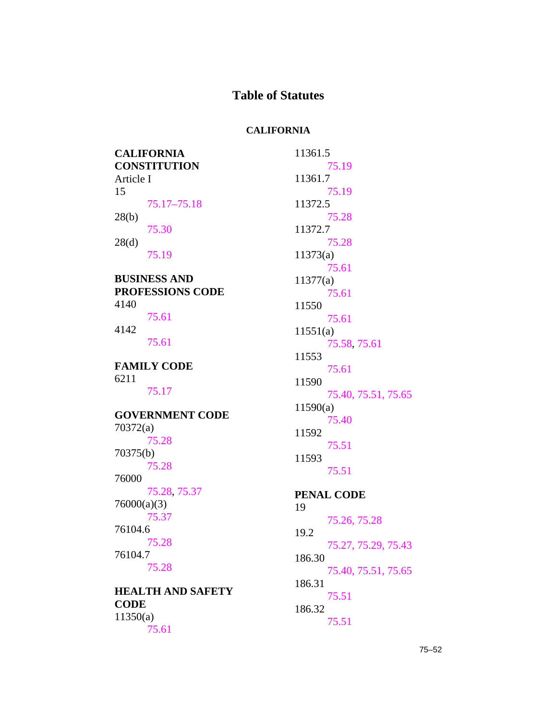# **Table of Statutes**

# **CALIFORNIA**

| <b>CALIFORNIA</b>                | 11361.5             |
|----------------------------------|---------------------|
| <b>CONSTITUTION</b><br>Article I | 75.19<br>11361.7    |
| 15                               | 75.19               |
| 75.17-75.18                      | 11372.5             |
| 28(b)                            | 75.28               |
| 75.30                            | 11372.7             |
| 28(d)                            | 75.28               |
| 75.19                            | 11373(a)<br>75.61   |
| <b>BUSINESS AND</b>              | 11377(a)            |
| <b>PROFESSIONS CODE</b>          | 75.61               |
| 4140                             | 11550               |
| 75.61                            | 75.61               |
| 4142                             | 11551(a)            |
| 75.61                            | 75.58, 75.61        |
| <b>FAMILY CODE</b>               | 11553<br>75.61      |
| 6211                             | 11590               |
| 75.17                            | 75.40, 75.51, 75.65 |
| <b>GOVERNMENT CODE</b>           | 11590(a)            |
| 70372(a)                         | 75.40               |
| 75.28                            | 11592<br>75.51      |
| 70375(b)                         | 11593               |
| 75.28                            | 75.51               |
| 76000                            |                     |
| 75.28, 75.37<br>76000(a)(3)      | <b>PENAL CODE</b>   |
| 75.37                            | 19<br>75.26, 75.28  |
| 76104.6                          | 19.2                |
| 75.28                            | 75.27, 75.29, 75.43 |
| 76104.7                          | 186.30              |
| 75.28                            | 75.40, 75.51, 75.65 |
| <b>HEALTH AND SAFETY</b>         | 186.31              |
| <b>CODE</b>                      | 75.51<br>186.32     |
| 11350(a)                         | 75.51               |
| 75.61                            |                     |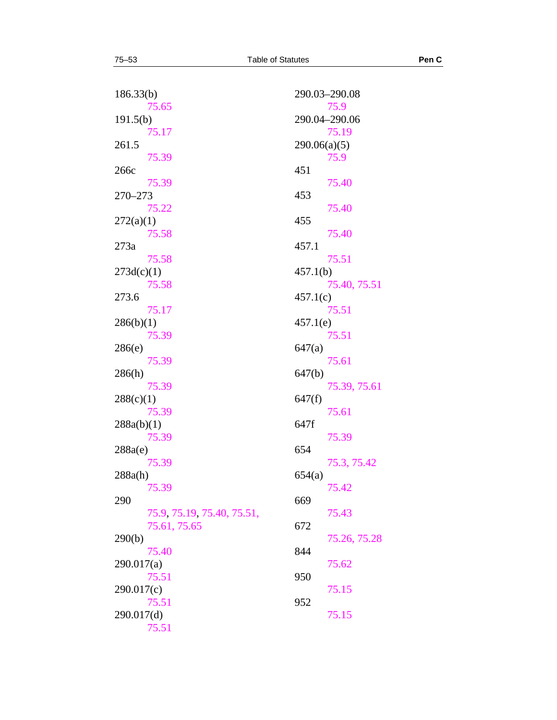| 186.33(b)                  | 290.03-290.08          |
|----------------------------|------------------------|
| 75.65                      | 75.9                   |
| 191.5(b)                   | 290.04-290.06<br>75.19 |
| 75.17<br>261.5             | 290.06(a)(5)           |
| 75.39                      | 75.9                   |
| 266c                       | 451                    |
| 75.39                      | 75.40                  |
| 270-273                    | 453                    |
| 75.22                      | 75.40                  |
| 272(a)(1)                  | 455                    |
| 75.58                      | 75.40                  |
| 273a                       | 457.1                  |
| 75.58                      | 75.51                  |
| 273d(c)(1)                 | 457.1(b)               |
| 75.58                      | 75.40, 75.51           |
| 273.6                      | 457.1(c)               |
| 75.17                      | 75.51                  |
| 286(b)(1)                  | 457.1(e)               |
| 75.39                      | 75.51                  |
| 286(e)                     | 647(a)                 |
| 75.39                      | 75.61                  |
| 286(h)                     | 647(b)                 |
| 75.39                      | 75.39, 75.61           |
| 288(c)(1)                  | 647(f)                 |
| 75.39                      | 75.61                  |
| 288a(b)(1)                 | 647f                   |
| 75.39                      | 75.39                  |
| 288a(e)                    | 654                    |
| 75.39                      | 75.3, 75.42<br>654(a)  |
| 288a(h)<br>75.39           | 75.42                  |
| 290                        | 669                    |
| 75.9, 75.19, 75.40, 75.51, | 75.43                  |
| 75.61, 75.65               | 672                    |
| 290(b)                     | 75.26, 75.28           |
| 75.40                      | 844                    |
| 290.017(a)                 | 75.62                  |
| 75.51                      | 950                    |
| 290.017(c)                 | 75.15                  |
| 75.51                      | 952                    |
| 290.017(d)                 | 75.15                  |
| 75.51                      |                        |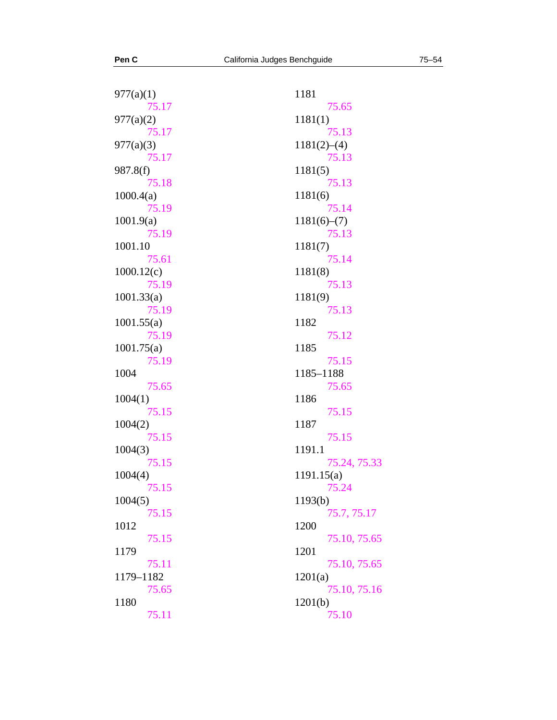| 977(a)(1)  | 1181         |
|------------|--------------|
| 75.17      | 75.65        |
| 977(a)(2)  | 1181(1)      |
| 75.17      | 75.13        |
| 977(a)(3)  | 1181(2)–(4)  |
| 75.17      | 75.13        |
| 987.8(f)   | 1181(5)      |
| 75.18      | 75.13        |
| 1000.4(a)  | 1181(6)      |
| 75.19      | 75.14        |
| 1001.9(a)  | 1181(6)–(7)  |
| 75.19      | 75.13        |
| 1001.10    | 1181(7)      |
| 75.61      | 75.14        |
| 1000.12(c) | 1181(8)      |
| 75.19      | 75.13        |
| 1001.33(a) | 1181(9)      |
| 75.19      | 75.13        |
| 1001.55(a) | 1182         |
| 75.19      | 75.12        |
| 1001.75(a) | 1185         |
| 75.19      | 75.15        |
| 1004       | 1185-1188    |
| 75.65      | 75.65        |
| 1004(1)    | 1186         |
| 75.15      | 75.15        |
| 1004(2)    | 1187         |
| 75.15      | 75.15        |
| 1004(3)    | 1191.1       |
| 75.15      | 75.24, 75.33 |
| 1004(4)    | 1191.15(a)   |
| 75.15      | 75.24        |
| 1004(5)    | 1193(b)      |
| 75.15      | 75.7, 75.17  |
| 1012       | 1200         |
| 75.15      | 75.10, 75.65 |
| 1179       | 1201         |
| 75.11      | 75.10, 75.65 |
| 1179-1182  | 1201(a)      |
| 75.65      | 75.10, 75.16 |
| 1180       | 1201(b)      |
| 75.11      | 75.10        |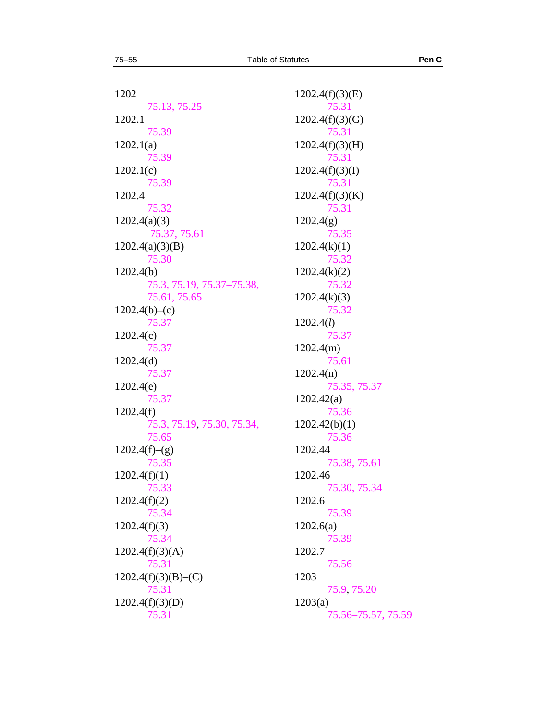1202 [75.13](#page-11-0), [75.25](#page-18-2) 1202.1 [75.39](#page-26-1) 1202.1(a) [75.39](#page-26-1) 1202.1(c) [75.39](#page-26-1) 1202.4 [75.32](#page-23-0) 1202.4(a)(3) [75.37](#page-25-0), [75.61](#page-39-1) 1202.4(a)(3)(B) [75.30](#page-22-0) 1202.4(b) [75.3](#page-5-0), [75.19](#page-15-0), [75.37](#page-25-0)–[75.38](#page-26-0), [75.61](#page-39-1), [75.65](#page-44-2)  $1202.4(b)$ –(c) [75.37](#page-25-0) 1202.4(c) [75.37](#page-25-0) 1202.4(d) [75.37](#page-25-0) 1202.4(e) [75.37](#page-25-0) 1202.4(f) [75.3](#page-5-0), [75.19](#page-15-0), [75.30](#page-22-0), [75.34](#page-24-0), [75.65](#page-44-2)  $1202.4(f)$ –(g) [75.35](#page-24-1)  $1202.4(f)(1)$ [75.33](#page-23-1) 1202.4(f)(2) [75.34](#page-24-0) 1202.4(f)(3) [75.34](#page-24-0)  $1202.4(f)(3)(A)$ [75.31](#page-22-1)  $1202.4(f)(3)(B)$ –(C) [75.31](#page-22-1)  $1202.4(f)(3)(D)$ [75.31](#page-22-1)

1202.4(f)(3)(E) [75.31](#page-22-1) 1202.4(f)(3)(G) [75.31](#page-22-1) 1202.4(f)(3)(H) [75.31](#page-22-1) 1202.4(f)(3)(I) [75.31](#page-22-1) 1202.4(f)(3)(K) [75.31](#page-22-1) 1202.4(g) [75.35](#page-24-1)  $1202.4(k)(1)$ [75.32](#page-23-0) 1202.4(k)(2) [75.32](#page-23-0)  1202.4(k)(3) [75.32](#page-23-0) 1202.4(*l*) [75.37](#page-25-0) 1202.4(m) [75.61](#page-39-1) 1202.4(n) [75.35](#page-24-1), [75.37](#page-25-0)  1202.42(a) [75.36](#page-24-2)  1202.42(b)(1) [75.36](#page-24-2) 1202.44 [75.38](#page-26-0), [75.61](#page-39-1) 1202.46 [75.30](#page-22-0), [75.34](#page-24-0) 1202.6 [75.39](#page-26-1) 1202.6(a) [75.39](#page-26-1) 1202.7 [75.56](#page-36-0) 1203 [75.9](#page-9-2), [75.20](#page-17-0) 1203(a) [75.56](#page-36-0)–[75.57](#page-37-0), [75.59](#page-38-0)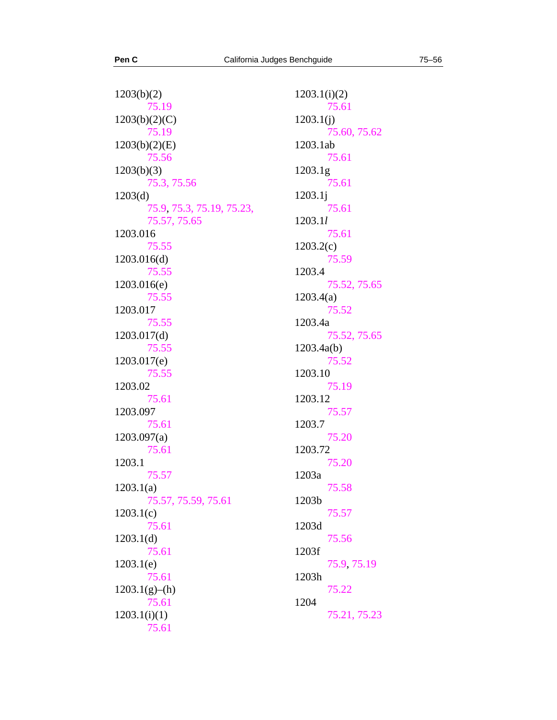$1203(b)(2)$ [75.19](#page-15-0) 1203(b)(2)(C) [75.19](#page-15-0) 1203(b)(2)(E) [75.56](#page-36-0)  $1203(b)(3)$ [75.3](#page-5-0), [75.56](#page-36-0) 1203(d) [75.9](#page-9-2), [75.3](#page-5-0), [75.19](#page-15-0), [75.23](#page-18-0), [75.57](#page-37-0), [75.65](#page-44-2) 1203.016 [75.55](#page-35-1) 1203.016(d) [75.55](#page-35-1) 1203.016(e) [75.55](#page-35-1) 1203.017 [75.55](#page-35-1) 1203.017(d) [75.55](#page-35-1) 1203.017(e) [75.55](#page-35-1) 1203.02 [75.61](#page-39-1) 1203.097 [75.61](#page-39-1) 1203.097(a) [75.61](#page-39-1) 1203.1 [75.57](#page-37-0) 1203.1(a) [75.57](#page-37-0), [75.59](#page-38-0), [75.61](#page-39-1) 1203.1(c) [75.61](#page-39-1) 1203.1(d) [75.61](#page-39-1) 1203.1(e) [75.61](#page-39-1) 1203.1(g)–(h) [75.61](#page-39-1)  $1203.1(i)(1)$ [75.61](#page-39-1)

1203.1(i)(2) [75.61](#page-39-1) 1203.1(j) [75.60](#page-39-0), [75.62](#page-42-0) 1203.1ab [75.61](#page-39-1) 1203.1g [75.61](#page-39-1) 1203.1j [75.61](#page-39-1) 1203.1*l* [75.61](#page-39-1) 1203.2(c) [75.59](#page-38-0) 1203.4 [75.52](#page-34-0), [75.65](#page-44-2) 1203.4(a) [75.52](#page-34-0) 1203.4a [75.52](#page-34-0), [75.65](#page-44-2) 1203.4a(b) [75.52](#page-34-0) 1203.10 [75.19](#page-15-0) 1203.12 [75.57](#page-37-0) 1203.7 [75.20](#page-17-0) 1203.72 [75.20](#page-17-0) 1203a [75.58](#page-37-1) 1203b [75.57](#page-37-0) 1203d [75.56](#page-36-0) 1203f [75.9](#page-9-2), [75.19](#page-15-0) 1203h [75.22](#page-17-2) 1204 [75.21](#page-17-1), [75.23](#page-18-0)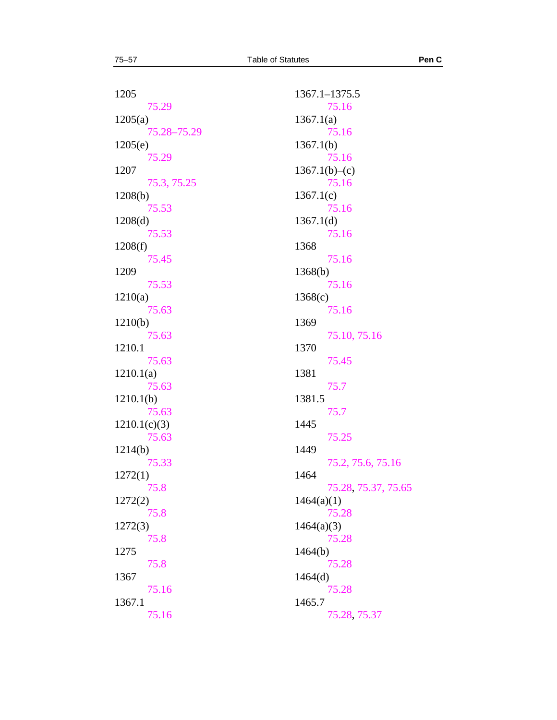1205 [75.29](#page-20-0) 1205(a) [75.28](#page-19-2)–[75.29](#page-20-0) 1205(e) [75.29](#page-20-0) 1207 [75.3](#page-5-0), [75.25](#page-18-2) 1208(b) [75.53](#page-34-1) 1208(d) [75.53](#page-34-1) 1208(f) [75.45](#page-30-0) 1209 [75.53](#page-34-1) 1210(a) [75.63](#page-44-0) 1210(b) [75.63](#page-44-0) 1210.1 [75.63](#page-44-0) 1210.1(a) [75.63](#page-44-0) 1210.1(b) [75.63](#page-44-0) 1210.1(c)(3) [75.63](#page-44-0) 1214(b) [75.33](#page-23-1) 1272(1) [75.8](#page-9-1) 1272(2) [75.8](#page-9-1) 1272(3) [75.8](#page-9-1) 1275 [75.8](#page-9-1) 1367 [75.16](#page-12-2) 1367.1 [75.16](#page-12-2)

1367.1–1375.5 [75.16](#page-12-2) 1367.1(a) [75.16](#page-12-2) 1367.1(b) [75.16](#page-12-2)  $1367.1(b)$ –(c) [75.16](#page-12-2) 1367.1(c) [75.16](#page-12-2) 1367.1(d) [75.16](#page-12-2) 1368 [75.16](#page-12-2) 1368(b) [75.16](#page-12-2) 1368(c) [75.16](#page-12-2) 1369 [75.10](#page-10-0), [75.16](#page-12-2) 1370 [75.45](#page-30-0) 1381 [75.7](#page-9-0) 1381.5 [75.7](#page-9-0) 1445 [75.25](#page-18-2) 1449 [75.2](#page-4-1), [75.6](#page-8-0), [75.16](#page-12-2) 1464 [75.28](#page-19-2), [75.37](#page-25-0), [75.65](#page-44-2) 1464(a)(1) [75.28](#page-19-2) 1464(a)(3) [75.28](#page-19-2) 1464(b) [75.28](#page-19-2) 1464(d) [75.28](#page-19-2) 1465.7 [75.28](#page-19-2), [75.37](#page-25-0)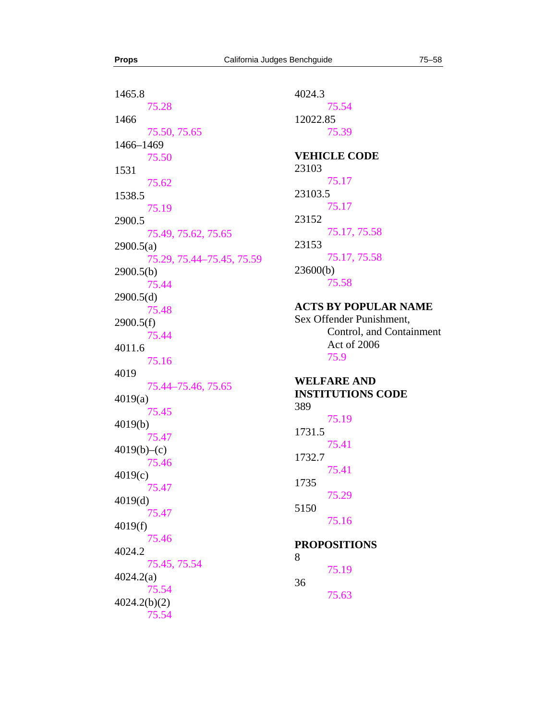1465.8 [75.28](#page-19-2) 1466 [75.50](#page-33-0), [75.65](#page-44-2) 1466–1469 [75.50](#page-33-0) 1531 [75.62](#page-42-0) 1538.5 [75.19](#page-15-0) 2900.5 [75.49](#page-32-1), [75.62](#page-42-0), [75.65](#page-44-2) 2900.5(a) [75.29](#page-20-0), [75.44](#page-29-0)–[75.45](#page-30-0), [75.59](#page-38-0) 2900.5(b) [75.44](#page-29-0) 2900.5(d) [75.48](#page-32-0) 2900.5(f) [75.44](#page-29-0) 4011.6 [75.16](#page-12-2) 4019 [75.44](#page-29-0)–[75.46](#page-31-0), [75.65](#page-44-2) 4019(a) [75.45](#page-30-0) 4019(b) [75.47](#page-31-1)  $4019(b)$ –(c) [75.46](#page-31-0) 4019(c) [75.47](#page-31-1) 4019(d) [75.47](#page-31-1) 4019(f) [75.46](#page-31-0) 4024.2 [75.45](#page-30-0), [75.54](#page-35-0) 4024.2(a) [75.54](#page-35-0) 4024.2(b)(2) [75.54](#page-35-0)

4024.3 [75.54](#page-35-0) 12022.85 [75.39](#page-26-1) **VEHICLE CODE**  23103 [75.17](#page-14-0) 23103.5 [75.17](#page-14-0) 23152 [75.17](#page-14-0), [75.58](#page-37-1) 23153 [75.17](#page-14-0), [75.58](#page-37-1) 23600(b) [75.58](#page-37-1)

## **ACTS BY POPULAR NAME**

Sex Offender Punishment, Control, and Containment Act of 2006 [75.9](#page-9-2)

## **WELFARE AND INSTITUTIONS CODE**  389

[75.19](#page-15-0) 1731.5 [75.41](#page-27-0) 1732.7 [75.41](#page-27-0) 1735 [75.29](#page-20-0) 5150 [75.16](#page-12-2)

## **PROPOSITIONS**

8 **Props** [75.19](#page-15-0) 36 [75.63](#page-44-0)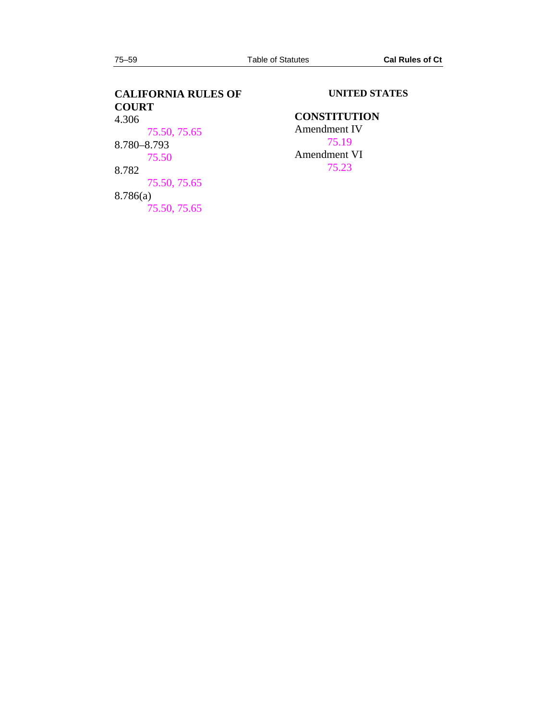# **CALIFORNIA RULES OF COURT**   $4.306$ [75.50](#page-33-0), [75.65](#page-44-2) 8.780–8.793 [75.50](#page-33-0) 8.782 [75.50](#page-33-0), [75.65](#page-44-2) 8.786(a) [75.50](#page-33-0), [75.65](#page-44-2)

## **UNITED STATES**

## **CONSTITUTION**

Amendment IV [75.19](#page-15-0) Amendment VI [75.23](#page-18-0)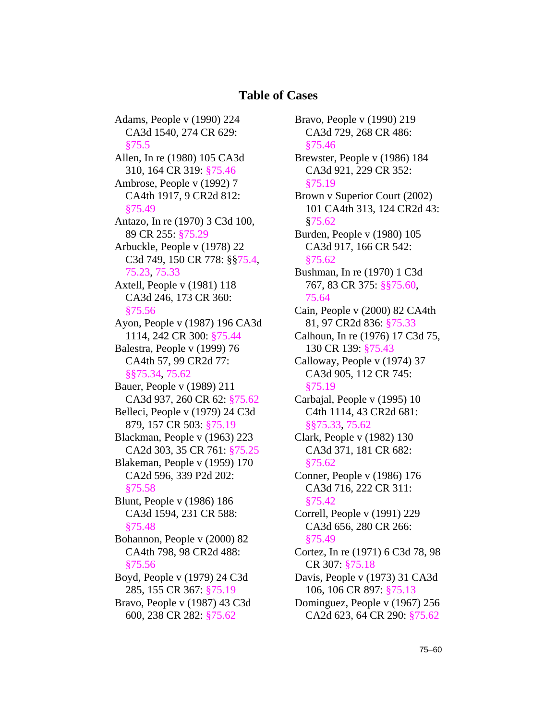# **Table of Cases**

Adams, People v (1990) 224 CA3d 1540, 274 CR 629: §[75.5](#page-7-1) Allen, In re (1980) 105 CA3d 310, 164 CR 319: [§75.46](#page-31-0) Ambrose, People v (1992) 7 CA4th 1917, 9 CR2d 812: §[75.49](#page-32-1) Antazo, In re (1970) 3 C3d 100, 89 CR 255: [§75.29](#page-20-0) Arbuckle, People v (1978) 22 C3d 749, 150 CR 778: §[§75.4](#page-7-0), [75.23](#page-18-0), [75.33](#page-23-1) Axtell, People v (1981) 118 CA3d 246, 173 CR 360: §[75.56](#page-36-0) Ayon, People v (1987) 196 CA3d 1114, 242 CR 300: [§75.44](#page-29-0) Balestra, People v (1999) 76 CA4th 57, 99 CR2d 77: §§[75.34](#page-24-0), [75.62](#page-42-0) Bauer, People v (1989) 211 CA3d 937, 260 CR 62: §[75.62](#page-42-0) Belleci, People v (1979) 24 C3d 879, 157 CR 503: [§75.19](#page-15-0) Blackman, People v (1963) 223 CA2d 303, 35 CR 761: §[75.25](#page-18-2) Blakeman, People v (1959) 170 CA2d 596, 339 P2d 202: §[75.58](#page-37-1) Blunt, People v (1986) 186 CA3d 1594, 231 CR 588: §[75.48](#page-32-0) Bohannon, People v (2000) 82 CA4th 798, 98 CR2d 488: §[75.56](#page-36-0) Boyd, People v (1979) 24 C3d 285, 155 CR 367: [§75.19](#page-15-0) Bravo, People v (1987) 43 C3d 600, 238 CR 282: [§75.62](#page-42-0)

Bravo, People v (1990) 219 CA3d 729, 268 CR 486: §[75.46](#page-31-0) Brewster, People v (1986) 184 CA3d 921, 229 CR 352: §[75.19](#page-15-0) Brown v Superior Court (2002) 101 CA4th 313, 124 CR2d 43: §[75.62](#page-42-0) Burden, People v (1980) 105 CA3d 917, 166 CR 542: §[75.62](#page-42-0) Bushman, In re (1970) 1 C3d 767, 83 CR 375: §[§75.60](#page-39-0), [75.64](#page-44-1) Cain, People v (2000) 82 CA4th 81, 97 CR2d 836: [§75.33](#page-23-1) Calhoun, In re (1976) 17 C3d 75, 130 CR 139: [§75.43](#page-28-0) Calloway, People v (1974) 37 CA3d 905, 112 CR 745: §[75.19](#page-15-0) Carbajal, People v (1995) 10 C4th 1114, 43 CR2d 681: §§[75.33](#page-23-1), [75.62](#page-42-0) Clark, People v (1982) 130 CA3d 371, 181 CR 682: §[75.62](#page-42-0) Conner, People v (1986) 176 CA3d 716, 222 CR 311: §[75.42](#page-27-1) Correll, People v (1991) 229 CA3d 656, 280 CR 266: §[75.49](#page-32-1) Cortez, In re (1971) 6 C3d 78, 98 CR 307: [§75.18](#page-14-1) Davis, People v (1973) 31 CA3d 106, 106 CR 897: [§75.13](#page-11-0) Dominguez, People v (1967) 256 CA2d 623, 64 CR 290: §[75.62](#page-42-0)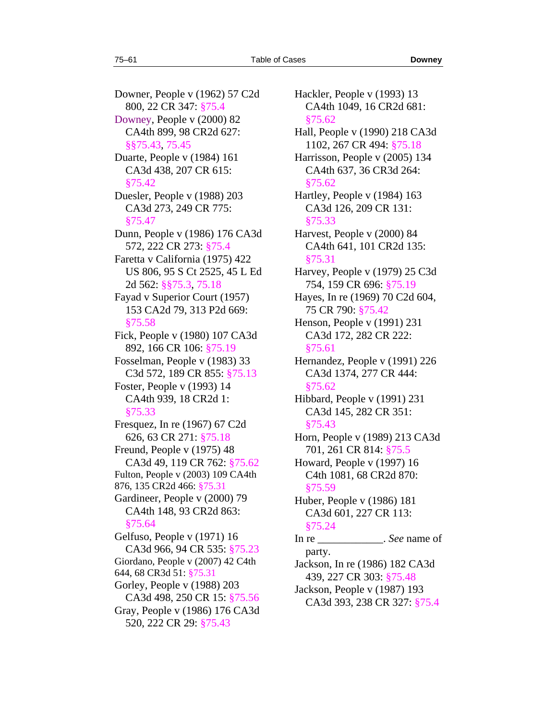Downer, People v (1962) 57 C2d 800, 22 CR 347: [§75.4](#page-7-0) Downey, People v (2000) 82 CA4th 899, 98 CR2d 627: §§[75.43](#page-28-0), [75.45](#page-30-0) Duarte, People v (1984) 161 CA3d 438, 207 CR 615: §[75.42](#page-27-1) Duesler, People v (1988) 203 CA3d 273, 249 CR 775: §[75.47](#page-31-1) Dunn, People v (1986) 176 CA3d 572, 222 CR 273: [§75.4](#page-7-0) Faretta v California (1975) 422 US 806, 95 S Ct 2525, 45 L Ed 2d 562: §[§75.3](#page-5-0), [75.18](#page-14-1) Fayad v Superior Court (1957) 153 CA2d 79, 313 P2d 669: §[75.58](#page-37-1) Fick, People v (1980) 107 CA3d 892, 166 CR 106: [§75.19](#page-15-0) Fosselman, People v (1983) 33 C3d 572, 189 CR 855: [§75.13](#page-11-0) Foster, People v (1993) 14 CA4th 939, 18 CR2d 1: §[75.33](#page-23-1) Fresquez, In re (1967) 67 C2d 626, 63 CR 271: [§75.18](#page-14-1) Freund, People v (1975) 48 CA3d 49, 119 CR 762: §[75.62](#page-42-0) Fulton, People v (2003) 109 CA4th 876, 135 CR2d 466: §[75.31](#page-22-1) Gardineer, People v (2000) 79 CA4th 148, 93 CR2d 863: §[75.64](#page-44-1) Gelfuso, People v (1971) 16 CA3d 966, 94 CR 535: §[75.23](#page-18-0) Giordano, People v (2007) 42 C4th 644, 68 CR3d 51: §[75.31](#page-22-1) Gorley, People v (1988) 203 CA3d 498, 250 CR 15: §[75.56](#page-36-0) Gray, People v (1986) 176 CA3d 520, 222 CR 29: [§75.43](#page-28-0)

Hackler, People v (1993) 13 CA4th 1049, 16 CR2d 681: §[75.62](#page-42-0) Hall, People v (1990) 218 CA3d 1102, 267 CR 494: [§75.18](#page-14-1) Harrisson, People v (2005) 134 CA4th 637, 36 CR3d 264: §[75.62](#page-42-0) Hartley, People v (1984) 163 CA3d 126, 209 CR 131: §[75.33](#page-23-1) Harvest, People v (2000) 84 CA4th 641, 101 CR2d 135: §[75.31](#page-22-1) Harvey, People v (1979) 25 C3d 754, 159 CR 696: [§75.19](#page-15-0) Hayes, In re (1969) 70 C2d 604, 75 CR 790: [§75.42](#page-27-1) Henson, People v (1991) 231 CA3d 172, 282 CR 222: §[75.61](#page-39-1) Hernandez, People v (1991) 226 CA3d 1374, 277 CR 444: §[75.62](#page-42-0) Hibbard, People v (1991) 231 CA3d 145, 282 CR 351: §[75.43](#page-28-0) Horn, People v (1989) 213 CA3d 701, 261 CR 814: [§75.5](#page-7-1) Howard, People v (1997) 16 C4th 1081, 68 CR2d 870: §[75.59](#page-38-0) Huber, People v (1986) 181 CA3d 601, 227 CR 113: §[75.24](#page-18-1) In re  $\qquad \qquad .$  *See* name of party. Jackson, In re (1986) 182 CA3d 439, 227 CR 303: [§75.48](#page-32-0) Jackson, People v (1987) 193 CA3d 393, 238 CR 327: §[75.4](#page-7-0)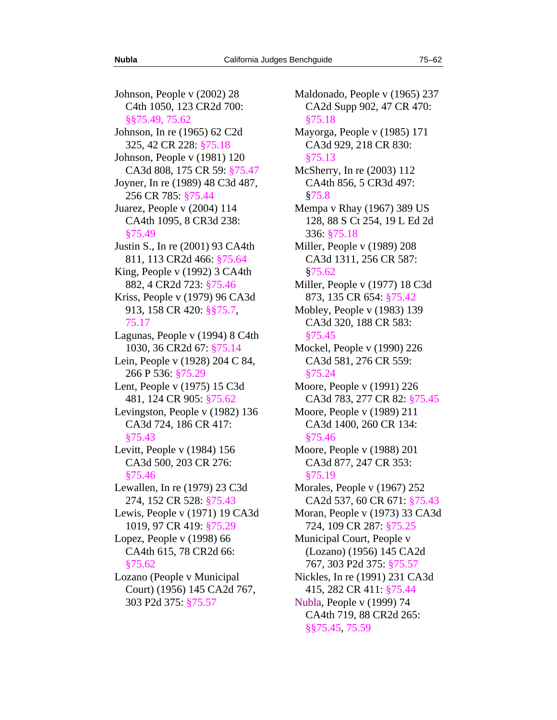Johnson, People v (2002) 28 C4th 1050, 123 CR2d 700: §§[75.49](#page-32-1), [75.62](#page-42-0) Johnson, In re (1965) 62 C2d 325, 42 CR 228: [§75.18](#page-14-1) Johnson, People v (1981) 120 CA3d 808, 175 CR 59: §[75.47](#page-31-1) Joyner, In re (1989) 48 C3d 487, 256 CR 785: [§75.44](#page-29-0)  Juarez, People v (2004) 114 CA4th 1095, 8 CR3d 238: §[75.49](#page-32-1)  Justin S., In re (2001) 93 CA4th 811, 113 CR2d 466: [§75.64](#page-44-1) King, People v (1992) 3 CA4th 882, 4 CR2d 723: [§75.46](#page-31-0) Kriss, People v (1979) 96 CA3d 913, 158 CR 420: §[§75.7](#page-9-0), [75.17](#page-14-0) Lagunas, People v (1994) 8 C4th 1030, 36 CR2d 67: [§75.14](#page-12-0) Lein, People v (1928) 204 C 84, 266 P 536: [§75.29](#page-20-0) Lent, People v (1975) 15 C3d 481, 124 CR 905: [§75.62](#page-42-0) Levingston, People v (1982) 136 CA3d 724, 186 CR 417: §[75.43](#page-28-0) Levitt, People v (1984) 156 CA3d 500, 203 CR 276: §[75.46](#page-31-0) Lewallen, In re (1979) 23 C3d 274, 152 CR 528: [§75.43](#page-28-0) Lewis, People v (1971) 19 CA3d 1019, 97 CR 419: [§75.29](#page-20-0) Lopez, People v (1998) 66 CA4th 615, 78 CR2d 66: §[75.62](#page-42-0) Lozano (People v Municipal Court) (1956) 145 CA2d 767, 303 P2d 375: [§75.57](#page-37-0)

Maldonado, People v (1965) 237 CA2d Supp 902, 47 CR 470: §[75.18](#page-14-1) Mayorga, People v (1985) 171 CA3d 929, 218 CR 830: §[75.13](#page-11-0) McSherry, In re (2003) 112 CA4th 856, 5 CR3d 497: §[75.8](#page-9-1) Mempa v Rhay (1967) 389 US 128, 88 S Ct 254, 19 L Ed 2d 336: [§75.18](#page-14-1) Miller, People v (1989) 208 CA3d 1311, 256 CR 587: §[75.62](#page-42-0) Miller, People v (1977) 18 C3d 873, 135 CR 654: [§75.42](#page-27-1) Mobley, People v (1983) 139 CA3d 320, 188 CR 583: §[75.45](#page-30-0) Mockel, People v (1990) 226 CA3d 581, 276 CR 559: §[75.24](#page-18-1) Moore, People v (1991) 226 CA3d 783, 277 CR 82: §[75.45](#page-30-0) Moore, People v (1989) 211 CA3d 1400, 260 CR 134: §[75.46](#page-31-0) Moore, People v (1988) 201 CA3d 877, 247 CR 353: §[75.19](#page-15-0) Morales, People v (1967) 252 CA2d 537, 60 CR 671: §[75.43](#page-28-0) Moran, People v (1973) 33 CA3d 724, 109 CR 287: [§75.25](#page-18-2) Municipal Court, People v (Lozano) (1956) 145 CA2d 767, 303 P2d 375: [§75.57](#page-37-0) Nickles, In re (1991) 231 CA3d 415, 282 CR 411: [§75.44](#page-29-0) Nubla, People v (1999) 74 CA4th 719, 88 CR2d 265: §§[75.45](#page-30-0), [75.59](#page-38-0)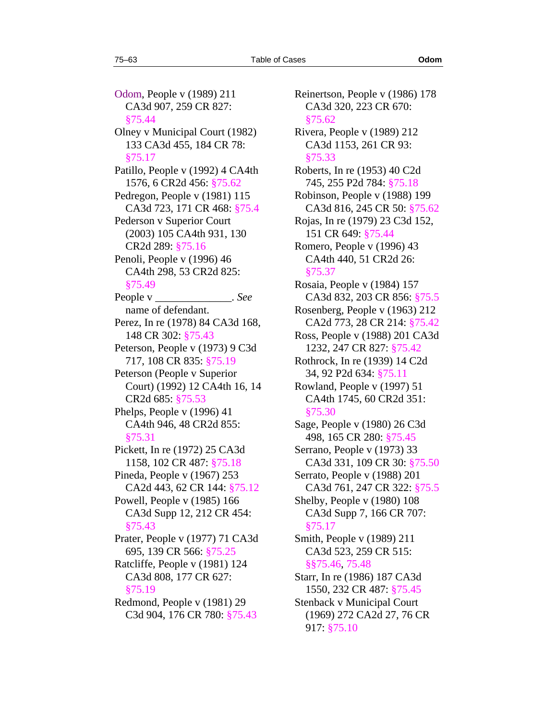Odom, People v (1989) 211 CA3d 907, 259 CR 827: §[75.44](#page-29-0) Olney v Municipal Court (1982) 133 CA3d 455, 184 CR 78: §[75.17](#page-14-0) Patillo, People v (1992) 4 CA4th 1576, 6 CR2d 456: [§75.62](#page-42-0) Pedregon, People v (1981) 115 CA3d 723, 171 CR 468: §[75.4](#page-7-0) Pederson v Superior Court (2003) 105 CA4th 931, 130 CR2d 289: [§75.16](#page-12-2) Penoli, People v (1996) 46 CA4th 298, 53 CR2d 825: §[75.49](#page-32-1) People v \_\_\_\_\_\_\_\_\_\_\_\_\_\_\_. *See* name of defendant. Perez, In re (1978) 84 CA3d 168, 148 CR 302: [§75.43](#page-28-0) Peterson, People v (1973) 9 C3d 717, 108 CR 835: [§75.19](#page-15-0) Peterson (People v Superior Court) (1992) 12 CA4th 16, 14 CR2d 685: [§75.53](#page-34-1) Phelps, People v (1996) 41 CA4th 946, 48 CR2d 855: §[75.31](#page-22-1) Pickett, In re (1972) 25 CA3d 1158, 102 CR 487: [§75.18](#page-14-1) Pineda, People v (1967) 253 CA2d 443, 62 CR 144: §[75.12](#page-10-2) Powell, People v (1985) 166 CA3d Supp 12, 212 CR 454: §[75.43](#page-28-0) Prater, People v (1977) 71 CA3d 695, 139 CR 566: [§75.25](#page-18-2) Ratcliffe, People v (1981) 124 CA3d 808, 177 CR 627: §[75.19](#page-15-0) Redmond, People v (1981) 29 C3d 904, 176 CR 780: [§75.43](#page-28-0)

Reinertson, People v (1986) 178 CA3d 320, 223 CR 670: §[75.62](#page-42-0) Rivera, People v (1989) 212 CA3d 1153, 261 CR 93: §[75.33](#page-23-1) Roberts, In re (1953) 40 C2d 745, 255 P2d 784: [§75.18](#page-14-1) Robinson, People v (1988) 199 CA3d 816, 245 CR 50: §[75.62](#page-42-0) Rojas, In re (1979) 23 C3d 152, 151 CR 649: [§75.44](#page-29-0) Romero, People v (1996) 43 CA4th 440, 51 CR2d 26: §[75.37](#page-25-0) Rosaia, People v (1984) 157 CA3d 832, 203 CR 856: §[75.5](#page-7-1) Rosenberg, People v (1963) 212 CA2d 773, 28 CR 214: §[75.42](#page-27-1) Ross, People v (1988) 201 CA3d 1232, 247 CR 827: [§75.42](#page-27-1) Rothrock, In re (1939) 14 C2d 34, 92 P2d 634: [§75.11](#page-10-1) Rowland, People v (1997) 51 CA4th 1745, 60 CR2d 351: §[75.30](#page-22-0) Sage, People v (1980) 26 C3d 498, 165 CR 280: [§75.45](#page-30-0) Serrano, People v (1973) 33 CA3d 331, 109 CR 30: §[75.50](#page-33-0) Serrato, People v (1988) 201 CA3d 761, 247 CR 322: §[75.5](#page-7-1) Shelby, People v (1980) 108 CA3d Supp 7, 166 CR 707: §[75.17](#page-14-0) Smith, People v (1989) 211 CA3d 523, 259 CR 515: §§[75.46](#page-31-0), [75.48](#page-32-0) Starr, In re (1986) 187 CA3d 1550, 232 CR 487: [§75.45](#page-30-0) Stenback v Municipal Court (1969) 272 CA2d 27, 76 CR 917: [§75.10](#page-10-0)